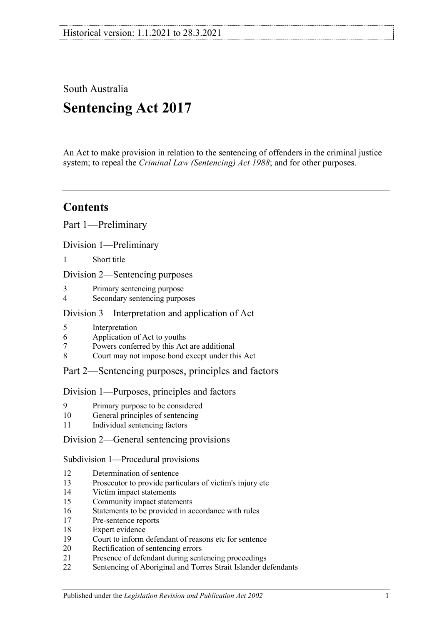South Australia **Sentencing Act 2017**

An Act to make provision in relation to the sentencing of offenders in the criminal justice system; to repeal the *[Criminal Law \(Sentencing\) Act](http://www.legislation.sa.gov.au/index.aspx?action=legref&type=act&legtitle=Criminal%20Law%20(Sentencing)%20Act%201988) 1988*; and for other purposes.

# **Contents**

Part [1—Preliminary](#page-4-0)

Division [1—Preliminary](#page-4-1)

1 [Short title](#page-4-2)

Division [2—Sentencing purposes](#page-4-3)

- 3 [Primary sentencing purpose](#page-4-4)
- 4 [Secondary sentencing purposes](#page-4-5)

## Division [3—Interpretation and application of Act](#page-5-0)

- 5 [Interpretation](#page-5-1)<br>6 Application of
- 6 [Application of Act to youths](#page-9-0)<br>7 Powers conferred by this Act
- 7 [Powers conferred by this Act are additional](#page-9-1)<br>8 Court may not impose bond except under the
- [Court may not impose bond except under this Act](#page-10-0)

## Part [2—Sentencing purposes, principles and factors](#page-10-1)

#### Division [1—Purposes, principles and factors](#page-10-2)

- 9 [Primary purpose to be considered](#page-10-3)
- 10 [General principles of sentencing](#page-10-4)
- 11 [Individual sentencing factors](#page-10-5)

## Division [2—General sentencing provisions](#page-12-0)

Subdivision [1—Procedural provisions](#page-12-1)

- 12 [Determination of sentence](#page-12-2)<br>13 Prosecutor to provide parti
- [Prosecutor to provide particulars of victim's injury etc](#page-12-3)
- 14 [Victim impact statements](#page-12-4)
- 15 [Community impact statements](#page-14-0)
- 16 [Statements to be provided in accordance with rules](#page-14-1)
- 17 [Pre-sentence reports](#page-14-2)
- 18 [Expert evidence](#page-15-0)
- 19 Court [to inform defendant of reasons etc for sentence](#page-16-0)<br>20 Rectification of sentencing errors
- [Rectification of sentencing errors](#page-16-1)
- 21 [Presence of defendant during sentencing proceedings](#page-16-2)
- 22 [Sentencing of Aboriginal and Torres Strait Islander defendants](#page-17-0)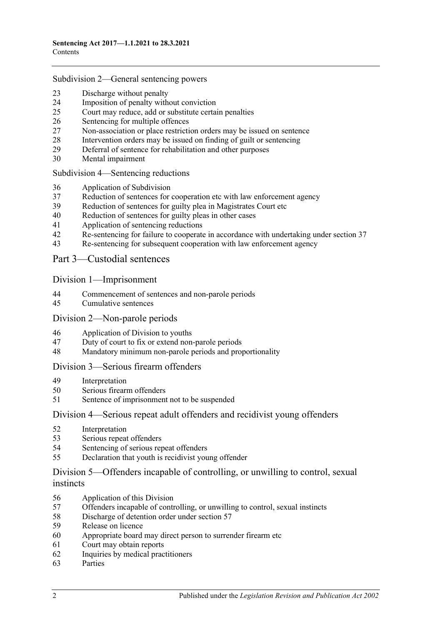#### Subdivision [2—General sentencing powers](#page-18-0)

- [Discharge without penalty](#page-18-1)<br>24 Imposition of penalty with
- [Imposition of penalty without conviction](#page-18-2)<br>25 Court may reduce, add or substitute certain
- [Court may reduce, add or substitute certain penalties](#page-19-0)
- [Sentencing for multiple offences](#page-20-0)<br>27 Non-association or place restricti
- [Non-association or place restriction orders may be issued on sentence](#page-20-1)
- [Intervention orders may be issued on finding of guilt or sentencing](#page-21-0)<br>29 Deferral of sentence for rehabilitation and other purposes
- [Deferral of sentence for rehabilitation and other purposes](#page-22-0)<br>30 Mental impairment
- [Mental impairment](#page-23-0)

Subdivision [4—Sentencing reductions](#page-24-0)

- [Application of Subdivision](#page-24-1)
- [Reduction of sentences for cooperation etc with law enforcement agency](#page-25-0)
- [Reduction of sentences for guilty plea in Magistrates Court etc](#page-26-0)<br>40 Reduction of sentences for guilty pleas in other cases
- [Reduction of sentences for guilty pleas in other cases](#page-28-0)<br>41 Application of sentencing reductions
- [Application of sentencing reductions](#page-32-0)<br>42 Re-sentencing for failure to cooperate
- [Re-sentencing for failure to cooperate in accordance with undertaking under section](#page-32-1) 37
- [Re-sentencing for subsequent cooperation with law enforcement agency](#page-33-0)

Part [3—Custodial sentences](#page-34-0)

Division [1—Imprisonment](#page-34-1)

- [Commencement of sentences and non-parole periods](#page-34-2)<br>45 Cumulative sentences
- [Cumulative sentences](#page-35-0)

#### Division [2—Non-parole periods](#page-36-0)

- [Application of Division to youths](#page-36-1)
- [Duty of court to fix or extend non-parole periods](#page-36-2)
- [Mandatory minimum non-parole periods and proportionality](#page-39-0)

#### Division [3—Serious firearm offenders](#page-40-0)

- [Interpretation](#page-40-1)
- [Serious firearm offenders](#page-41-0)
- [Sentence of imprisonment not to be suspended](#page-42-0)

#### Division [4—Serious repeat adult offenders and recidivist young offenders](#page-42-1)

- [Interpretation](#page-42-2)
- [Serious repeat offenders](#page-43-0)
- [Sentencing of serious repeat offenders](#page-44-0)
- [Declaration that youth is recidivist young offender](#page-44-1)

### Division [5—Offenders incapable of controlling, or unwilling to control, sexual](#page-45-0)  [instincts](#page-45-0)

- [Application of this Division](#page-45-1)
- Offenders incapable of controlling, [or unwilling to control, sexual instincts](#page-45-2)
- [Discharge of detention order under section](#page-48-0) 57
- [Release on licence](#page-49-0)
- [Appropriate board may direct person to surrender firearm etc](#page-52-0)
- [Court may obtain reports](#page-52-1)
- [Inquiries by medical practitioners](#page-52-2)
- [Parties](#page-53-0)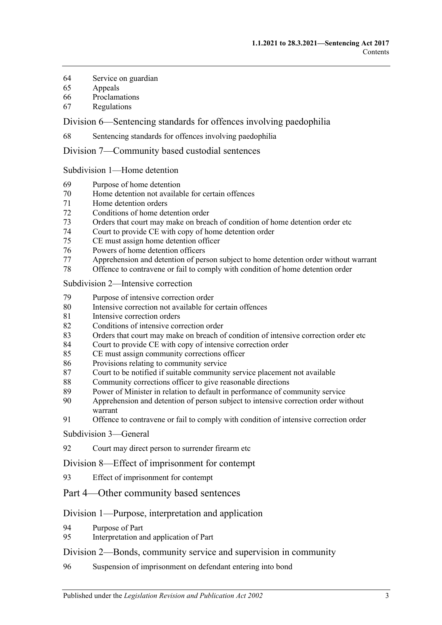- [Service on guardian](#page-53-1)<br>65 Appeals
- **[Appeals](#page-53-2)**
- [Proclamations](#page-53-3)
- [Regulations](#page-54-0)

Division [6—Sentencing standards for offences involving paedophilia](#page-54-1)

[Sentencing standards for offences involving paedophilia](#page-54-2)

Division [7—Community based custodial sentences](#page-54-3)

Subdivision [1—Home detention](#page-54-4)

- [Purpose of home detention](#page-54-5)
- [Home detention not available for certain offences](#page-55-0)<br>71 Home detention orders
- [Home detention orders](#page-55-1)
- [Conditions of home detention order](#page-60-0)
- [Orders that court may make on breach of condition of home detention order etc](#page-61-0)<br>74 Court to provide CE with copy of home detention order
- [Court to provide CE with copy of home detention order](#page-63-0)<br>75 CE must assign home detention officer
- [CE must assign home detention officer](#page-63-1)
- Powers of [home detention officers](#page-64-0)
- [Apprehension and detention of person subject to home detention order without warrant](#page-64-1)
- [Offence to contravene or fail to comply with condition of home detention order](#page-64-2)

Subdivision [2—Intensive correction](#page-65-0)

- [Purpose of intensive correction order](#page-65-1)
- [Intensive correction not available for certain offences](#page-65-2)
- [Intensive correction orders](#page-65-3)
- [Conditions of intensive correction order](#page-69-0)
- [Orders that court may make on breach of condition of intensive correction order etc](#page-71-0)<br>84 Court to provide CE with copy of intensive correction order
- [Court to provide CE with copy of intensive correction order](#page-74-0)
- [CE must assign community corrections officer](#page-74-1)
- [Provisions relating to community service](#page-74-2)
- [Court to be notified if suitable community service placement not available](#page-75-0)
- [Community corrections officer to give reasonable directions](#page-75-1)<br>89 Power of Minister in relation to default in performance of co
- [Power of Minister in relation to default in performance of community service](#page-76-0)
- Apprehension and detention of [person subject to intensive correction order without](#page-76-1)  [warrant](#page-76-1)
- [Offence to contravene or fail to comply with condition of intensive correction order](#page-76-2)

[Subdivision](#page-77-0) 3—General

[Court may direct person to surrender firearm etc](#page-77-1)

Division [8—Effect of imprisonment for contempt](#page-77-2)

- [Effect of imprisonment for contempt](#page-77-3)
- Part [4—Other community based sentences](#page-77-4)

#### Division [1—Purpose, interpretation and application](#page-77-5)

- [Purpose of Part](#page-77-6)
- [Interpretation and application of Part](#page-77-7)

#### Division [2—Bonds, community service and supervision in community](#page-78-0)

[Suspension of imprisonment on defendant entering into bond](#page-78-1)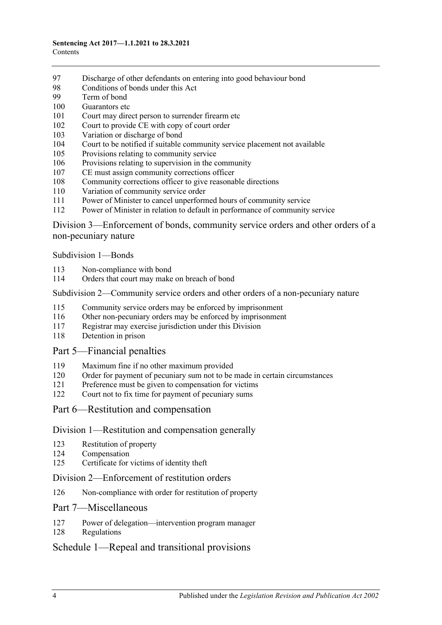- [Discharge of other defendants on entering into good behaviour bond](#page-83-0)<br>98 Conditions of bonds under this Act
- [Conditions of bonds under this Act](#page-83-1)<br>99 Term of bond
- [Term of bond](#page-85-0)
- [Guarantors etc](#page-85-1)
- [Court may direct person to surrender firearm etc](#page-86-0)<br>102 Court to provide CE with copy of court order
- [Court to provide CE with copy of court order](#page-86-1)
- [Variation or discharge of bond](#page-86-2)<br>104 Court to be notified if suitable
- [Court to be notified if suitable community service placement not available](#page-87-0)
- [Provisions relating to community service](#page-87-1)
- [Provisions relating to supervision in the community](#page-88-0)
- [CE must assign community corrections officer](#page-88-1)
- [Community corrections officer to give reasonable directions](#page-89-0)
- [Variation of community service order](#page-89-1)
- [Power of Minister to cancel unperformed hours of community service](#page-90-0)
- [Power of Minister in relation to default in performance of community service](#page-90-1)

Division [3—Enforcement of bonds, community service orders and other orders of a](#page-91-0)  [non-pecuniary nature](#page-91-0)

[Subdivision](#page-91-1) 1—Bonds

- [Non-compliance with bond](#page-91-2)
- [Orders that court may make on breach of bond](#page-92-0)

#### Subdivision [2—Community service orders and other orders of a non-pecuniary nature](#page-93-0)

- [Community service orders may be enforced by imprisonment](#page-93-1)
- [Other non-pecuniary orders may be enforced by imprisonment](#page-95-0)
- [Registrar may exercise jurisdiction under this Division](#page-95-1)
- [Detention in prison](#page-96-0)

#### Part [5—Financial penalties](#page-96-1)

- [Maximum fine if no other maximum provided](#page-96-2)
- [Order for payment of pecuniary sum not to be made in certain circumstances](#page-96-3)
- [Preference must be given to compensation for victims](#page-96-4)
- [Court not to fix time for payment of pecuniary sums](#page-97-0)
- Part [6—Restitution and compensation](#page-97-1)

#### Division [1—Restitution and compensation generally](#page-97-2)

- [Restitution of property](#page-97-3)
- [Compensation](#page-97-4)
- [Certificate for victims of identity theft](#page-98-0)

#### Division [2—Enforcement of restitution orders](#page-99-0)

[Non-compliance with order for restitution of property](#page-99-1)

#### Part [7—Miscellaneous](#page-100-0)

- [Power of delegation—intervention program manager](#page-100-1)
- [Regulations](#page-100-2)

## Schedule [1—Repeal and transitional provisions](#page-101-0)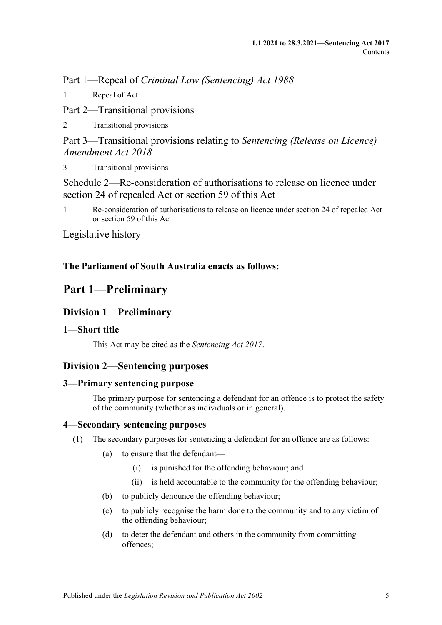Part 1—Repeal of *Criminal Law (Sentencing) Act 1988*

1 [Repeal of Act](#page-101-1)

Part 2—Transitional provisions

2 [Transitional provisions](#page-101-2)

Part 3—Transitional provisions relating to *Sentencing (Release on Licence) Amendment Act 2018*

3 [Transitional provisions](#page-101-3)

[Schedule 2—Re-consideration of authorisations to release on licence under](#page-102-0)  [section 24 of repealed Act or section](#page-102-0) 59 of this Act

1 [Re-consideration of authorisations to release on licence under section 24 of repealed Act](#page-102-1)  or [section](#page-49-0) 59 [of this Act](#page-102-1)

[Legislative history](#page-105-0)

# **The Parliament of South Australia enacts as follows:**

# <span id="page-4-0"></span>**Part 1—Preliminary**

# <span id="page-4-1"></span>**Division 1—Preliminary**

# <span id="page-4-2"></span>**1—Short title**

This Act may be cited as the *Sentencing Act 2017*.

# <span id="page-4-3"></span>**Division 2—Sentencing purposes**

## <span id="page-4-4"></span>**3—Primary sentencing purpose**

The primary purpose for sentencing a defendant for an offence is to protect the safety of the community (whether as individuals or in general).

## <span id="page-4-5"></span>**4—Secondary sentencing purposes**

- <span id="page-4-6"></span>(1) The secondary purposes for sentencing a defendant for an offence are as follows:
	- (a) to ensure that the defendant—
		- (i) is punished for the offending behaviour; and
		- (ii) is held accountable to the community for the offending behaviour;
	- (b) to publicly denounce the offending behaviour;
	- (c) to publicly recognise the harm done to the community and to any victim of the offending behaviour;
	- (d) to deter the defendant and others in the community from committing offences;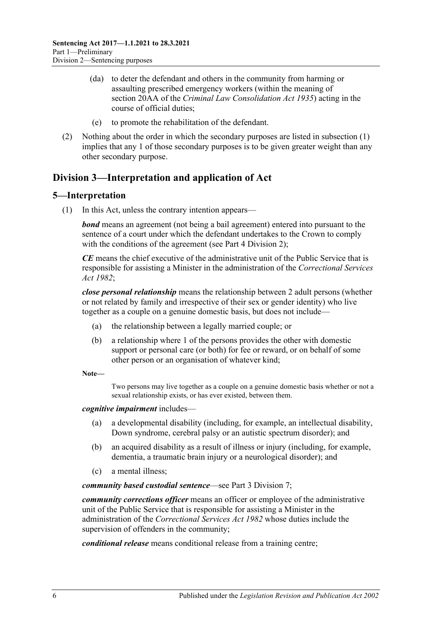- (da) to deter the defendant and others in the community from harming or assaulting prescribed emergency workers (within the meaning of section 20AA of the *[Criminal Law Consolidation Act](http://www.legislation.sa.gov.au/index.aspx?action=legref&type=act&legtitle=Criminal%20Law%20Consolidation%20Act%201935) 1935*) acting in the course of official duties;
- (e) to promote the rehabilitation of the defendant.
- (2) Nothing about the order in which the secondary purposes are listed in [subsection](#page-4-6) (1) implies that any 1 of those secondary purposes is to be given greater weight than any other secondary purpose.

# <span id="page-5-0"></span>**Division 3—Interpretation and application of Act**

## <span id="page-5-1"></span>**5—Interpretation**

(1) In this Act, unless the contrary intention appears—

*bond* means an agreement (not being a bail agreement) entered into pursuant to the sentence of a court under which the defendant undertakes to the Crown to comply with the conditions of the agreement (see Part [4 Division](#page-78-0) 2);

*CE* means the chief executive of the administrative unit of the Public Service that is responsible for assisting a Minister in the administration of the *[Correctional Services](http://www.legislation.sa.gov.au/index.aspx?action=legref&type=act&legtitle=Correctional%20Services%20Act%201982)  Act [1982](http://www.legislation.sa.gov.au/index.aspx?action=legref&type=act&legtitle=Correctional%20Services%20Act%201982)*;

*close personal relationship* means the relationship between 2 adult persons (whether or not related by family and irrespective of their sex or gender identity) who live together as a couple on a genuine domestic basis, but does not include—

- (a) the relationship between a legally married couple; or
- (b) a relationship where 1 of the persons provides the other with domestic support or personal care (or both) for fee or reward, or on behalf of some other person or an organisation of whatever kind;

**Note—**

Two persons may live together as a couple on a genuine domestic basis whether or not a sexual relationship exists, or has ever existed, between them.

#### *cognitive impairment* includes—

- (a) a developmental disability (including, for example, an intellectual disability, Down syndrome, cerebral palsy or an autistic spectrum disorder); and
- (b) an acquired disability as a result of illness or injury (including, for example, dementia, a traumatic brain injury or a neurological disorder); and
- (c) a mental illness;

*community based custodial sentence*—see Part [3 Division](#page-54-3) 7;

*community corrections officer* means an officer or employee of the administrative unit of the Public Service that is responsible for assisting a Minister in the administration of the *[Correctional Services Act](http://www.legislation.sa.gov.au/index.aspx?action=legref&type=act&legtitle=Correctional%20Services%20Act%201982) 1982* whose duties include the supervision of offenders in the community;

*conditional release* means conditional release from a training centre;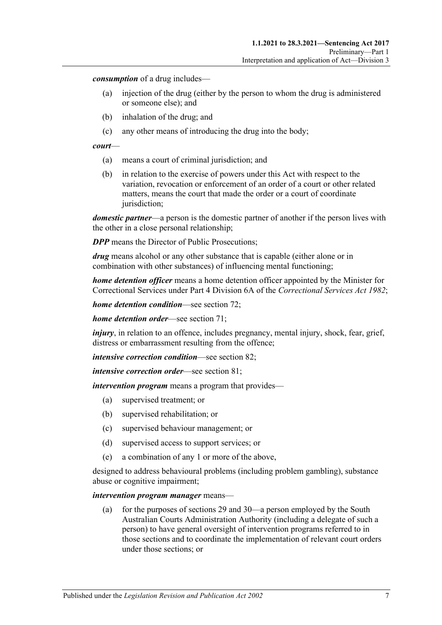*consumption* of a drug includes—

- (a) injection of the drug (either by the person to whom the drug is administered or someone else); and
- (b) inhalation of the drug; and
- (c) any other means of introducing the drug into the body;

#### *court*—

- (a) means a court of criminal jurisdiction; and
- (b) in relation to the exercise of powers under this Act with respect to the variation, revocation or enforcement of an order of a court or other related matters, means the court that made the order or a court of coordinate jurisdiction;

*domestic partner*—a person is the domestic partner of another if the person lives with the other in a close personal relationship;

*DPP* means the Director of Public Prosecutions;

*drug* means alcohol or any other substance that is capable (either alone or in combination with other substances) of influencing mental functioning;

*home detention officer* means a home detention officer appointed by the Minister for Correctional Services under Part 4 Division 6A of the *[Correctional Services Act](http://www.legislation.sa.gov.au/index.aspx?action=legref&type=act&legtitle=Correctional%20Services%20Act%201982) 1982*;

*home detention condition*—see [section](#page-60-0) 72;

*home detention order*—see [section](#page-55-1) 71;

*injury*, in relation to an offence, includes pregnancy, mental injury, shock, fear, grief, distress or embarrassment resulting from the offence;

*intensive correction condition*—see [section](#page-69-0) 82;

*intensive correction order*—see [section](#page-65-3) 81;

*intervention program* means a program that provides—

- (a) supervised treatment; or
- (b) supervised rehabilitation; or
- (c) supervised behaviour management; or
- (d) supervised access to support services; or
- (e) a combination of any 1 or more of the above,

designed to address behavioural problems (including problem gambling), substance abuse or cognitive impairment;

#### *intervention program manager* means—

(a) for the purposes of [sections](#page-22-0) 29 an[d 30—](#page-23-0)a person employed by the South Australian Courts Administration Authority (including a delegate of such a person) to have general oversight of intervention programs referred to in those sections and to coordinate the implementation of relevant court orders under those sections; or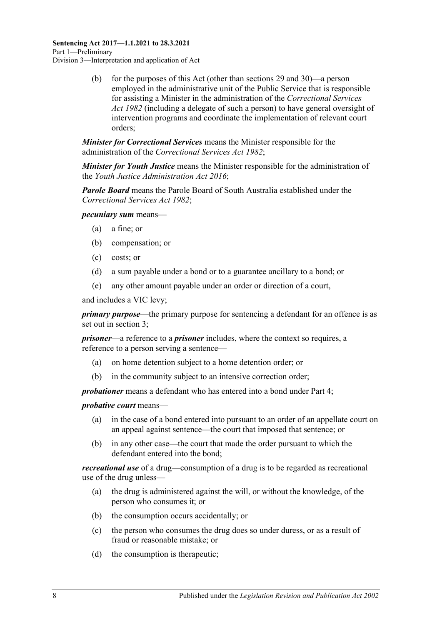(b) for the purposes of this Act (other than [sections](#page-22-0) 29 and [30\)](#page-23-0)—a person employed in the administrative unit of the Public Service that is responsible for assisting a Minister in the administration of the *[Correctional Services](http://www.legislation.sa.gov.au/index.aspx?action=legref&type=act&legtitle=Correctional%20Services%20Act%201982)  Act [1982](http://www.legislation.sa.gov.au/index.aspx?action=legref&type=act&legtitle=Correctional%20Services%20Act%201982)* (including a delegate of such a person) to have general oversight of intervention programs and coordinate the implementation of relevant court orders;

*Minister for Correctional Services* means the Minister responsible for the administration of the *[Correctional Services Act](http://www.legislation.sa.gov.au/index.aspx?action=legref&type=act&legtitle=Correctional%20Services%20Act%201982) 1982*;

*Minister for Youth Justice* means the Minister responsible for the administration of the *[Youth Justice Administration Act](http://www.legislation.sa.gov.au/index.aspx?action=legref&type=act&legtitle=Youth%20Justice%20Administration%20Act%202016) 2016*;

*Parole Board* means the Parole Board of South Australia established under the *[Correctional Services Act](http://www.legislation.sa.gov.au/index.aspx?action=legref&type=act&legtitle=Correctional%20Services%20Act%201982) 1982*;

*pecuniary sum* means—

- (a) a fine; or
- (b) compensation; or
- (c) costs; or
- (d) a sum payable under a bond or to a guarantee ancillary to a bond; or
- (e) any other amount payable under an order or direction of a court,

and includes a VIC levy;

*primary purpose*—the primary purpose for sentencing a defendant for an offence is as set out in [section](#page-4-4) 3;

*prisoner*—a reference to a *prisoner* includes, where the context so requires, a reference to a person serving a sentence—

- (a) on home detention subject to a home detention order; or
- (b) in the community subject to an intensive correction order;

*probationer* means a defendant who has entered into a bond under [Part](#page-77-4) 4;

*probative court* means—

- (a) in the case of a bond entered into pursuant to an order of an appellate court on an appeal against sentence—the court that imposed that sentence; or
- (b) in any other case—the court that made the order pursuant to which the defendant entered into the bond;

*recreational use* of a drug—consumption of a drug is to be regarded as recreational use of the drug unless—

- (a) the drug is administered against the will, or without the knowledge, of the person who consumes it; or
- (b) the consumption occurs accidentally; or
- (c) the person who consumes the drug does so under duress, or as a result of fraud or reasonable mistake; or
- (d) the consumption is therapeutic;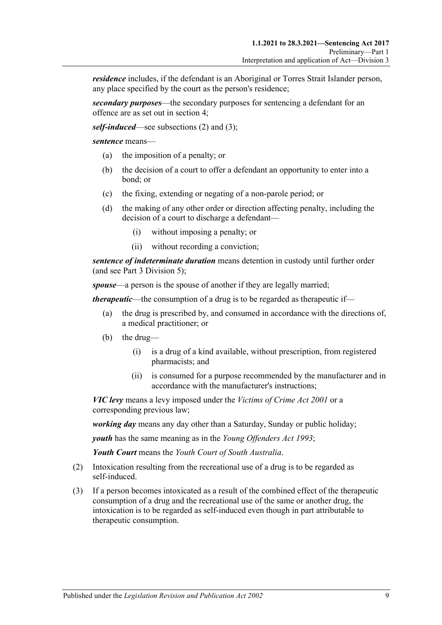*residence* includes, if the defendant is an Aboriginal or Torres Strait Islander person, any place specified by the court as the person's residence;

*secondary purposes*—the secondary purposes for sentencing a defendant for an offence are as set out in [section](#page-4-5) 4;

*self-induced*—see [subsections \(2\)](#page-8-0) and [\(3\);](#page-8-1)

*sentence* means—

- (a) the imposition of a penalty; or
- (b) the decision of a court to offer a defendant an opportunity to enter into a bond; or
- (c) the fixing, extending or negating of a non-parole period; or
- (d) the making of any other order or direction affecting penalty, including the decision of a court to discharge a defendant—
	- (i) without imposing a penalty; or
	- (ii) without recording a conviction;

*sentence of indeterminate duration* means detention in custody until further order (and see Part [3 Division](#page-45-0) 5);

*spouse*—a person is the spouse of another if they are legally married;

*therapeutic*—the consumption of a drug is to be regarded as therapeutic if—

- (a) the drug is prescribed by, and consumed in accordance with the directions of, a medical practitioner; or
- (b) the drug—
	- (i) is a drug of a kind available, without prescription, from registered pharmacists; and
	- (ii) is consumed for a purpose recommended by the manufacturer and in accordance with the manufacturer's instructions;

*VIC levy* means a levy imposed under the *[Victims of Crime Act](http://www.legislation.sa.gov.au/index.aspx?action=legref&type=act&legtitle=Victims%20of%20Crime%20Act%202001) 2001* or a corresponding previous law;

*working day* means any day other than a Saturday, Sunday or public holiday;

*youth* has the same meaning as in the *[Young Offenders Act](http://www.legislation.sa.gov.au/index.aspx?action=legref&type=act&legtitle=Young%20Offenders%20Act%201993) 1993*;

*Youth Court* means the *Youth Court of South Australia*.

- <span id="page-8-0"></span>(2) Intoxication resulting from the recreational use of a drug is to be regarded as self-induced.
- <span id="page-8-1"></span>(3) If a person becomes intoxicated as a result of the combined effect of the therapeutic consumption of a drug and the recreational use of the same or another drug, the intoxication is to be regarded as self-induced even though in part attributable to therapeutic consumption.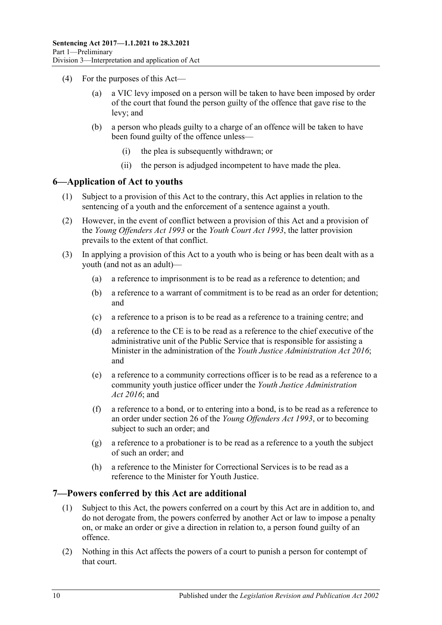- (4) For the purposes of this Act
	- a VIC levy imposed on a person will be taken to have been imposed by order of the court that found the person guilty of the offence that gave rise to the levy; and
	- (b) a person who pleads guilty to a charge of an offence will be taken to have been found guilty of the offence unless—
		- (i) the plea is subsequently withdrawn; or
		- (ii) the person is adjudged incompetent to have made the plea.

### <span id="page-9-0"></span>**6—Application of Act to youths**

- (1) Subject to a provision of this Act to the contrary, this Act applies in relation to the sentencing of a youth and the enforcement of a sentence against a youth.
- (2) However, in the event of conflict between a provision of this Act and a provision of the *[Young Offenders Act](http://www.legislation.sa.gov.au/index.aspx?action=legref&type=act&legtitle=Young%20Offenders%20Act%201993) 1993* or the *[Youth Court Act](http://www.legislation.sa.gov.au/index.aspx?action=legref&type=act&legtitle=Youth%20Court%20Act%201993) 1993*, the latter provision prevails to the extent of that conflict.
- (3) In applying a provision of this Act to a youth who is being or has been dealt with as a youth (and not as an adult)—
	- (a) a reference to imprisonment is to be read as a reference to detention; and
	- (b) a reference to a warrant of commitment is to be read as an order for detention; and
	- (c) a reference to a prison is to be read as a reference to a training centre; and
	- (d) a reference to the CE is to be read as a reference to the chief executive of the administrative unit of the Public Service that is responsible for assisting a Minister in the administration of the *[Youth Justice Administration Act](http://www.legislation.sa.gov.au/index.aspx?action=legref&type=act&legtitle=Youth%20Justice%20Administration%20Act%202016) 2016*; and
	- (e) a reference to a community corrections officer is to be read as a reference to a community youth justice officer under the *[Youth Justice Administration](http://www.legislation.sa.gov.au/index.aspx?action=legref&type=act&legtitle=Youth%20Justice%20Administration%20Act%202016)  Act [2016](http://www.legislation.sa.gov.au/index.aspx?action=legref&type=act&legtitle=Youth%20Justice%20Administration%20Act%202016)*; and
	- (f) a reference to a bond, or to entering into a bond, is to be read as a reference to an order under section 26 of the *[Young Offenders Act](http://www.legislation.sa.gov.au/index.aspx?action=legref&type=act&legtitle=Young%20Offenders%20Act%201993) 1993*, or to becoming subject to such an order; and
	- (g) a reference to a probationer is to be read as a reference to a youth the subject of such an order; and
	- (h) a reference to the Minister for Correctional Services is to be read as a reference to the Minister for Youth Justice.

#### <span id="page-9-1"></span>**7—Powers conferred by this Act are additional**

- (1) Subject to this Act, the powers conferred on a court by this Act are in addition to, and do not derogate from, the powers conferred by another Act or law to impose a penalty on, or make an order or give a direction in relation to, a person found guilty of an offence.
- (2) Nothing in this Act affects the powers of a court to punish a person for contempt of that court.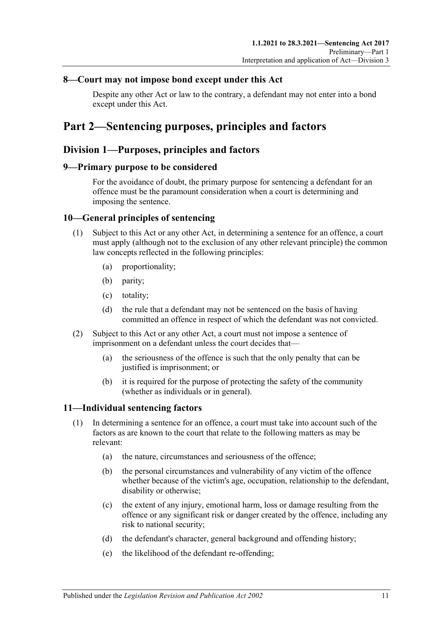## <span id="page-10-0"></span>**8—Court may not impose bond except under this Act**

Despite any other Act or law to the contrary, a defendant may not enter into a bond except under this Act.

# <span id="page-10-1"></span>**Part 2—Sentencing purposes, principles and factors**

## <span id="page-10-2"></span>**Division 1—Purposes, principles and factors**

### <span id="page-10-3"></span>**9—Primary purpose to be considered**

For the avoidance of doubt, the primary purpose for sentencing a defendant for an offence must be the paramount consideration when a court is determining and imposing the sentence.

## <span id="page-10-4"></span>**10—General principles of sentencing**

- (1) Subject to this Act or any other Act, in determining a sentence for an offence, a court must apply (although not to the exclusion of any other relevant principle) the common law concepts reflected in the following principles:
	- (a) proportionality;
	- (b) parity;
	- (c) totality;
	- (d) the rule that a defendant may not be sentenced on the basis of having committed an offence in respect of which the defendant was not convicted.
- (2) Subject to this Act or any other Act, a court must not impose a sentence of imprisonment on a defendant unless the court decides that—
	- (a) the seriousness of the offence is such that the only penalty that can be justified is imprisonment; or
	- (b) it is required for the purpose of protecting the safety of the community (whether as individuals or in general).

## <span id="page-10-6"></span><span id="page-10-5"></span>**11—Individual sentencing factors**

- <span id="page-10-7"></span>(1) In determining a sentence for an offence, a court must take into account such of the factors as are known to the court that relate to the following matters as may be relevant:
	- (a) the nature, circumstances and seriousness of the offence;
	- (b) the personal circumstances and vulnerability of any victim of the offence whether because of the victim's age, occupation, relationship to the defendant, disability or otherwise;
	- (c) the extent of any injury, emotional harm, loss or damage resulting from the offence or any significant risk or danger created by the offence, including any risk to national security;
	- (d) the defendant's character, general background and offending history;
	- (e) the likelihood of the defendant re-offending;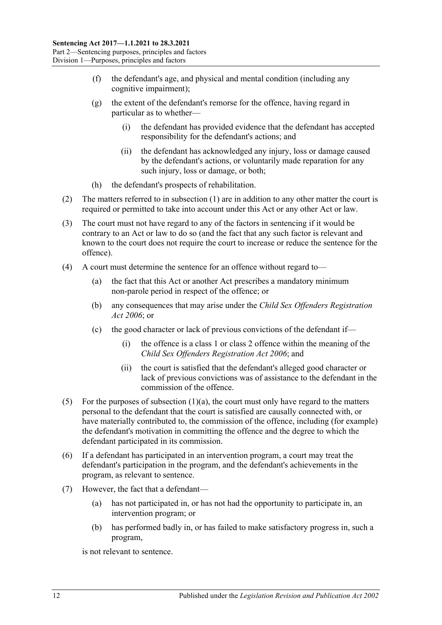- (f) the defendant's age, and physical and mental condition (including any cognitive impairment);
- (g) the extent of the defendant's remorse for the offence, having regard in particular as to whether—
	- (i) the defendant has provided evidence that the defendant has accepted responsibility for the defendant's actions; and
	- (ii) the defendant has acknowledged any injury, loss or damage caused by the defendant's actions, or voluntarily made reparation for any such injury, loss or damage, or both;
- (h) the defendant's prospects of rehabilitation.
- (2) The matters referred to in [subsection](#page-10-6) (1) are in addition to any other matter the court is required or permitted to take into account under this Act or any other Act or law.
- (3) The court must not have regard to any of the factors in sentencing if it would be contrary to an Act or law to do so (and the fact that any such factor is relevant and known to the court does not require the court to increase or reduce the sentence for the offence).
- (4) A court must determine the sentence for an offence without regard to—
	- (a) the fact that this Act or another Act prescribes a mandatory minimum non-parole period in respect of the offence; or
	- (b) any consequences that may arise under the *[Child Sex Offenders Registration](http://www.legislation.sa.gov.au/index.aspx?action=legref&type=act&legtitle=Child%20Sex%20Offenders%20Registration%20Act%202006)  Act [2006](http://www.legislation.sa.gov.au/index.aspx?action=legref&type=act&legtitle=Child%20Sex%20Offenders%20Registration%20Act%202006)*; or
	- (c) the good character or lack of previous convictions of the defendant if—
		- (i) the offence is a class 1 or class 2 offence within the meaning of the *[Child Sex Offenders Registration Act](http://www.legislation.sa.gov.au/index.aspx?action=legref&type=act&legtitle=Child%20Sex%20Offenders%20Registration%20Act%202006) 2006*; and
		- (ii) the court is satisfied that the defendant's alleged good character or lack of previous convictions was of assistance to the defendant in the commission of the offence.
- (5) For the purposes of [subsection](#page-10-7)  $(1)(a)$ , the court must only have regard to the matters personal to the defendant that the court is satisfied are causally connected with, or have materially contributed to, the commission of the offence, including (for example) the defendant's motivation in committing the offence and the degree to which the defendant participated in its commission.
- (6) If a defendant has participated in an intervention program, a court may treat the defendant's participation in the program, and the defendant's achievements in the program, as relevant to sentence.
- (7) However, the fact that a defendant—
	- (a) has not participated in, or has not had the opportunity to participate in, an intervention program; or
	- (b) has performed badly in, or has failed to make satisfactory progress in, such a program,

is not relevant to sentence.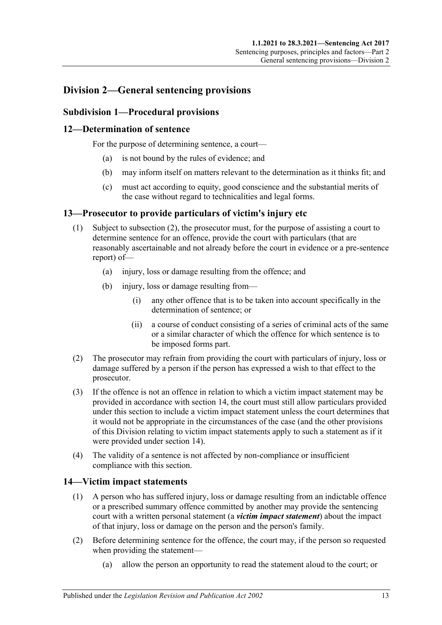# <span id="page-12-0"></span>**Division 2—General sentencing provisions**

## <span id="page-12-1"></span>**Subdivision 1—Procedural provisions**

## <span id="page-12-2"></span>**12—Determination of sentence**

For the purpose of determining sentence, a court—

- (a) is not bound by the rules of evidence; and
- (b) may inform itself on matters relevant to the determination as it thinks fit; and
- (c) must act according to equity, good conscience and the substantial merits of the case without regard to technicalities and legal forms.

### <span id="page-12-3"></span>**13—Prosecutor to provide particulars of victim's injury etc**

- (1) Subject to [subsection](#page-12-5) (2), the prosecutor must, for the purpose of assisting a court to determine sentence for an offence, provide the court with particulars (that are reasonably ascertainable and not already before the court in evidence or a pre-sentence report) of—
	- (a) injury, loss or damage resulting from the offence; and
	- (b) injury, loss or damage resulting from—
		- (i) any other offence that is to be taken into account specifically in the determination of sentence; or
		- (ii) a course of conduct consisting of a series of criminal acts of the same or a similar character of which the offence for which sentence is to be imposed forms part.
- <span id="page-12-5"></span>(2) The prosecutor may refrain from providing the court with particulars of injury, loss or damage suffered by a person if the person has expressed a wish to that effect to the prosecutor.
- (3) If the offence is not an offence in relation to which a victim impact statement may be provided in accordance with [section](#page-12-4) 14, the court must still allow particulars provided under this section to include a victim impact statement unless the court determines that it would not be appropriate in the circumstances of the case (and the other provisions of this Division relating to victim impact statements apply to such a statement as if it were provided under [section](#page-12-4) 14).
- (4) The validity of a sentence is not affected by non-compliance or insufficient compliance with this section.

## <span id="page-12-4"></span>**14—Victim impact statements**

- (1) A person who has suffered injury, loss or damage resulting from an indictable offence or a prescribed summary offence committed by another may provide the sentencing court with a written personal statement (a *victim impact statement*) about the impact of that injury, loss or damage on the person and the person's family.
- (2) Before determining sentence for the offence, the court may, if the person so requested when providing the statement—
	- (a) allow the person an opportunity to read the statement aloud to the court; or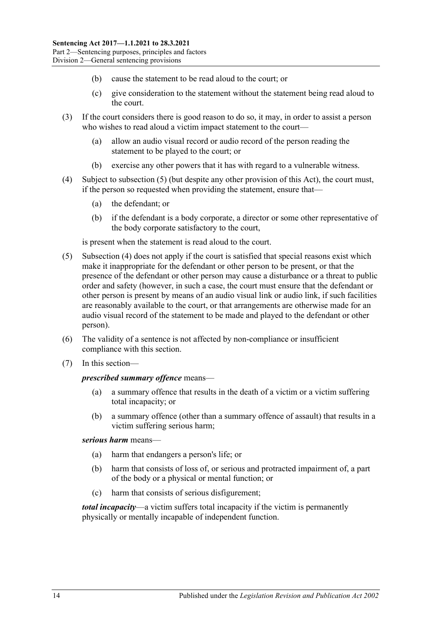- (b) cause the statement to be read aloud to the court; or
- (c) give consideration to the statement without the statement being read aloud to the court.
- (3) If the court considers there is good reason to do so, it may, in order to assist a person who wishes to read aloud a victim impact statement to the court—
	- (a) allow an audio visual record or audio record of the person reading the statement to be played to the court; or
	- (b) exercise any other powers that it has with regard to a vulnerable witness.
- <span id="page-13-1"></span>(4) Subject to [subsection](#page-13-0) (5) (but despite any other provision of this Act), the court must, if the person so requested when providing the statement, ensure that—
	- (a) the defendant; or
	- (b) if the defendant is a body corporate, a director or some other representative of the body corporate satisfactory to the court,

is present when the statement is read aloud to the court.

- <span id="page-13-0"></span>(5) [Subsection](#page-13-1) (4) does not apply if the court is satisfied that special reasons exist which make it inappropriate for the defendant or other person to be present, or that the presence of the defendant or other person may cause a disturbance or a threat to public order and safety (however, in such a case, the court must ensure that the defendant or other person is present by means of an audio visual link or audio link, if such facilities are reasonably available to the court, or that arrangements are otherwise made for an audio visual record of the statement to be made and played to the defendant or other person).
- (6) The validity of a sentence is not affected by non-compliance or insufficient compliance with this section.
- (7) In this section—

#### *prescribed summary offence* means—

- (a) a summary offence that results in the death of a victim or a victim suffering total incapacity; or
- (b) a summary offence (other than a summary offence of assault) that results in a victim suffering serious harm;

#### *serious harm* means—

- (a) harm that endangers a person's life; or
- (b) harm that consists of loss of, or serious and protracted impairment of, a part of the body or a physical or mental function; or
- (c) harm that consists of serious disfigurement;

*total incapacity*—a victim suffers total incapacity if the victim is permanently physically or mentally incapable of independent function.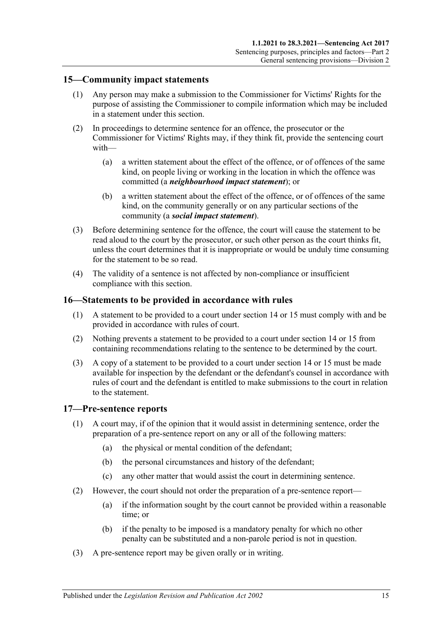## <span id="page-14-0"></span>**15—Community impact statements**

- (1) Any person may make a submission to the Commissioner for Victims' Rights for the purpose of assisting the Commissioner to compile information which may be included in a statement under this section.
- (2) In proceedings to determine sentence for an offence, the prosecutor or the Commissioner for Victims' Rights may, if they think fit, provide the sentencing court with—
	- (a) a written statement about the effect of the offence, or of offences of the same kind, on people living or working in the location in which the offence was committed (a *neighbourhood impact statement*); or
	- (b) a written statement about the effect of the offence, or of offences of the same kind, on the community generally or on any particular sections of the community (a *social impact statement*).
- (3) Before determining sentence for the offence, the court will cause the statement to be read aloud to the court by the prosecutor, or such other person as the court thinks fit, unless the court determines that it is inappropriate or would be unduly time consuming for the statement to be so read.
- (4) The validity of a sentence is not affected by non-compliance or insufficient compliance with this section.

#### <span id="page-14-1"></span>**16—Statements to be provided in accordance with rules**

- (1) A statement to be provided to a court under [section](#page-12-4) 14 or [15](#page-14-0) must comply with and be provided in accordance with rules of court.
- (2) Nothing prevents a statement to be provided to a court under [section](#page-12-4) 14 or [15](#page-14-0) from containing recommendations relating to the sentence to be determined by the court.
- (3) A copy of a statement to be provided to a court under [section](#page-12-4) 14 or [15](#page-14-0) must be made available for inspection by the defendant or the defendant's counsel in accordance with rules of court and the defendant is entitled to make submissions to the court in relation to the statement.

#### <span id="page-14-2"></span>**17—Pre-sentence reports**

- (1) A court may, if of the opinion that it would assist in determining sentence, order the preparation of a pre-sentence report on any or all of the following matters:
	- (a) the physical or mental condition of the defendant;
	- (b) the personal circumstances and history of the defendant;
	- (c) any other matter that would assist the court in determining sentence.
- (2) However, the court should not order the preparation of a pre-sentence report—
	- (a) if the information sought by the court cannot be provided within a reasonable time; or
	- (b) if the penalty to be imposed is a mandatory penalty for which no other penalty can be substituted and a non-parole period is not in question.
- (3) A pre-sentence report may be given orally or in writing.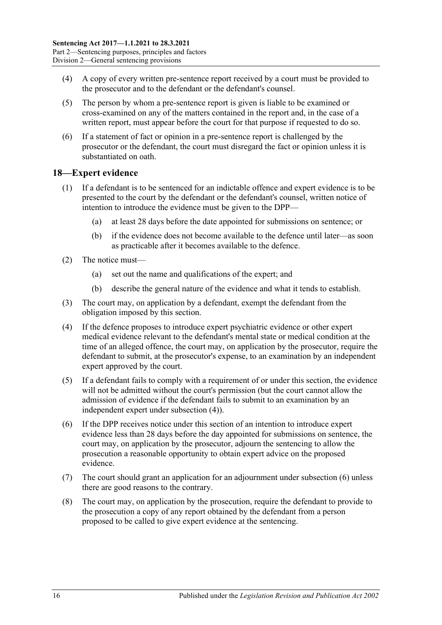- (4) A copy of every written pre-sentence report received by a court must be provided to the prosecutor and to the defendant or the defendant's counsel.
- (5) The person by whom a pre-sentence report is given is liable to be examined or cross-examined on any of the matters contained in the report and, in the case of a written report, must appear before the court for that purpose if requested to do so.
- (6) If a statement of fact or opinion in a pre-sentence report is challenged by the prosecutor or the defendant, the court must disregard the fact or opinion unless it is substantiated on oath.

### <span id="page-15-0"></span>**18—Expert evidence**

- (1) If a defendant is to be sentenced for an indictable offence and expert evidence is to be presented to the court by the defendant or the defendant's counsel, written notice of intention to introduce the evidence must be given to the DPP—
	- (a) at least 28 days before the date appointed for submissions on sentence; or
	- (b) if the evidence does not become available to the defence until later—as soon as practicable after it becomes available to the defence.
- (2) The notice must—
	- (a) set out the name and qualifications of the expert; and
	- (b) describe the general nature of the evidence and what it tends to establish.
- (3) The court may, on application by a defendant, exempt the defendant from the obligation imposed by this section.
- <span id="page-15-1"></span>(4) If the defence proposes to introduce expert psychiatric evidence or other expert medical evidence relevant to the defendant's mental state or medical condition at the time of an alleged offence, the court may, on application by the prosecutor, require the defendant to submit, at the prosecutor's expense, to an examination by an independent expert approved by the court.
- (5) If a defendant fails to comply with a requirement of or under this section, the evidence will not be admitted without the court's permission (but the court cannot allow the admission of evidence if the defendant fails to submit to an examination by an independent expert under [subsection](#page-15-1) (4)).
- <span id="page-15-2"></span>(6) If the DPP receives notice under this section of an intention to introduce expert evidence less than 28 days before the day appointed for submissions on sentence, the court may, on application by the prosecutor, adjourn the sentencing to allow the prosecution a reasonable opportunity to obtain expert advice on the proposed evidence.
- (7) The court should grant an application for an adjournment unde[r subsection](#page-15-2) (6) unless there are good reasons to the contrary.
- (8) The court may, on application by the prosecution, require the defendant to provide to the prosecution a copy of any report obtained by the defendant from a person proposed to be called to give expert evidence at the sentencing.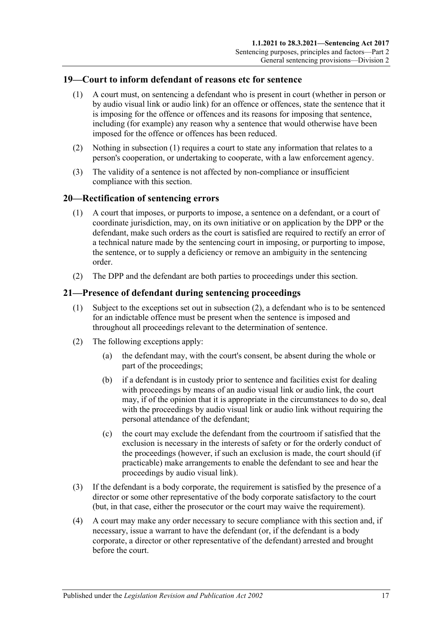## <span id="page-16-3"></span><span id="page-16-0"></span>**19—Court to inform defendant of reasons etc for sentence**

- (1) A court must, on sentencing a defendant who is present in court (whether in person or by audio visual link or audio link) for an offence or offences, state the sentence that it is imposing for the offence or offences and its reasons for imposing that sentence, including (for example) any reason why a sentence that would otherwise have been imposed for the offence or offences has been reduced.
- (2) Nothing in [subsection](#page-16-3) (1) requires a court to state any information that relates to a person's cooperation, or undertaking to cooperate, with a law enforcement agency.
- (3) The validity of a sentence is not affected by non-compliance or insufficient compliance with this section.

## <span id="page-16-1"></span>**20—Rectification of sentencing errors**

- (1) A court that imposes, or purports to impose, a sentence on a defendant, or a court of coordinate jurisdiction, may, on its own initiative or on application by the DPP or the defendant, make such orders as the court is satisfied are required to rectify an error of a technical nature made by the sentencing court in imposing, or purporting to impose, the sentence, or to supply a deficiency or remove an ambiguity in the sentencing order.
- (2) The DPP and the defendant are both parties to proceedings under this section.

## <span id="page-16-2"></span>**21—Presence of defendant during sentencing proceedings**

- (1) Subject to the exceptions set out in [subsection](#page-16-4) (2), a defendant who is to be sentenced for an indictable offence must be present when the sentence is imposed and throughout all proceedings relevant to the determination of sentence.
- <span id="page-16-4"></span>(2) The following exceptions apply:
	- (a) the defendant may, with the court's consent, be absent during the whole or part of the proceedings;
	- (b) if a defendant is in custody prior to sentence and facilities exist for dealing with proceedings by means of an audio visual link or audio link, the court may, if of the opinion that it is appropriate in the circumstances to do so, deal with the proceedings by audio visual link or audio link without requiring the personal attendance of the defendant;
	- (c) the court may exclude the defendant from the courtroom if satisfied that the exclusion is necessary in the interests of safety or for the orderly conduct of the proceedings (however, if such an exclusion is made, the court should (if practicable) make arrangements to enable the defendant to see and hear the proceedings by audio visual link).
- (3) If the defendant is a body corporate, the requirement is satisfied by the presence of a director or some other representative of the body corporate satisfactory to the court (but, in that case, either the prosecutor or the court may waive the requirement).
- (4) A court may make any order necessary to secure compliance with this section and, if necessary, issue a warrant to have the defendant (or, if the defendant is a body corporate, a director or other representative of the defendant) arrested and brought before the court.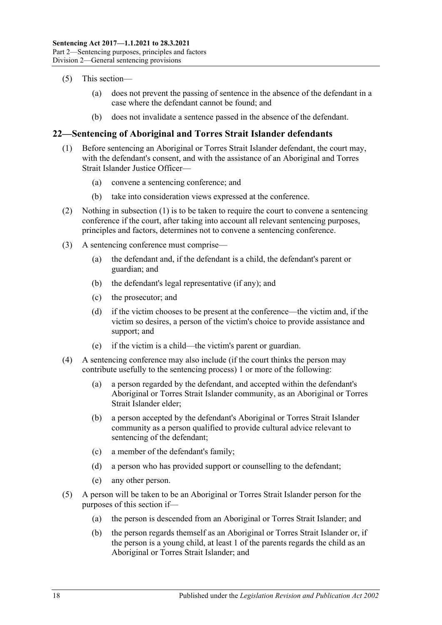- (5) This section—
	- (a) does not prevent the passing of sentence in the absence of the defendant in a case where the defendant cannot be found; and
	- (b) does not invalidate a sentence passed in the absence of the defendant.

## <span id="page-17-1"></span><span id="page-17-0"></span>**22—Sentencing of Aboriginal and Torres Strait Islander defendants**

- (1) Before sentencing an Aboriginal or Torres Strait Islander defendant, the court may, with the defendant's consent, and with the assistance of an Aboriginal and Torres Strait Islander Justice Officer—
	- (a) convene a sentencing conference; and
	- (b) take into consideration views expressed at the conference.
- (2) Nothing in [subsection](#page-17-1) (1) is to be taken to require the court to convene a sentencing conference if the court, after taking into account all relevant sentencing purposes, principles and factors, determines not to convene a sentencing conference.
- (3) A sentencing conference must comprise—
	- (a) the defendant and, if the defendant is a child, the defendant's parent or guardian; and
	- (b) the defendant's legal representative (if any); and
	- (c) the prosecutor; and
	- (d) if the victim chooses to be present at the conference—the victim and, if the victim so desires, a person of the victim's choice to provide assistance and support; and
	- (e) if the victim is a child—the victim's parent or guardian.
- (4) A sentencing conference may also include (if the court thinks the person may contribute usefully to the sentencing process) 1 or more of the following:
	- (a) a person regarded by the defendant, and accepted within the defendant's Aboriginal or Torres Strait Islander community, as an Aboriginal or Torres Strait Islander elder;
	- (b) a person accepted by the defendant's Aboriginal or Torres Strait Islander community as a person qualified to provide cultural advice relevant to sentencing of the defendant;
	- (c) a member of the defendant's family;
	- (d) a person who has provided support or counselling to the defendant;
	- (e) any other person.
- (5) A person will be taken to be an Aboriginal or Torres Strait Islander person for the purposes of this section if—
	- (a) the person is descended from an Aboriginal or Torres Strait Islander; and
	- (b) the person regards themself as an Aboriginal or Torres Strait Islander or, if the person is a young child, at least 1 of the parents regards the child as an Aboriginal or Torres Strait Islander; and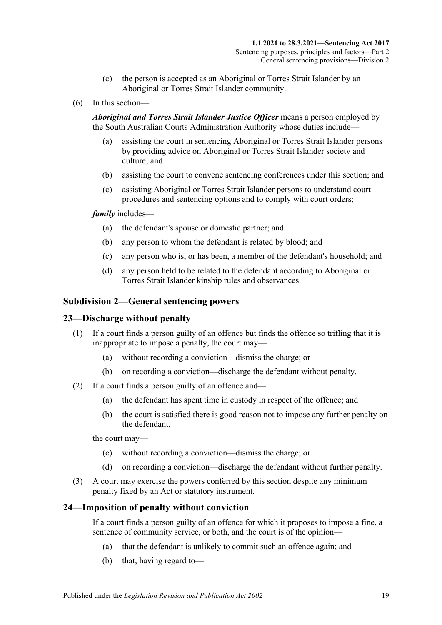- (c) the person is accepted as an Aboriginal or Torres Strait Islander by an Aboriginal or Torres Strait Islander community.
- (6) In this section—

*Aboriginal and Torres Strait Islander Justice Officer* means a person employed by the South Australian Courts Administration Authority whose duties include—

- (a) assisting the court in sentencing Aboriginal or Torres Strait Islander persons by providing advice on Aboriginal or Torres Strait Islander society and culture; and
- (b) assisting the court to convene sentencing conferences under this section; and
- (c) assisting Aboriginal or Torres Strait Islander persons to understand court procedures and sentencing options and to comply with court orders;

#### *family* includes—

- (a) the defendant's spouse or domestic partner; and
- (b) any person to whom the defendant is related by blood; and
- (c) any person who is, or has been, a member of the defendant's household; and
- (d) any person held to be related to the defendant according to Aboriginal or Torres Strait Islander kinship rules and observances.

#### <span id="page-18-0"></span>**Subdivision 2—General sentencing powers**

#### <span id="page-18-1"></span>**23—Discharge without penalty**

- (1) If a court finds a person guilty of an offence but finds the offence so trifling that it is inappropriate to impose a penalty, the court may—
	- (a) without recording a conviction—dismiss the charge; or
	- (b) on recording a conviction—discharge the defendant without penalty.
- (2) If a court finds a person guilty of an offence and—
	- (a) the defendant has spent time in custody in respect of the offence; and
	- (b) the court is satisfied there is good reason not to impose any further penalty on the defendant,

the court may—

- (c) without recording a conviction—dismiss the charge; or
- (d) on recording a conviction—discharge the defendant without further penalty.
- (3) A court may exercise the powers conferred by this section despite any minimum penalty fixed by an Act or statutory instrument.

#### <span id="page-18-2"></span>**24—Imposition of penalty without conviction**

If a court finds a person guilty of an offence for which it proposes to impose a fine, a sentence of community service, or both, and the court is of the opinion—

- (a) that the defendant is unlikely to commit such an offence again; and
- (b) that, having regard to—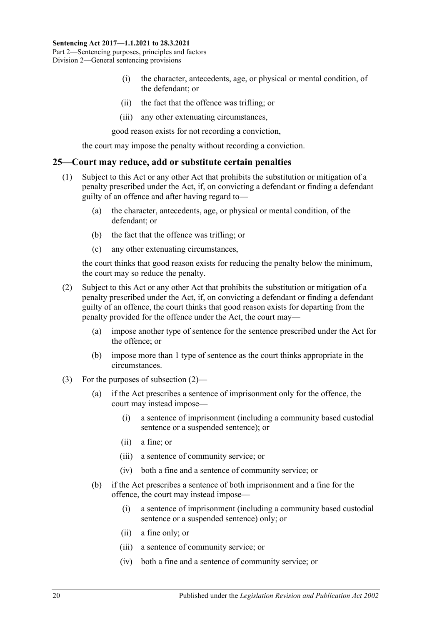- (i) the character, antecedents, age, or physical or mental condition, of the defendant; or
- (ii) the fact that the offence was trifling; or
- (iii) any other extenuating circumstances,

good reason exists for not recording a conviction,

the court may impose the penalty without recording a conviction.

#### <span id="page-19-0"></span>**25—Court may reduce, add or substitute certain penalties**

- (1) Subject to this Act or any other Act that prohibits the substitution or mitigation of a penalty prescribed under the Act, if, on convicting a defendant or finding a defendant guilty of an offence and after having regard to—
	- (a) the character, antecedents, age, or physical or mental condition, of the defendant; or
	- (b) the fact that the offence was trifling; or
	- (c) any other extenuating circumstances,

the court thinks that good reason exists for reducing the penalty below the minimum, the court may so reduce the penalty.

- <span id="page-19-1"></span>(2) Subject to this Act or any other Act that prohibits the substitution or mitigation of a penalty prescribed under the Act, if, on convicting a defendant or finding a defendant guilty of an offence, the court thinks that good reason exists for departing from the penalty provided for the offence under the Act, the court may—
	- (a) impose another type of sentence for the sentence prescribed under the Act for the offence; or
	- (b) impose more than 1 type of sentence as the court thinks appropriate in the circumstances.
- (3) For the purposes of [subsection](#page-19-1) (2)—
	- (a) if the Act prescribes a sentence of imprisonment only for the offence, the court may instead impose—
		- (i) a sentence of imprisonment (including a community based custodial sentence or a suspended sentence); or
		- (ii) a fine; or
		- (iii) a sentence of community service; or
		- (iv) both a fine and a sentence of community service; or
	- (b) if the Act prescribes a sentence of both imprisonment and a fine for the offence, the court may instead impose—
		- (i) a sentence of imprisonment (including a community based custodial sentence or a suspended sentence) only; or
		- (ii) a fine only; or
		- (iii) a sentence of community service; or
		- (iv) both a fine and a sentence of community service; or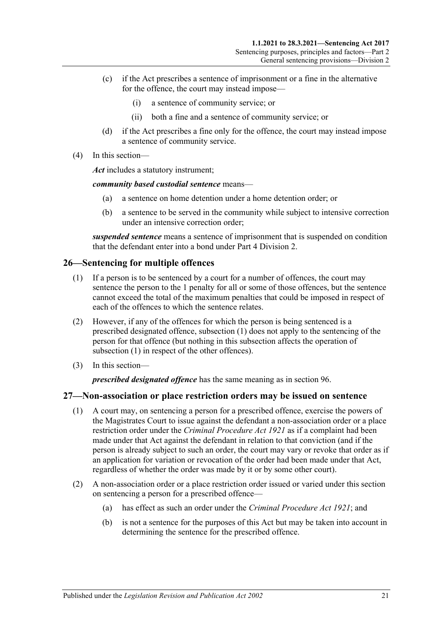- (c) if the Act prescribes a sentence of imprisonment or a fine in the alternative for the offence, the court may instead impose—
	- (i) a sentence of community service; or
	- (ii) both a fine and a sentence of community service; or
- (d) if the Act prescribes a fine only for the offence, the court may instead impose a sentence of community service.
- (4) In this section—

*Act* includes a statutory instrument;

*community based custodial sentence* means—

- (a) a sentence on home detention under a home detention order; or
- (b) a sentence to be served in the community while subject to intensive correction under an intensive correction order;

*suspended sentence* means a sentence of imprisonment that is suspended on condition that the defendant enter into a bond under Part [4 Division](#page-78-0) 2.

### <span id="page-20-2"></span><span id="page-20-0"></span>**26—Sentencing for multiple offences**

- (1) If a person is to be sentenced by a court for a number of offences, the court may sentence the person to the 1 penalty for all or some of those offences, but the sentence cannot exceed the total of the maximum penalties that could be imposed in respect of each of the offences to which the sentence relates.
- (2) However, if any of the offences for which the person is being sentenced is a prescribed designated offence, [subsection](#page-20-2) (1) does not apply to the sentencing of the person for that offence (but nothing in this subsection affects the operation of [subsection](#page-20-2) (1) in respect of the other offences).
- (3) In this section—

*prescribed designated offence* has the same meaning as in [section](#page-78-1) 96.

#### <span id="page-20-1"></span>**27—Non-association or place restriction orders may be issued on sentence**

- (1) A court may, on sentencing a person for a prescribed offence, exercise the powers of the Magistrates Court to issue against the defendant a non-association order or a place restriction order under the *[Criminal Procedure Act](http://www.legislation.sa.gov.au/index.aspx?action=legref&type=act&legtitle=Criminal%20Procedure%20Act%201921) 1921* as if a complaint had been made under that Act against the defendant in relation to that conviction (and if the person is already subject to such an order, the court may vary or revoke that order as if an application for variation or revocation of the order had been made under that Act, regardless of whether the order was made by it or by some other court).
- (2) A non-association order or a place restriction order issued or varied under this section on sentencing a person for a prescribed offence—
	- (a) has effect as such an order under the *[Criminal Procedure Act](http://www.legislation.sa.gov.au/index.aspx?action=legref&type=act&legtitle=Criminal%20Procedure%20Act%201921) 1921*; and
	- (b) is not a sentence for the purposes of this Act but may be taken into account in determining the sentence for the prescribed offence.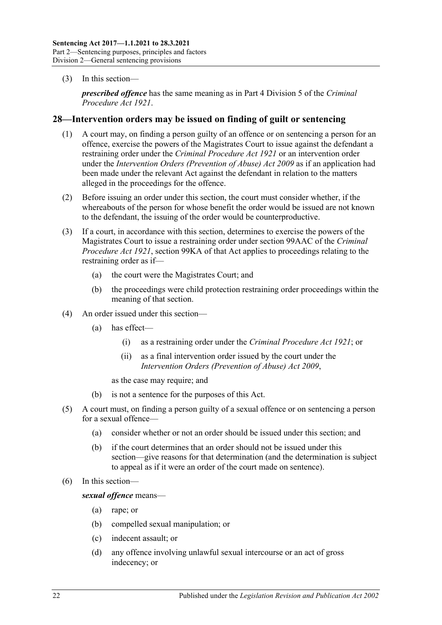(3) In this section—

*prescribed offence* has the same meaning as in Part 4 Division 5 of the *[Criminal](http://www.legislation.sa.gov.au/index.aspx?action=legref&type=act&legtitle=Criminal%20Procedure%20Act%201921)  [Procedure Act](http://www.legislation.sa.gov.au/index.aspx?action=legref&type=act&legtitle=Criminal%20Procedure%20Act%201921) 1921*.

### <span id="page-21-0"></span>**28—Intervention orders may be issued on finding of guilt or sentencing**

- (1) A court may, on finding a person guilty of an offence or on sentencing a person for an offence, exercise the powers of the Magistrates Court to issue against the defendant a restraining order under the *[Criminal Procedure Act](http://www.legislation.sa.gov.au/index.aspx?action=legref&type=act&legtitle=Criminal%20Procedure%20Act%201921) 1921* or an intervention order under the *[Intervention Orders \(Prevention of Abuse\) Act](http://www.legislation.sa.gov.au/index.aspx?action=legref&type=act&legtitle=Intervention%20Orders%20(Prevention%20of%20Abuse)%20Act%202009) 2009* as if an application had been made under the relevant Act against the defendant in relation to the matters alleged in the proceedings for the offence.
- (2) Before issuing an order under this section, the court must consider whether, if the whereabouts of the person for whose benefit the order would be issued are not known to the defendant, the issuing of the order would be counterproductive.
- (3) If a court, in accordance with this section, determines to exercise the powers of the Magistrates Court to issue a restraining order under section 99AAC of the *[Criminal](http://www.legislation.sa.gov.au/index.aspx?action=legref&type=act&legtitle=Criminal%20Procedure%20Act%201921)  [Procedure Act](http://www.legislation.sa.gov.au/index.aspx?action=legref&type=act&legtitle=Criminal%20Procedure%20Act%201921) 1921*, section 99KA of that Act applies to proceedings relating to the restraining order as if—
	- (a) the court were the Magistrates Court; and
	- (b) the proceedings were child protection restraining order proceedings within the meaning of that section.
- (4) An order issued under this section—
	- (a) has effect—
		- (i) as a restraining order under the *[Criminal Procedure Act](http://www.legislation.sa.gov.au/index.aspx?action=legref&type=act&legtitle=Criminal%20Procedure%20Act%201921) 1921*; or
		- (ii) as a final intervention order issued by the court under the *[Intervention Orders \(Prevention of Abuse\) Act](http://www.legislation.sa.gov.au/index.aspx?action=legref&type=act&legtitle=Intervention%20Orders%20(Prevention%20of%20Abuse)%20Act%202009) 2009*,

as the case may require; and

- (b) is not a sentence for the purposes of this Act.
- (5) A court must, on finding a person guilty of a sexual offence or on sentencing a person for a sexual offence—
	- (a) consider whether or not an order should be issued under this section; and
	- (b) if the court determines that an order should not be issued under this section—give reasons for that determination (and the determination is subject to appeal as if it were an order of the court made on sentence).
- (6) In this section—

*sexual offence* means—

- (a) rape; or
- (b) compelled sexual manipulation; or
- (c) indecent assault; or
- (d) any offence involving unlawful sexual intercourse or an act of gross indecency; or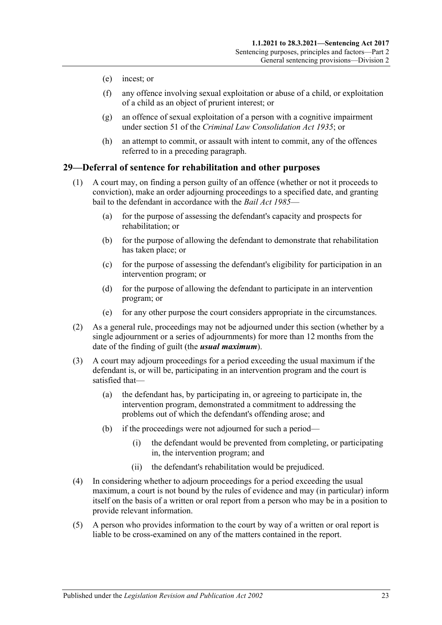- (e) incest; or
- (f) any offence involving sexual exploitation or abuse of a child, or exploitation of a child as an object of prurient interest; or
- (g) an offence of sexual exploitation of a person with a cognitive impairment under section 51 of the *[Criminal Law Consolidation Act](http://www.legislation.sa.gov.au/index.aspx?action=legref&type=act&legtitle=Criminal%20Law%20Consolidation%20Act%201935) 1935*; or
- (h) an attempt to commit, or assault with intent to commit, any of the offences referred to in a preceding paragraph.

### <span id="page-22-0"></span>**29—Deferral of sentence for rehabilitation and other purposes**

- (1) A court may, on finding a person guilty of an offence (whether or not it proceeds to conviction), make an order adjourning proceedings to a specified date, and granting bail to the defendant in accordance with the *[Bail Act](http://www.legislation.sa.gov.au/index.aspx?action=legref&type=act&legtitle=Bail%20Act%201985) 1985*—
	- (a) for the purpose of assessing the defendant's capacity and prospects for rehabilitation; or
	- (b) for the purpose of allowing the defendant to demonstrate that rehabilitation has taken place; or
	- (c) for the purpose of assessing the defendant's eligibility for participation in an intervention program; or
	- (d) for the purpose of allowing the defendant to participate in an intervention program; or
	- (e) for any other purpose the court considers appropriate in the circumstances.
- (2) As a general rule, proceedings may not be adjourned under this section (whether by a single adjournment or a series of adjournments) for more than 12 months from the date of the finding of guilt (the *usual maximum*).
- (3) A court may adjourn proceedings for a period exceeding the usual maximum if the defendant is, or will be, participating in an intervention program and the court is satisfied that—
	- (a) the defendant has, by participating in, or agreeing to participate in, the intervention program, demonstrated a commitment to addressing the problems out of which the defendant's offending arose; and
	- (b) if the proceedings were not adjourned for such a period—
		- (i) the defendant would be prevented from completing, or participating in, the intervention program; and
		- (ii) the defendant's rehabilitation would be prejudiced.
- (4) In considering whether to adjourn proceedings for a period exceeding the usual maximum, a court is not bound by the rules of evidence and may (in particular) inform itself on the basis of a written or oral report from a person who may be in a position to provide relevant information.
- (5) A person who provides information to the court by way of a written or oral report is liable to be cross-examined on any of the matters contained in the report.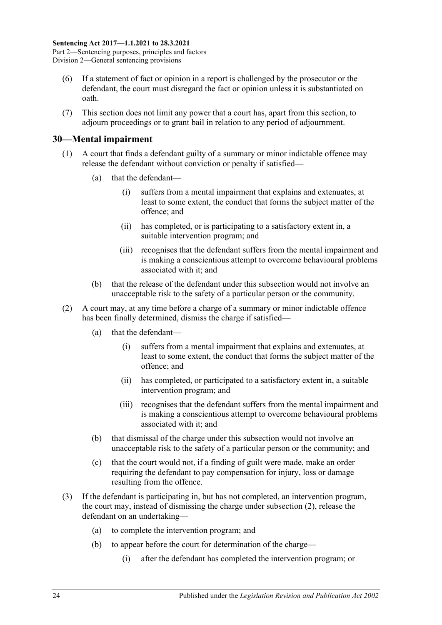- (6) If a statement of fact or opinion in a report is challenged by the prosecutor or the defendant, the court must disregard the fact or opinion unless it is substantiated on oath.
- (7) This section does not limit any power that a court has, apart from this section, to adjourn proceedings or to grant bail in relation to any period of adjournment.

## <span id="page-23-0"></span>**30—Mental impairment**

- (1) A court that finds a defendant guilty of a summary or minor indictable offence may release the defendant without conviction or penalty if satisfied—
	- (a) that the defendant—
		- (i) suffers from a mental impairment that explains and extenuates, at least to some extent, the conduct that forms the subject matter of the offence; and
		- (ii) has completed, or is participating to a satisfactory extent in, a suitable intervention program; and
		- (iii) recognises that the defendant suffers from the mental impairment and is making a conscientious attempt to overcome behavioural problems associated with it; and
	- (b) that the release of the defendant under this subsection would not involve an unacceptable risk to the safety of a particular person or the community.
- <span id="page-23-1"></span>(2) A court may, at any time before a charge of a summary or minor indictable offence has been finally determined, dismiss the charge if satisfied—
	- (a) that the defendant—
		- (i) suffers from a mental impairment that explains and extenuates, at least to some extent, the conduct that forms the subject matter of the offence; and
		- (ii) has completed, or participated to a satisfactory extent in, a suitable intervention program; and
		- (iii) recognises that the defendant suffers from the mental impairment and is making a conscientious attempt to overcome behavioural problems associated with it; and
	- (b) that dismissal of the charge under this subsection would not involve an unacceptable risk to the safety of a particular person or the community; and
	- (c) that the court would not, if a finding of guilt were made, make an order requiring the defendant to pay compensation for injury, loss or damage resulting from the offence.
- <span id="page-23-2"></span>(3) If the defendant is participating in, but has not completed, an intervention program, the court may, instead of dismissing the charge under [subsection](#page-23-1) (2), release the defendant on an undertaking—
	- (a) to complete the intervention program; and
	- (b) to appear before the court for determination of the charge—
		- (i) after the defendant has completed the intervention program; or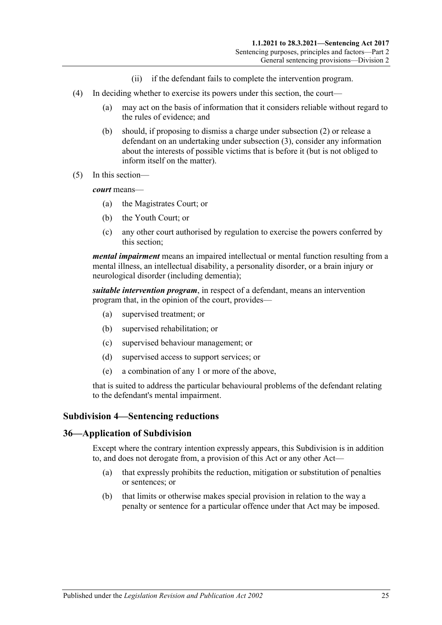- (ii) if the defendant fails to complete the intervention program.
- (4) In deciding whether to exercise its powers under this section, the court—
	- (a) may act on the basis of information that it considers reliable without regard to the rules of evidence; and
	- (b) should, if proposing to dismiss a charge under [subsection](#page-23-1) (2) or release a defendant on an undertaking under [subsection](#page-23-2) (3), consider any information about the interests of possible victims that is before it (but is not obliged to inform itself on the matter).
- (5) In this section—

*court* means—

- (a) the Magistrates Court; or
- (b) the Youth Court; or
- (c) any other court authorised by regulation to exercise the powers conferred by this section;

*mental impairment* means an impaired intellectual or mental function resulting from a mental illness, an intellectual disability, a personality disorder, or a brain injury or neurological disorder (including dementia);

*suitable intervention program*, in respect of a defendant, means an intervention program that, in the opinion of the court, provides—

- (a) supervised treatment; or
- (b) supervised rehabilitation; or
- (c) supervised behaviour management; or
- (d) supervised access to support services; or
- (e) a combination of any 1 or more of the above,

that is suited to address the particular behavioural problems of the defendant relating to the defendant's mental impairment.

#### <span id="page-24-0"></span>**Subdivision 4—Sentencing reductions**

#### <span id="page-24-1"></span>**36—Application of Subdivision**

Except where the contrary intention expressly appears, this Subdivision is in addition to, and does not derogate from, a provision of this Act or any other Act—

- (a) that expressly prohibits the reduction, mitigation or substitution of penalties or sentences; or
- (b) that limits or otherwise makes special provision in relation to the way a penalty or sentence for a particular offence under that Act may be imposed.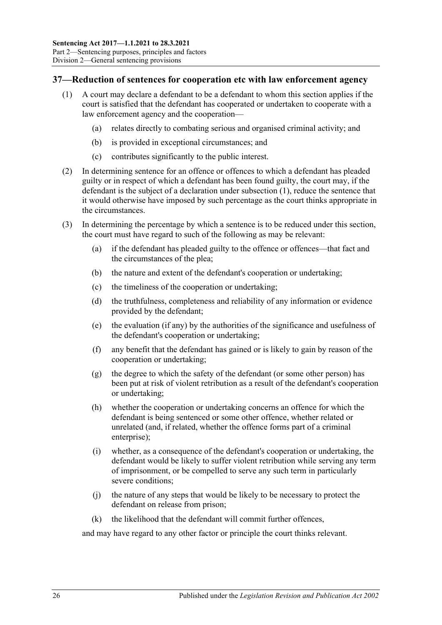## <span id="page-25-1"></span><span id="page-25-0"></span>**37—Reduction of sentences for cooperation etc with law enforcement agency**

- (1) A court may declare a defendant to be a defendant to whom this section applies if the court is satisfied that the defendant has cooperated or undertaken to cooperate with a law enforcement agency and the cooperation—
	- (a) relates directly to combating serious and organised criminal activity; and
	- (b) is provided in exceptional circumstances; and
	- (c) contributes significantly to the public interest.
- (2) In determining sentence for an offence or offences to which a defendant has pleaded guilty or in respect of which a defendant has been found guilty, the court may, if the defendant is the subject of a declaration under [subsection](#page-25-1) (1), reduce the sentence that it would otherwise have imposed by such percentage as the court thinks appropriate in the circumstances.
- (3) In determining the percentage by which a sentence is to be reduced under this section, the court must have regard to such of the following as may be relevant:
	- (a) if the defendant has pleaded guilty to the offence or offences—that fact and the circumstances of the plea;
	- (b) the nature and extent of the defendant's cooperation or undertaking;
	- (c) the timeliness of the cooperation or undertaking;
	- (d) the truthfulness, completeness and reliability of any information or evidence provided by the defendant;
	- (e) the evaluation (if any) by the authorities of the significance and usefulness of the defendant's cooperation or undertaking;
	- (f) any benefit that the defendant has gained or is likely to gain by reason of the cooperation or undertaking;
	- (g) the degree to which the safety of the defendant (or some other person) has been put at risk of violent retribution as a result of the defendant's cooperation or undertaking;
	- (h) whether the cooperation or undertaking concerns an offence for which the defendant is being sentenced or some other offence, whether related or unrelated (and, if related, whether the offence forms part of a criminal enterprise);
	- (i) whether, as a consequence of the defendant's cooperation or undertaking, the defendant would be likely to suffer violent retribution while serving any term of imprisonment, or be compelled to serve any such term in particularly severe conditions;
	- (j) the nature of any steps that would be likely to be necessary to protect the defendant on release from prison;
	- (k) the likelihood that the defendant will commit further offences,

and may have regard to any other factor or principle the court thinks relevant.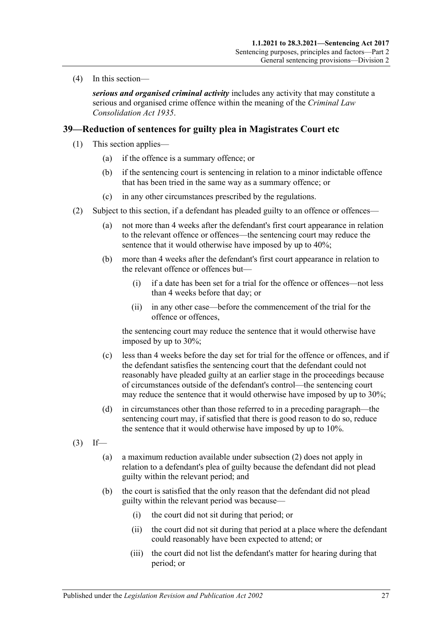(4) In this section—

*serious and organised criminal activity* includes any activity that may constitute a serious and organised crime offence within the meaning of the *[Criminal Law](http://www.legislation.sa.gov.au/index.aspx?action=legref&type=act&legtitle=Criminal%20Law%20Consolidation%20Act%201935)  [Consolidation Act](http://www.legislation.sa.gov.au/index.aspx?action=legref&type=act&legtitle=Criminal%20Law%20Consolidation%20Act%201935) 1935*.

## <span id="page-26-4"></span><span id="page-26-0"></span>**39—Reduction of sentences for guilty plea in Magistrates Court etc**

- (1) This section applies—
	- (a) if the offence is a summary offence; or
	- (b) if the sentencing court is sentencing in relation to a minor indictable offence that has been tried in the same way as a summary offence; or
	- (c) in any other circumstances prescribed by the regulations.
- <span id="page-26-3"></span><span id="page-26-1"></span>(2) Subject to this section, if a defendant has pleaded guilty to an offence or offences—
	- (a) not more than 4 weeks after the defendant's first court appearance in relation to the relevant offence or offences—the sentencing court may reduce the sentence that it would otherwise have imposed by up to 40%;
	- (b) more than 4 weeks after the defendant's first court appearance in relation to the relevant offence or offences but—
		- (i) if a date has been set for a trial for the offence or offences—not less than 4 weeks before that day; or
		- (ii) in any other case—before the commencement of the trial for the offence or offences,

the sentencing court may reduce the sentence that it would otherwise have imposed by up to 30%;

- (c) less than 4 weeks before the day set for trial for the offence or offences, and if the defendant satisfies the sentencing court that the defendant could not reasonably have pleaded guilty at an earlier stage in the proceedings because of circumstances outside of the defendant's control—the sentencing court may reduce the sentence that it would otherwise have imposed by up to 30%;
- (d) in circumstances other than those referred to in a preceding paragraph—the sentencing court may, if satisfied that there is good reason to do so, reduce the sentence that it would otherwise have imposed by up to 10%.
- <span id="page-26-2"></span> $(3)$  If—
	- (a) a maximum reduction available unde[r subsection](#page-26-1) (2) does not apply in relation to a defendant's plea of guilty because the defendant did not plead guilty within the relevant period; and
	- (b) the court is satisfied that the only reason that the defendant did not plead guilty within the relevant period was because—
		- (i) the court did not sit during that period; or
		- (ii) the court did not sit during that period at a place where the defendant could reasonably have been expected to attend; or
		- (iii) the court did not list the defendant's matter for hearing during that period; or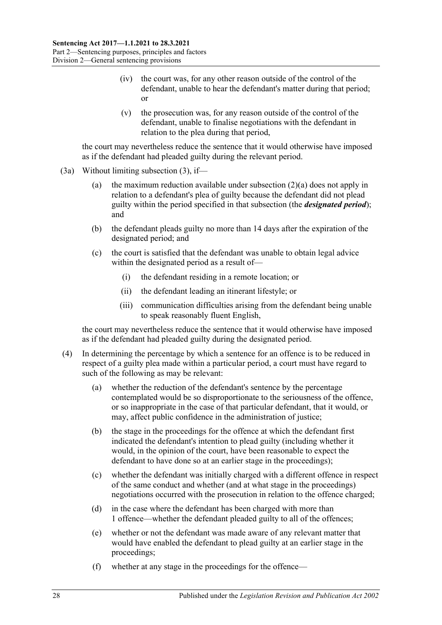- (iv) the court was, for any other reason outside of the control of the defendant, unable to hear the defendant's matter during that period; or
- (v) the prosecution was, for any reason outside of the control of the defendant, unable to finalise negotiations with the defendant in relation to the plea during that period,

the court may nevertheless reduce the sentence that it would otherwise have imposed as if the defendant had pleaded guilty during the relevant period.

- (3a) Without limiting [subsection](#page-26-2) (3), if
	- (a) the maximum reduction available under [subsection](#page-26-3)  $(2)(a)$  does not apply in relation to a defendant's plea of guilty because the defendant did not plead guilty within the period specified in that subsection (the *designated period*); and
	- (b) the defendant pleads guilty no more than 14 days after the expiration of the designated period; and
	- (c) the court is satisfied that the defendant was unable to obtain legal advice within the designated period as a result of—
		- (i) the defendant residing in a remote location; or
		- (ii) the defendant leading an itinerant lifestyle; or
		- (iii) communication difficulties arising from the defendant being unable to speak reasonably fluent English,

the court may nevertheless reduce the sentence that it would otherwise have imposed as if the defendant had pleaded guilty during the designated period.

- (4) In determining the percentage by which a sentence for an offence is to be reduced in respect of a guilty plea made within a particular period, a court must have regard to such of the following as may be relevant:
	- (a) whether the reduction of the defendant's sentence by the percentage contemplated would be so disproportionate to the seriousness of the offence, or so inappropriate in the case of that particular defendant, that it would, or may, affect public confidence in the administration of justice;
	- (b) the stage in the proceedings for the offence at which the defendant first indicated the defendant's intention to plead guilty (including whether it would, in the opinion of the court, have been reasonable to expect the defendant to have done so at an earlier stage in the proceedings);
	- (c) whether the defendant was initially charged with a different offence in respect of the same conduct and whether (and at what stage in the proceedings) negotiations occurred with the prosecution in relation to the offence charged;
	- (d) in the case where the defendant has been charged with more than 1 offence—whether the defendant pleaded guilty to all of the offences;
	- (e) whether or not the defendant was made aware of any relevant matter that would have enabled the defendant to plead guilty at an earlier stage in the proceedings;
	- (f) whether at any stage in the proceedings for the offence—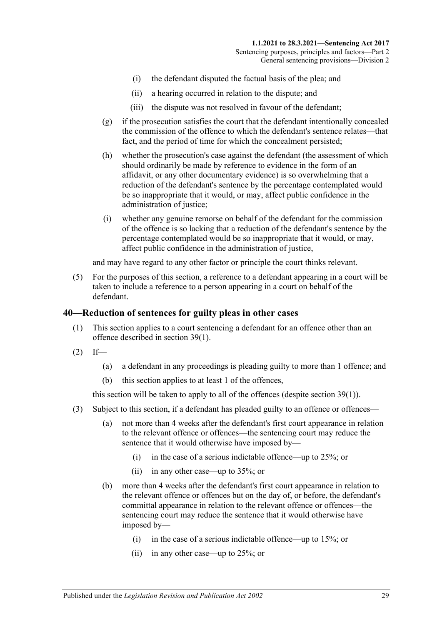- (i) the defendant disputed the factual basis of the plea; and
- (ii) a hearing occurred in relation to the dispute; and
- (iii) the dispute was not resolved in favour of the defendant;
- (g) if the prosecution satisfies the court that the defendant intentionally concealed the commission of the offence to which the defendant's sentence relates—that fact, and the period of time for which the concealment persisted;
- (h) whether the prosecution's case against the defendant (the assessment of which should ordinarily be made by reference to evidence in the form of an affidavit, or any other documentary evidence) is so overwhelming that a reduction of the defendant's sentence by the percentage contemplated would be so inappropriate that it would, or may, affect public confidence in the administration of justice;
- (i) whether any genuine remorse on behalf of the defendant for the commission of the offence is so lacking that a reduction of the defendant's sentence by the percentage contemplated would be so inappropriate that it would, or may, affect public confidence in the administration of justice,

and may have regard to any other factor or principle the court thinks relevant.

(5) For the purposes of this section, a reference to a defendant appearing in a court will be taken to include a reference to a person appearing in a court on behalf of the defendant.

#### <span id="page-28-0"></span>**40—Reduction of sentences for guilty pleas in other cases**

- (1) This section applies to a court sentencing a defendant for an offence other than an offence described in [section](#page-26-4) 39(1).
- $(2)$  If—
	- (a) a defendant in any proceedings is pleading guilty to more than 1 offence; and
	- (b) this section applies to at least 1 of the offences,

this section will be taken to apply to all of the offences (despite [section](#page-26-4) 39(1)).

- <span id="page-28-1"></span>(3) Subject to this section, if a defendant has pleaded guilty to an offence or offences—
	- (a) not more than 4 weeks after the defendant's first court appearance in relation to the relevant offence or offences—the sentencing court may reduce the sentence that it would otherwise have imposed by—
		- (i) in the case of a serious indictable offence—up to 25%; or
		- (ii) in any other case—up to 35%; or
	- (b) more than 4 weeks after the defendant's first court appearance in relation to the relevant offence or offences but on the day of, or before, the defendant's committal appearance in relation to the relevant offence or offences—the sentencing court may reduce the sentence that it would otherwise have imposed by—
		- (i) in the case of a serious indictable offence—up to 15%; or
		- (ii) in any other case—up to 25%; or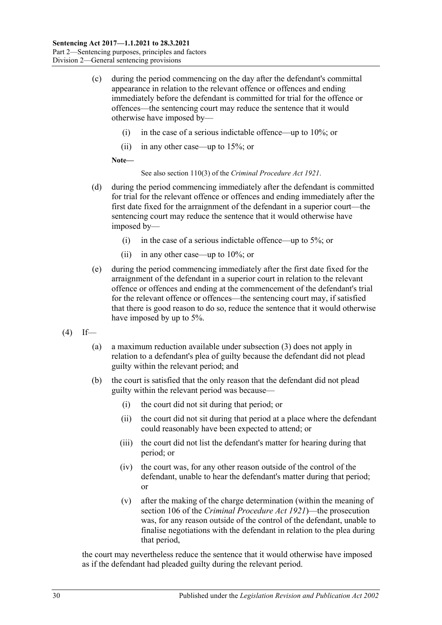- (c) during the period commencing on the day after the defendant's committal appearance in relation to the relevant offence or offences and ending immediately before the defendant is committed for trial for the offence or offences—the sentencing court may reduce the sentence that it would otherwise have imposed by—
	- (i) in the case of a serious indictable offence—up to 10%; or
	- (ii) in any other case—up to 15%; or

**Note—**

See also section 110(3) of the *[Criminal Procedure Act](http://www.legislation.sa.gov.au/index.aspx?action=legref&type=act&legtitle=Criminal%20Procedure%20Act%201921) 1921*.

- (d) during the period commencing immediately after the defendant is committed for trial for the relevant offence or offences and ending immediately after the first date fixed for the arraignment of the defendant in a superior court—the sentencing court may reduce the sentence that it would otherwise have imposed by—
	- (i) in the case of a serious indictable offence—up to 5%; or
	- (ii) in any other case—up to 10%; or
- (e) during the period commencing immediately after the first date fixed for the arraignment of the defendant in a superior court in relation to the relevant offence or offences and ending at the commencement of the defendant's trial for the relevant offence or offences—the sentencing court may, if satisfied that there is good reason to do so, reduce the sentence that it would otherwise have imposed by up to 5%.
- <span id="page-29-0"></span> $(4)$  If—
	- (a) a maximum reduction available under subsection (3) does not apply in relation to a defendant's plea of guilty because the defendant did not plead guilty within the relevant period; and
	- (b) the court is satisfied that the only reason that the defendant did not plead guilty within the relevant period was because—
		- (i) the court did not sit during that period; or
		- (ii) the court did not sit during that period at a place where the defendant could reasonably have been expected to attend; or
		- (iii) the court did not list the defendant's matter for hearing during that period; or
		- (iv) the court was, for any other reason outside of the control of the defendant, unable to hear the defendant's matter during that period; or
		- (v) after the making of the charge determination (within the meaning of section 106 of the *[Criminal Procedure Act](http://www.legislation.sa.gov.au/index.aspx?action=legref&type=act&legtitle=Criminal%20Procedure%20Act%201921) 1921*)—the prosecution was, for any reason outside of the control of the defendant, unable to finalise negotiations with the defendant in relation to the plea during that period,

the court may nevertheless reduce the sentence that it would otherwise have imposed as if the defendant had pleaded guilty during the relevant period.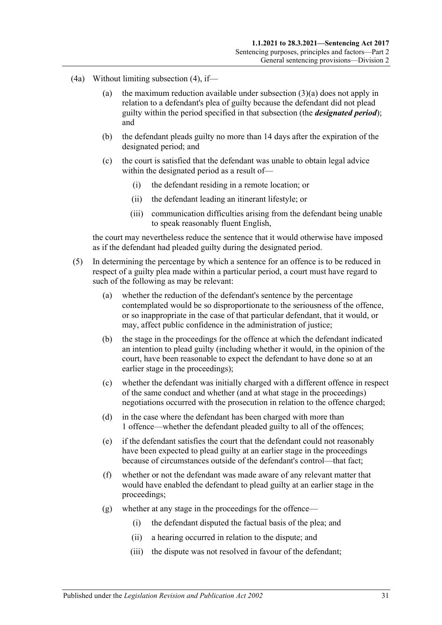- (4a) Without limiting [subsection](#page-29-0) (4), if
	- (a) the maximum reduction available under [subsection](#page-28-1)  $(3)(a)$  does not apply in relation to a defendant's plea of guilty because the defendant did not plead guilty within the period specified in that subsection (the *designated period*); and
	- (b) the defendant pleads guilty no more than 14 days after the expiration of the designated period; and
	- (c) the court is satisfied that the defendant was unable to obtain legal advice within the designated period as a result of—
		- (i) the defendant residing in a remote location; or
		- (ii) the defendant leading an itinerant lifestyle; or
		- (iii) communication difficulties arising from the defendant being unable to speak reasonably fluent English,

the court may nevertheless reduce the sentence that it would otherwise have imposed as if the defendant had pleaded guilty during the designated period.

- (5) In determining the percentage by which a sentence for an offence is to be reduced in respect of a guilty plea made within a particular period, a court must have regard to such of the following as may be relevant:
	- (a) whether the reduction of the defendant's sentence by the percentage contemplated would be so disproportionate to the seriousness of the offence, or so inappropriate in the case of that particular defendant, that it would, or may, affect public confidence in the administration of justice;
	- (b) the stage in the proceedings for the offence at which the defendant indicated an intention to plead guilty (including whether it would, in the opinion of the court, have been reasonable to expect the defendant to have done so at an earlier stage in the proceedings);
	- (c) whether the defendant was initially charged with a different offence in respect of the same conduct and whether (and at what stage in the proceedings) negotiations occurred with the prosecution in relation to the offence charged;
	- (d) in the case where the defendant has been charged with more than 1 offence—whether the defendant pleaded guilty to all of the offences;
	- (e) if the defendant satisfies the court that the defendant could not reasonably have been expected to plead guilty at an earlier stage in the proceedings because of circumstances outside of the defendant's control—that fact;
	- (f) whether or not the defendant was made aware of any relevant matter that would have enabled the defendant to plead guilty at an earlier stage in the proceedings;
	- (g) whether at any stage in the proceedings for the offence—
		- (i) the defendant disputed the factual basis of the plea; and
		- (ii) a hearing occurred in relation to the dispute; and
		- (iii) the dispute was not resolved in favour of the defendant;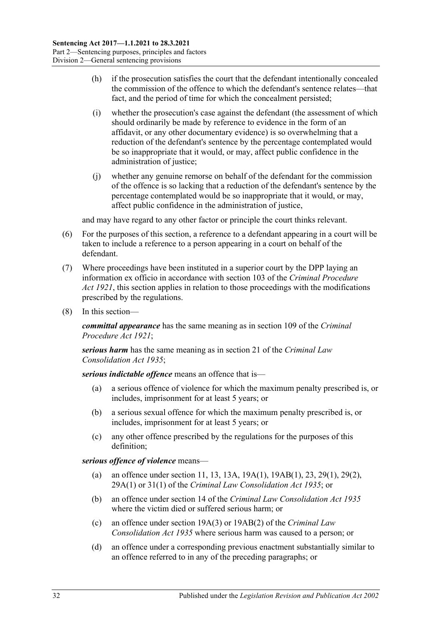- (h) if the prosecution satisfies the court that the defendant intentionally concealed the commission of the offence to which the defendant's sentence relates—that fact, and the period of time for which the concealment persisted;
- (i) whether the prosecution's case against the defendant (the assessment of which should ordinarily be made by reference to evidence in the form of an affidavit, or any other documentary evidence) is so overwhelming that a reduction of the defendant's sentence by the percentage contemplated would be so inappropriate that it would, or may, affect public confidence in the administration of justice;
- (j) whether any genuine remorse on behalf of the defendant for the commission of the offence is so lacking that a reduction of the defendant's sentence by the percentage contemplated would be so inappropriate that it would, or may, affect public confidence in the administration of justice,

and may have regard to any other factor or principle the court thinks relevant.

- (6) For the purposes of this section, a reference to a defendant appearing in a court will be taken to include a reference to a person appearing in a court on behalf of the defendant.
- (7) Where proceedings have been instituted in a superior court by the DPP laying an information ex officio in accordance with section 103 of the *[Criminal Procedure](http://www.legislation.sa.gov.au/index.aspx?action=legref&type=act&legtitle=Criminal%20Procedure%20Act%201921)  Act [1921](http://www.legislation.sa.gov.au/index.aspx?action=legref&type=act&legtitle=Criminal%20Procedure%20Act%201921)*, this section applies in relation to those proceedings with the modifications prescribed by the regulations.
- (8) In this section—

*committal appearance* has the same meaning as in section 109 of the *[Criminal](http://www.legislation.sa.gov.au/index.aspx?action=legref&type=act&legtitle=Criminal%20Procedure%20Act%201921)  [Procedure Act](http://www.legislation.sa.gov.au/index.aspx?action=legref&type=act&legtitle=Criminal%20Procedure%20Act%201921) 1921*;

*serious harm* has the same meaning as in section 21 of the *[Criminal Law](http://www.legislation.sa.gov.au/index.aspx?action=legref&type=act&legtitle=Criminal%20Law%20Consolidation%20Act%201935)  [Consolidation Act](http://www.legislation.sa.gov.au/index.aspx?action=legref&type=act&legtitle=Criminal%20Law%20Consolidation%20Act%201935) 1935*;

*serious indictable offence* means an offence that is—

- (a) a serious offence of violence for which the maximum penalty prescribed is, or includes, imprisonment for at least 5 years; or
- (b) a serious sexual offence for which the maximum penalty prescribed is, or includes, imprisonment for at least 5 years; or
- (c) any other offence prescribed by the regulations for the purposes of this definition;

*serious offence of violence* means—

- (a) an offence under section 11, 13, 13A, 19A(1), 19AB(1), 23, 29(1), 29(2), 29A(1) or 31(1) of the *[Criminal Law Consolidation Act](http://www.legislation.sa.gov.au/index.aspx?action=legref&type=act&legtitle=Criminal%20Law%20Consolidation%20Act%201935) 1935*; or
- (b) an offence under section 14 of the *[Criminal Law Consolidation Act](http://www.legislation.sa.gov.au/index.aspx?action=legref&type=act&legtitle=Criminal%20Law%20Consolidation%20Act%201935) 1935* where the victim died or suffered serious harm; or
- (c) an offence under section 19A(3) or 19AB(2) of the *[Criminal Law](http://www.legislation.sa.gov.au/index.aspx?action=legref&type=act&legtitle=Criminal%20Law%20Consolidation%20Act%201935)  [Consolidation Act](http://www.legislation.sa.gov.au/index.aspx?action=legref&type=act&legtitle=Criminal%20Law%20Consolidation%20Act%201935) 1935* where serious harm was caused to a person; or
- (d) an offence under a corresponding previous enactment substantially similar to an offence referred to in any of the preceding paragraphs; or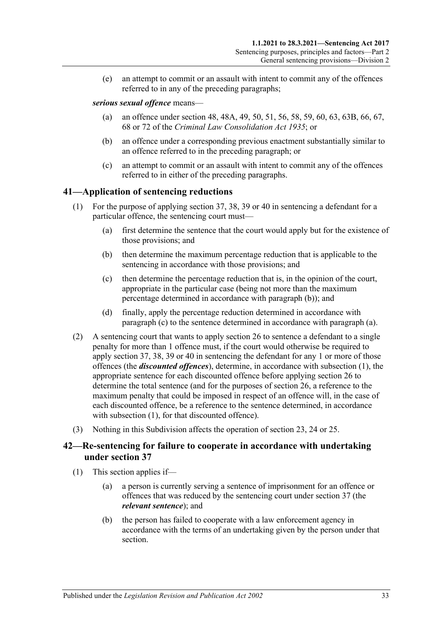(e) an attempt to commit or an assault with intent to commit any of the offences referred to in any of the preceding paragraphs;

#### *serious sexual offence* means—

- (a) an offence under section 48, 48A, 49, 50, 51, 56, 58, 59, 60, 63, 63B, 66, 67, 68 or 72 of the *[Criminal Law Consolidation Act](http://www.legislation.sa.gov.au/index.aspx?action=legref&type=act&legtitle=Criminal%20Law%20Consolidation%20Act%201935) 1935*; or
- (b) an offence under a corresponding previous enactment substantially similar to an offence referred to in the preceding paragraph; or
- (c) an attempt to commit or an assault with intent to commit any of the offences referred to in either of the preceding paragraphs.

## <span id="page-32-5"></span><span id="page-32-0"></span>**41—Application of sentencing reductions**

- <span id="page-32-4"></span><span id="page-32-2"></span>(1) For the purpose of applying [section](#page-25-0) 37, 38, [39](#page-26-0) or [40](#page-28-0) in sentencing a defendant for a particular offence, the sentencing court must—
	- (a) first determine the sentence that the court would apply but for the existence of those provisions; and
	- (b) then determine the maximum percentage reduction that is applicable to the sentencing in accordance with those provisions; and
	- (c) then determine the percentage reduction that is, in the opinion of the court, appropriate in the particular case (being not more than the maximum percentage determined in accordance with [paragraph](#page-32-2) (b)); and
	- (d) finally, apply the percentage reduction determined in accordance with [paragraph](#page-32-3) (c) to the sentence determined in accordance with [paragraph](#page-32-4) (a).
- <span id="page-32-3"></span>(2) A sentencing court that wants to apply [section](#page-20-0) 26 to sentence a defendant to a single penalty for more than 1 offence must, if the court would otherwise be required to apply [section](#page-25-0) 37, 38, [39](#page-26-0) or [40](#page-28-0) in sentencing the defendant for any 1 or more of those offences (the *discounted offences*), determine, in accordance with [subsection](#page-32-5) (1), the appropriate sentence for each discounted offence before applying [section](#page-20-0) 26 to determine the total sentence (and for the purposes of [section](#page-20-0) 26, a reference to the maximum penalty that could be imposed in respect of an offence will, in the case of each discounted offence, be a reference to the sentence determined, in accordance with [subsection](#page-32-5) (1), for that discounted offence).
- (3) Nothing in this Subdivision affects the operation of [section 23,](#page-18-1) [24](#page-18-2) or [25.](#page-19-0)

## <span id="page-32-1"></span>**42—Re-sentencing for failure to cooperate in accordance with undertaking under [section](#page-25-0) 37**

- (1) This section applies if—
	- (a) a person is currently serving a sentence of imprisonment for an offence or offences that was reduced by the sentencing court under [section](#page-25-0) 37 (the *relevant sentence*); and
	- (b) the person has failed to cooperate with a law enforcement agency in accordance with the terms of an undertaking given by the person under that section.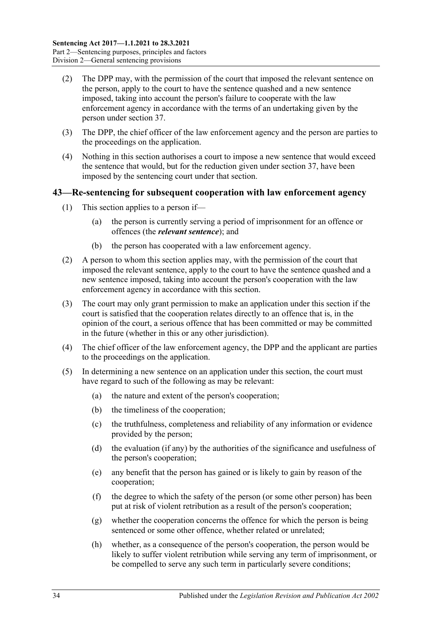- (2) The DPP may, with the permission of the court that imposed the relevant sentence on the person, apply to the court to have the sentence quashed and a new sentence imposed, taking into account the person's failure to cooperate with the law enforcement agency in accordance with the terms of an undertaking given by the person under [section](#page-25-0) 37.
- (3) The DPP, the chief officer of the law enforcement agency and the person are parties to the proceedings on the application.
- (4) Nothing in this section authorises a court to impose a new sentence that would exceed the sentence that would, but for the reduction given under [section](#page-25-0) 37, have been imposed by the sentencing court under that section.

### <span id="page-33-0"></span>**43—Re-sentencing for subsequent cooperation with law enforcement agency**

- (1) This section applies to a person if—
	- (a) the person is currently serving a period of imprisonment for an offence or offences (the *relevant sentence*); and
	- (b) the person has cooperated with a law enforcement agency.
- (2) A person to whom this section applies may, with the permission of the court that imposed the relevant sentence, apply to the court to have the sentence quashed and a new sentence imposed, taking into account the person's cooperation with the law enforcement agency in accordance with this section.
- (3) The court may only grant permission to make an application under this section if the court is satisfied that the cooperation relates directly to an offence that is, in the opinion of the court, a serious offence that has been committed or may be committed in the future (whether in this or any other jurisdiction).
- (4) The chief officer of the law enforcement agency, the DPP and the applicant are parties to the proceedings on the application.
- (5) In determining a new sentence on an application under this section, the court must have regard to such of the following as may be relevant:
	- (a) the nature and extent of the person's cooperation;
	- (b) the timeliness of the cooperation;
	- (c) the truthfulness, completeness and reliability of any information or evidence provided by the person;
	- (d) the evaluation (if any) by the authorities of the significance and usefulness of the person's cooperation;
	- (e) any benefit that the person has gained or is likely to gain by reason of the cooperation;
	- (f) the degree to which the safety of the person (or some other person) has been put at risk of violent retribution as a result of the person's cooperation;
	- (g) whether the cooperation concerns the offence for which the person is being sentenced or some other offence, whether related or unrelated;
	- (h) whether, as a consequence of the person's cooperation, the person would be likely to suffer violent retribution while serving any term of imprisonment, or be compelled to serve any such term in particularly severe conditions;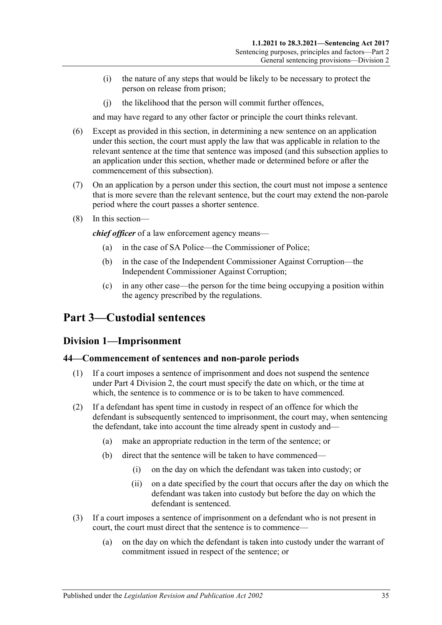- (i) the nature of any steps that would be likely to be necessary to protect the person on release from prison;
- (j) the likelihood that the person will commit further offences,

and may have regard to any other factor or principle the court thinks relevant.

- (6) Except as provided in this section, in determining a new sentence on an application under this section, the court must apply the law that was applicable in relation to the relevant sentence at the time that sentence was imposed (and this subsection applies to an application under this section, whether made or determined before or after the commencement of this subsection).
- (7) On an application by a person under this section, the court must not impose a sentence that is more severe than the relevant sentence, but the court may extend the non-parole period where the court passes a shorter sentence.
- (8) In this section—

*chief officer* of a law enforcement agency means—

- (a) in the case of SA Police—the Commissioner of Police;
- (b) in the case of the Independent Commissioner Against Corruption—the Independent Commissioner Against Corruption;
- (c) in any other case—the person for the time being occupying a position within the agency prescribed by the regulations.

# <span id="page-34-1"></span><span id="page-34-0"></span>**Part 3—Custodial sentences**

## **Division 1—Imprisonment**

#### <span id="page-34-2"></span>**44—Commencement of sentences and non-parole periods**

- (1) If a court imposes a sentence of imprisonment and does not suspend the sentence under Part [4 Division](#page-78-0) 2, the court must specify the date on which, or the time at which, the sentence is to commence or is to be taken to have commenced.
- (2) If a defendant has spent time in custody in respect of an offence for which the defendant is subsequently sentenced to imprisonment, the court may, when sentencing the defendant, take into account the time already spent in custody and—
	- (a) make an appropriate reduction in the term of the sentence; or
	- (b) direct that the sentence will be taken to have commenced—
		- (i) on the day on which the defendant was taken into custody; or
		- (ii) on a date specified by the court that occurs after the day on which the defendant was taken into custody but before the day on which the defendant is sentenced.
- (3) If a court imposes a sentence of imprisonment on a defendant who is not present in court, the court must direct that the sentence is to commence—
	- (a) on the day on which the defendant is taken into custody under the warrant of commitment issued in respect of the sentence; or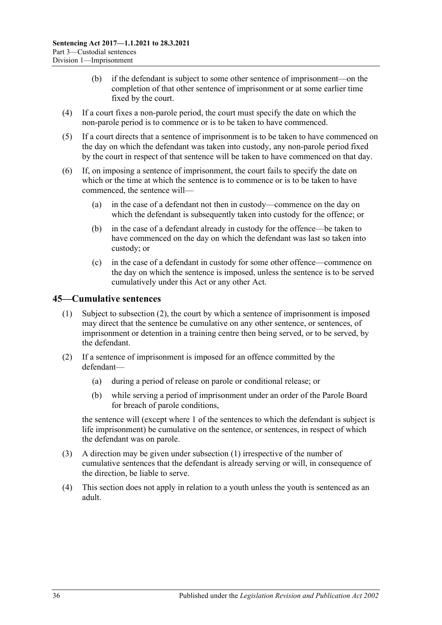- (b) if the defendant is subject to some other sentence of imprisonment—on the completion of that other sentence of imprisonment or at some earlier time fixed by the court.
- (4) If a court fixes a non-parole period, the court must specify the date on which the non-parole period is to commence or is to be taken to have commenced.
- (5) If a court directs that a sentence of imprisonment is to be taken to have commenced on the day on which the defendant was taken into custody, any non-parole period fixed by the court in respect of that sentence will be taken to have commenced on that day.
- (6) If, on imposing a sentence of imprisonment, the court fails to specify the date on which or the time at which the sentence is to commence or is to be taken to have commenced, the sentence will—
	- (a) in the case of a defendant not then in custody—commence on the day on which the defendant is subsequently taken into custody for the offence; or
	- (b) in the case of a defendant already in custody for the offence—be taken to have commenced on the day on which the defendant was last so taken into custody; or
	- (c) in the case of a defendant in custody for some other offence—commence on the day on which the sentence is imposed, unless the sentence is to be served cumulatively under this Act or any other Act.

## <span id="page-35-2"></span><span id="page-35-0"></span>**45—Cumulative sentences**

- (1) Subject to [subsection](#page-35-1) (2), the court by which a sentence of imprisonment is imposed may direct that the sentence be cumulative on any other sentence, or sentences, of imprisonment or detention in a training centre then being served, or to be served, by the defendant.
- <span id="page-35-1"></span>(2) If a sentence of imprisonment is imposed for an offence committed by the defendant—
	- (a) during a period of release on parole or conditional release; or
	- (b) while serving a period of imprisonment under an order of the Parole Board for breach of parole conditions,

the sentence will (except where 1 of the sentences to which the defendant is subject is life imprisonment) be cumulative on the sentence, or sentences, in respect of which the defendant was on parole.

- (3) A direction may be given under [subsection](#page-35-2) (1) irrespective of the number of cumulative sentences that the defendant is already serving or will, in consequence of the direction, be liable to serve.
- (4) This section does not apply in relation to a youth unless the youth is sentenced as an adult.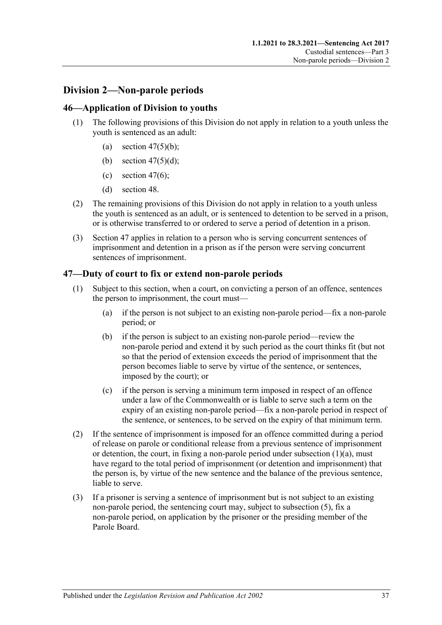# **Division 2—Non-parole periods**

## **46—Application of Division to youths**

- (1) The following provisions of this Division do not apply in relation to a youth unless the youth is sentenced as an adult:
	- (a) section  $47(5)(b)$ ;
	- (b) section  $47(5)(d)$ ;
	- (c) [section](#page-37-2) 47(6);
	- (d) [section](#page-39-0) 48.
- (2) The remaining provisions of this Division do not apply in relation to a youth unless the youth is sentenced as an adult, or is sentenced to detention to be served in a prison, or is otherwise transferred to or ordered to serve a period of detention in a prison.
- (3) [Section](#page-36-0) 47 applies in relation to a person who is serving concurrent sentences of imprisonment and detention in a prison as if the person were serving concurrent sentences of imprisonment.

## <span id="page-36-0"></span>**47—Duty of court to fix or extend non-parole periods**

- <span id="page-36-1"></span>(1) Subject to this section, when a court, on convicting a person of an offence, sentences the person to imprisonment, the court must—
	- (a) if the person is not subject to an existing non-parole period—fix a non-parole period; or
	- (b) if the person is subject to an existing non-parole period—review the non-parole period and extend it by such period as the court thinks fit (but not so that the period of extension exceeds the period of imprisonment that the person becomes liable to serve by virtue of the sentence, or sentences, imposed by the court); or
	- (c) if the person is serving a minimum term imposed in respect of an offence under a law of the Commonwealth or is liable to serve such a term on the expiry of an existing non-parole period—fix a non-parole period in respect of the sentence, or sentences, to be served on the expiry of that minimum term.
- (2) If the sentence of imprisonment is imposed for an offence committed during a period of release on parole or conditional release from a previous sentence of imprisonment or detention, the court, in fixing a non-parole period under [subsection](#page-36-1)  $(1)(a)$ , must have regard to the total period of imprisonment (or detention and imprisonment) that the person is, by virtue of the new sentence and the balance of the previous sentence, liable to serve.
- <span id="page-36-2"></span>(3) If a prisoner is serving a sentence of imprisonment but is not subject to an existing non-parole period, the sentencing court may, subject to [subsection](#page-37-3) (5), fix a non-parole period, on application by the prisoner or the presiding member of the Parole Board.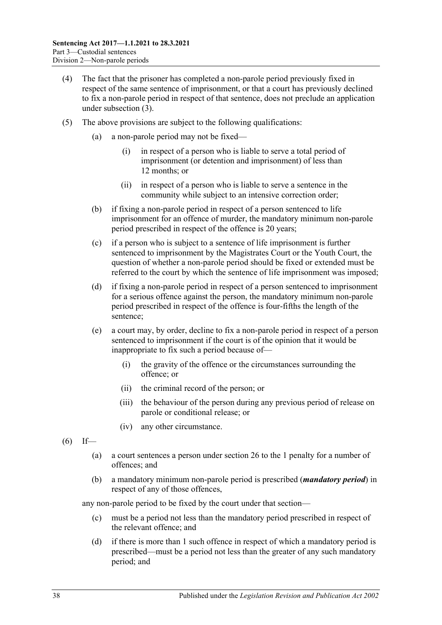- (4) The fact that the prisoner has completed a non-parole period previously fixed in respect of the same sentence of imprisonment, or that a court has previously declined to fix a non-parole period in respect of that sentence, does not preclude an application under [subsection](#page-36-2) (3).
- <span id="page-37-3"></span><span id="page-37-1"></span><span id="page-37-0"></span>(5) The above provisions are subject to the following qualifications:
	- (a) a non-parole period may not be fixed—
		- (i) in respect of a person who is liable to serve a total period of imprisonment (or detention and imprisonment) of less than 12 months; or
		- (ii) in respect of a person who is liable to serve a sentence in the community while subject to an intensive correction order;
	- (b) if fixing a non-parole period in respect of a person sentenced to life imprisonment for an offence of murder, the mandatory minimum non-parole period prescribed in respect of the offence is 20 years;
	- (c) if a person who is subject to a sentence of life imprisonment is further sentenced to imprisonment by the Magistrates Court or the Youth Court, the question of whether a non-parole period should be fixed or extended must be referred to the court by which the sentence of life imprisonment was imposed;
	- (d) if fixing a non-parole period in respect of a person sentenced to imprisonment for a serious offence against the person, the mandatory minimum non-parole period prescribed in respect of the offence is four-fifths the length of the sentence;
	- (e) a court may, by order, decline to fix a non-parole period in respect of a person sentenced to imprisonment if the court is of the opinion that it would be inappropriate to fix such a period because of—
		- (i) the gravity of the offence or the circumstances surrounding the offence; or
		- (ii) the criminal record of the person; or
		- (iii) the behaviour of the person during any previous period of release on parole or conditional release; or
		- (iv) any other circumstance.
- <span id="page-37-2"></span> $(6)$  If—
	- (a) a court sentences a person under [section](#page-20-0) 26 to the 1 penalty for a number of offences; and
	- (b) a mandatory minimum non-parole period is prescribed (*mandatory period*) in respect of any of those offences,

any non-parole period to be fixed by the court under that section—

- (c) must be a period not less than the mandatory period prescribed in respect of the relevant offence; and
- (d) if there is more than 1 such offence in respect of which a mandatory period is prescribed—must be a period not less than the greater of any such mandatory period; and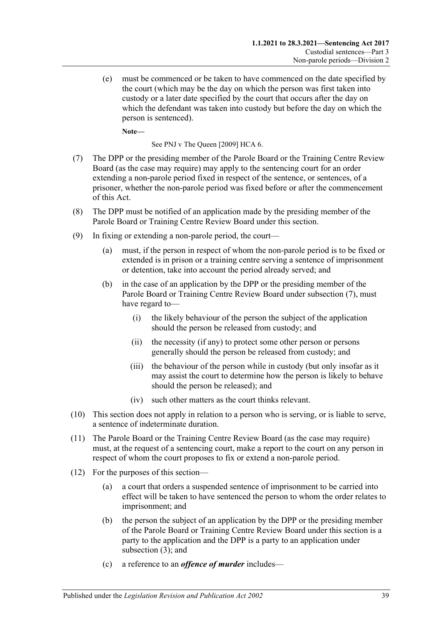(e) must be commenced or be taken to have commenced on the date specified by the court (which may be the day on which the person was first taken into custody or a later date specified by the court that occurs after the day on which the defendant was taken into custody but before the day on which the person is sentenced).

**Note—**

See PNJ v The Queen [2009] HCA 6.

- <span id="page-38-0"></span>(7) The DPP or the presiding member of the Parole Board or the Training Centre Review Board (as the case may require) may apply to the sentencing court for an order extending a non-parole period fixed in respect of the sentence, or sentences, of a prisoner, whether the non-parole period was fixed before or after the commencement of this Act.
- (8) The DPP must be notified of an application made by the presiding member of the Parole Board or Training Centre Review Board under this section.
- (9) In fixing or extending a non-parole period, the court—
	- (a) must, if the person in respect of whom the non-parole period is to be fixed or extended is in prison or a training centre serving a sentence of imprisonment or detention, take into account the period already served; and
	- (b) in the case of an application by the DPP or the presiding member of the Parole Board or Training Centre Review Board under [subsection](#page-38-0) (7), must have regard to—
		- (i) the likely behaviour of the person the subject of the application should the person be released from custody; and
		- (ii) the necessity (if any) to protect some other person or persons generally should the person be released from custody; and
		- (iii) the behaviour of the person while in custody (but only insofar as it may assist the court to determine how the person is likely to behave should the person be released); and
		- (iv) such other matters as the court thinks relevant.
- (10) This section does not apply in relation to a person who is serving, or is liable to serve, a sentence of indeterminate duration.
- (11) The Parole Board or the Training Centre Review Board (as the case may require) must, at the request of a sentencing court, make a report to the court on any person in respect of whom the court proposes to fix or extend a non-parole period.
- (12) For the purposes of this section—
	- (a) a court that orders a suspended sentence of imprisonment to be carried into effect will be taken to have sentenced the person to whom the order relates to imprisonment; and
	- (b) the person the subject of an application by the DPP or the presiding member of the Parole Board or Training Centre Review Board under this section is a party to the application and the DPP is a party to an application under [subsection](#page-36-2) (3); and
	- (c) a reference to an *offence of murder* includes—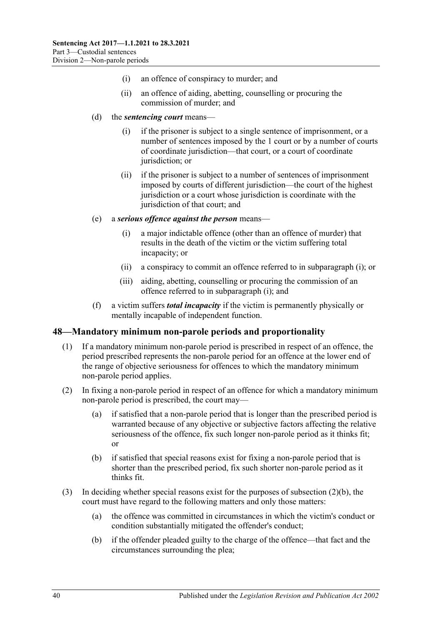- (i) an offence of conspiracy to murder; and
- (ii) an offence of aiding, abetting, counselling or procuring the commission of murder; and
- (d) the *sentencing court* means—
	- (i) if the prisoner is subject to a single sentence of imprisonment, or a number of sentences imposed by the 1 court or by a number of courts of coordinate jurisdiction—that court, or a court of coordinate jurisdiction; or
	- (ii) if the prisoner is subject to a number of sentences of imprisonment imposed by courts of different jurisdiction—the court of the highest jurisdiction or a court whose jurisdiction is coordinate with the jurisdiction of that court; and
- <span id="page-39-1"></span>(e) a *serious offence against the person* means—
	- (i) a major indictable offence (other than an offence of murder) that results in the death of the victim or the victim suffering total incapacity; or
	- (ii) a conspiracy to commit an offence referred to in [subparagraph](#page-39-1) (i); or
	- (iii) aiding, abetting, counselling or procuring the commission of an offence referred to in [subparagraph](#page-39-1) (i); and
- (f) a victim suffers *total incapacity* if the victim is permanently physically or mentally incapable of independent function.

## <span id="page-39-0"></span>**48—Mandatory minimum non-parole periods and proportionality**

- (1) If a mandatory minimum non-parole period is prescribed in respect of an offence, the period prescribed represents the non-parole period for an offence at the lower end of the range of objective seriousness for offences to which the mandatory minimum non-parole period applies.
- (2) In fixing a non-parole period in respect of an offence for which a mandatory minimum non-parole period is prescribed, the court may—
	- (a) if satisfied that a non-parole period that is longer than the prescribed period is warranted because of any objective or subjective factors affecting the relative seriousness of the offence, fix such longer non-parole period as it thinks fit; or
	- (b) if satisfied that special reasons exist for fixing a non-parole period that is shorter than the prescribed period, fix such shorter non-parole period as it thinks fit.
- <span id="page-39-2"></span>(3) In deciding whether special reasons exist for the purposes of [subsection](#page-39-2) (2)(b), the court must have regard to the following matters and only those matters:
	- (a) the offence was committed in circumstances in which the victim's conduct or condition substantially mitigated the offender's conduct;
	- (b) if the offender pleaded guilty to the charge of the offence—that fact and the circumstances surrounding the plea;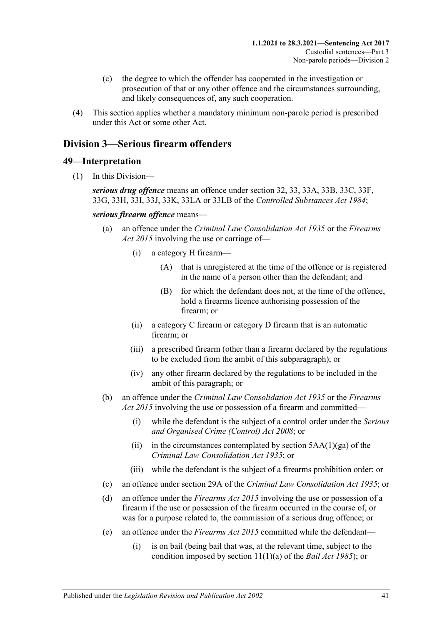- (c) the degree to which the offender has cooperated in the investigation or prosecution of that or any other offence and the circumstances surrounding, and likely consequences of, any such cooperation.
- (4) This section applies whether a mandatory minimum non-parole period is prescribed under this Act or some other Act.

# **Division 3—Serious firearm offenders**

### **49—Interpretation**

(1) In this Division—

*serious drug offence* means an offence under section 32, 33, 33A, 33B, 33C, 33F, 33G, 33H, 33I, 33J, 33K, 33LA or 33LB of the *[Controlled Substances Act](http://www.legislation.sa.gov.au/index.aspx?action=legref&type=act&legtitle=Controlled%20Substances%20Act%201984) 1984*;

*serious firearm offence* means—

- (a) an offence under the *[Criminal Law Consolidation Act](http://www.legislation.sa.gov.au/index.aspx?action=legref&type=act&legtitle=Criminal%20Law%20Consolidation%20Act%201935) 1935* or the *[Firearms](http://www.legislation.sa.gov.au/index.aspx?action=legref&type=act&legtitle=Firearms%20Act%202015)  Act [2015](http://www.legislation.sa.gov.au/index.aspx?action=legref&type=act&legtitle=Firearms%20Act%202015)* involving the use or carriage of—
	- (i) a category H firearm—
		- (A) that is unregistered at the time of the offence or is registered in the name of a person other than the defendant; and
		- (B) for which the defendant does not, at the time of the offence, hold a firearms licence authorising possession of the firearm; or
	- (ii) a category C firearm or category D firearm that is an automatic firearm; or
	- (iii) a prescribed firearm (other than a firearm declared by the regulations to be excluded from the ambit of this subparagraph); or
	- (iv) any other firearm declared by the regulations to be included in the ambit of this paragraph; or
- (b) an offence under the *[Criminal Law Consolidation Act](http://www.legislation.sa.gov.au/index.aspx?action=legref&type=act&legtitle=Criminal%20Law%20Consolidation%20Act%201935) 1935* or the *[Firearms](http://www.legislation.sa.gov.au/index.aspx?action=legref&type=act&legtitle=Firearms%20Act%202015)  Act [2015](http://www.legislation.sa.gov.au/index.aspx?action=legref&type=act&legtitle=Firearms%20Act%202015)* involving the use or possession of a firearm and committed—
	- (i) while the defendant is the subject of a control order under the *[Serious](http://www.legislation.sa.gov.au/index.aspx?action=legref&type=act&legtitle=Serious%20and%20Organised%20Crime%20(Control)%20Act%202008)  [and Organised Crime \(Control\) Act](http://www.legislation.sa.gov.au/index.aspx?action=legref&type=act&legtitle=Serious%20and%20Organised%20Crime%20(Control)%20Act%202008) 2008*; or
	- (ii) in the circumstances contemplated by section  $5AA(1)(ga)$  of the *[Criminal Law Consolidation Act](http://www.legislation.sa.gov.au/index.aspx?action=legref&type=act&legtitle=Criminal%20Law%20Consolidation%20Act%201935) 1935*; or
	- (iii) while the defendant is the subject of a firearms prohibition order; or
- (c) an offence under section 29A of the *[Criminal Law Consolidation Act](http://www.legislation.sa.gov.au/index.aspx?action=legref&type=act&legtitle=Criminal%20Law%20Consolidation%20Act%201935) 1935*; or
- (d) an offence under the *[Firearms Act](http://www.legislation.sa.gov.au/index.aspx?action=legref&type=act&legtitle=Firearms%20Act%202015) 2015* involving the use or possession of a firearm if the use or possession of the firearm occurred in the course of, or was for a purpose related to, the commission of a serious drug offence; or
- (e) an offence under the *[Firearms Act](http://www.legislation.sa.gov.au/index.aspx?action=legref&type=act&legtitle=Firearms%20Act%202015) 2015* committed while the defendant—
	- (i) is on bail (being bail that was, at the relevant time, subject to the condition imposed by section 11(1)(a) of the *[Bail Act](http://www.legislation.sa.gov.au/index.aspx?action=legref&type=act&legtitle=Bail%20Act%201985) 1985*); or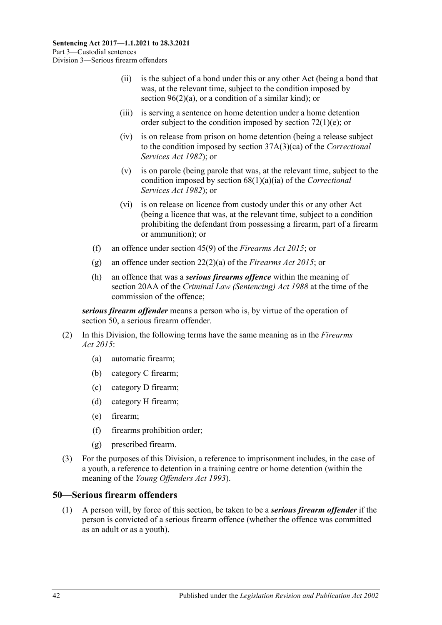- (ii) is the subject of a bond under this or any other Act (being a bond that was, at the relevant time, subject to the condition imposed by section [96\(2\)\(a\),](#page-78-0) or a condition of a similar kind); or
- (iii) is serving a sentence on home detention under a home detention order subject to the condition imposed by section  $72(1)(e)$ ; or
- (iv) is on release from prison on home detention (being a release subject to the condition imposed by section 37A(3)(ca) of the *[Correctional](http://www.legislation.sa.gov.au/index.aspx?action=legref&type=act&legtitle=Correctional%20Services%20Act%201982)  [Services Act](http://www.legislation.sa.gov.au/index.aspx?action=legref&type=act&legtitle=Correctional%20Services%20Act%201982) 1982*); or
- (v) is on parole (being parole that was, at the relevant time, subject to the condition imposed by section 68(1)(a)(ia) of the *[Correctional](http://www.legislation.sa.gov.au/index.aspx?action=legref&type=act&legtitle=Correctional%20Services%20Act%201982)  [Services Act](http://www.legislation.sa.gov.au/index.aspx?action=legref&type=act&legtitle=Correctional%20Services%20Act%201982) 1982*); or
- (vi) is on release on licence from custody under this or any other Act (being a licence that was, at the relevant time, subject to a condition prohibiting the defendant from possessing a firearm, part of a firearm or ammunition); or
- (f) an offence under section 45(9) of the *[Firearms Act](http://www.legislation.sa.gov.au/index.aspx?action=legref&type=act&legtitle=Firearms%20Act%202015) 2015*; or
- (g) an offence under section 22(2)(a) of the *[Firearms Act](http://www.legislation.sa.gov.au/index.aspx?action=legref&type=act&legtitle=Firearms%20Act%202015) 2015*; or
- (h) an offence that was a *serious firearms offence* within the meaning of section 20AA of the *[Criminal Law \(Sentencing\) Act](http://www.legislation.sa.gov.au/index.aspx?action=legref&type=act&legtitle=Criminal%20Law%20(Sentencing)%20Act%201988) 1988* at the time of the commission of the offence;

*serious firearm offender* means a person who is, by virtue of the operation of [section](#page-41-0) 50, a serious firearm offender.

- (2) In this Division, the following terms have the same meaning as in the *[Firearms](http://www.legislation.sa.gov.au/index.aspx?action=legref&type=act&legtitle=Firearms%20Act%202015)  Act [2015](http://www.legislation.sa.gov.au/index.aspx?action=legref&type=act&legtitle=Firearms%20Act%202015)*:
	- (a) automatic firearm;
	- (b) category C firearm;
	- (c) category D firearm;
	- (d) category H firearm;
	- (e) firearm;
	- (f) firearms prohibition order;
	- (g) prescribed firearm.
- (3) For the purposes of this Division, a reference to imprisonment includes, in the case of a youth, a reference to detention in a training centre or home detention (within the meaning of the *[Young Offenders Act](http://www.legislation.sa.gov.au/index.aspx?action=legref&type=act&legtitle=Young%20Offenders%20Act%201993) 1993*).

### <span id="page-41-1"></span><span id="page-41-0"></span>**50—Serious firearm offenders**

(1) A person will, by force of this section, be taken to be a *serious firearm offender* if the person is convicted of a serious firearm offence (whether the offence was committed as an adult or as a youth).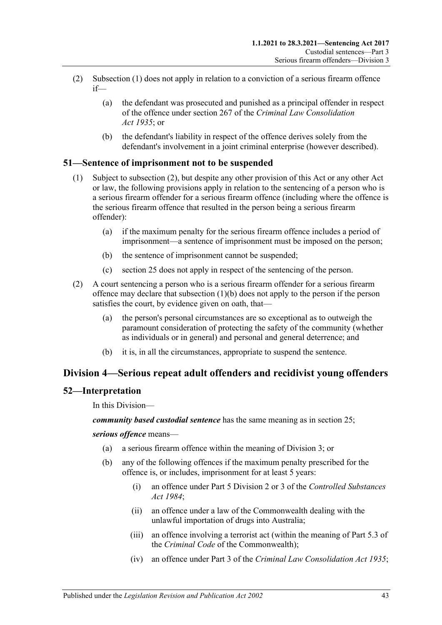- (2) [Subsection](#page-41-1) (1) does not apply in relation to a conviction of a serious firearm offence if—
	- (a) the defendant was prosecuted and punished as a principal offender in respect of the offence under section 267 of the *[Criminal Law Consolidation](http://www.legislation.sa.gov.au/index.aspx?action=legref&type=act&legtitle=Criminal%20Law%20Consolidation%20Act%201935)  Act [1935](http://www.legislation.sa.gov.au/index.aspx?action=legref&type=act&legtitle=Criminal%20Law%20Consolidation%20Act%201935)*; or
	- (b) the defendant's liability in respect of the offence derives solely from the defendant's involvement in a joint criminal enterprise (however described).

## **51—Sentence of imprisonment not to be suspended**

- (1) Subject to [subsection](#page-42-0) (2), but despite any other provision of this Act or any other Act or law, the following provisions apply in relation to the sentencing of a person who is a serious firearm offender for a serious firearm offence (including where the offence is the serious firearm offence that resulted in the person being a serious firearm offender):
	- (a) if the maximum penalty for the serious firearm offence includes a period of imprisonment—a sentence of imprisonment must be imposed on the person;
	- (b) the sentence of imprisonment cannot be suspended;
	- (c) [section](#page-19-0) 25 does not apply in respect of the sentencing of the person.
- <span id="page-42-1"></span><span id="page-42-0"></span>(2) A court sentencing a person who is a serious firearm offender for a serious firearm offence may declare that [subsection](#page-42-1) (1)(b) does not apply to the person if the person satisfies the court, by evidence given on oath, that—
	- (a) the person's personal circumstances are so exceptional as to outweigh the paramount consideration of protecting the safety of the community (whether as individuals or in general) and personal and general deterrence; and
	- (b) it is, in all the circumstances, appropriate to suspend the sentence.

## **Division 4—Serious repeat adult offenders and recidivist young offenders**

## **52—Interpretation**

In this Division—

*community based custodial sentence* has the same meaning as in section 25;

<span id="page-42-3"></span><span id="page-42-2"></span>*serious offence* means—

- (a) a serious firearm offence within the meaning of Division 3; or
- (b) any of the following offences if the maximum penalty prescribed for the offence is, or includes, imprisonment for at least 5 years:
	- (i) an offence under Part 5 Division 2 or 3 of the *[Controlled Substances](http://www.legislation.sa.gov.au/index.aspx?action=legref&type=act&legtitle=Controlled%20Substances%20Act%201984)  Act [1984](http://www.legislation.sa.gov.au/index.aspx?action=legref&type=act&legtitle=Controlled%20Substances%20Act%201984)*;
	- (ii) an offence under a law of the Commonwealth dealing with the unlawful importation of drugs into Australia;
	- (iii) an offence involving a terrorist act (within the meaning of Part 5.3 of the *Criminal Code* of the Commonwealth);
	- (iv) an offence under Part 3 of the *[Criminal Law Consolidation Act](http://www.legislation.sa.gov.au/index.aspx?action=legref&type=act&legtitle=Criminal%20Law%20Consolidation%20Act%201935) 1935*;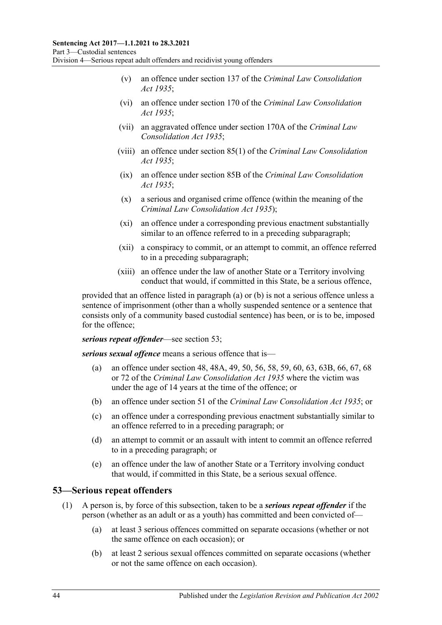- (v) an offence under section 137 of the *[Criminal Law Consolidation](http://www.legislation.sa.gov.au/index.aspx?action=legref&type=act&legtitle=Criminal%20Law%20Consolidation%20Act%201935)  Act [1935](http://www.legislation.sa.gov.au/index.aspx?action=legref&type=act&legtitle=Criminal%20Law%20Consolidation%20Act%201935)*;
- (vi) an offence under section 170 of the *[Criminal Law Consolidation](http://www.legislation.sa.gov.au/index.aspx?action=legref&type=act&legtitle=Criminal%20Law%20Consolidation%20Act%201935)  Act [1935](http://www.legislation.sa.gov.au/index.aspx?action=legref&type=act&legtitle=Criminal%20Law%20Consolidation%20Act%201935)*;
- (vii) an aggravated offence under section 170A of the *[Criminal Law](http://www.legislation.sa.gov.au/index.aspx?action=legref&type=act&legtitle=Criminal%20Law%20Consolidation%20Act%201935)  [Consolidation Act](http://www.legislation.sa.gov.au/index.aspx?action=legref&type=act&legtitle=Criminal%20Law%20Consolidation%20Act%201935) 1935*;
- (viii) an offence under section 85(1) of the *[Criminal Law Consolidation](http://www.legislation.sa.gov.au/index.aspx?action=legref&type=act&legtitle=Criminal%20Law%20Consolidation%20Act%201935)  Act [1935](http://www.legislation.sa.gov.au/index.aspx?action=legref&type=act&legtitle=Criminal%20Law%20Consolidation%20Act%201935)*;
- (ix) an offence under section 85B of the *[Criminal Law Consolidation](http://www.legislation.sa.gov.au/index.aspx?action=legref&type=act&legtitle=Criminal%20Law%20Consolidation%20Act%201935)  Act [1935](http://www.legislation.sa.gov.au/index.aspx?action=legref&type=act&legtitle=Criminal%20Law%20Consolidation%20Act%201935)*;
- (x) a serious and organised crime offence (within the meaning of the *[Criminal Law Consolidation Act](http://www.legislation.sa.gov.au/index.aspx?action=legref&type=act&legtitle=Criminal%20Law%20Consolidation%20Act%201935) 1935*);
- (xi) an offence under a corresponding previous enactment substantially similar to an offence referred to in a preceding subparagraph;
- (xii) a conspiracy to commit, or an attempt to commit, an offence referred to in a preceding subparagraph;
- (xiii) an offence under the law of another State or a Territory involving conduct that would, if committed in this State, be a serious offence,

provided that an offence listed in [paragraph](#page-42-2) (a) or [\(b\)](#page-42-3) is not a serious offence unless a sentence of imprisonment (other than a wholly suspended sentence or a sentence that consists only of a community based custodial sentence) has been, or is to be, imposed for the offence;

*serious repeat offender*—see [section](#page-43-0) 53;

*serious sexual offence* means a serious offence that is—

- (a) an offence under section 48, 48A, 49, 50, 56, 58, 59, 60, 63, 63B, 66, 67, 68 or 72 of the *[Criminal Law Consolidation Act](http://www.legislation.sa.gov.au/index.aspx?action=legref&type=act&legtitle=Criminal%20Law%20Consolidation%20Act%201935) 1935* where the victim was under the age of 14 years at the time of the offence; or
- (b) an offence under section 51 of the *[Criminal Law Consolidation Act](http://www.legislation.sa.gov.au/index.aspx?action=legref&type=act&legtitle=Criminal%20Law%20Consolidation%20Act%201935) 1935*; or
- (c) an offence under a corresponding previous enactment substantially similar to an offence referred to in a preceding paragraph; or
- (d) an attempt to commit or an assault with intent to commit an offence referred to in a preceding paragraph; or
- (e) an offence under the law of another State or a Territory involving conduct that would, if committed in this State, be a serious sexual offence.

## <span id="page-43-0"></span>**53—Serious repeat offenders**

- (1) A person is, by force of this subsection, taken to be a *serious repeat offender* if the person (whether as an adult or as a youth) has committed and been convicted of—
	- (a) at least 3 serious offences committed on separate occasions (whether or not the same offence on each occasion); or
	- (b) at least 2 serious sexual offences committed on separate occasions (whether or not the same offence on each occasion).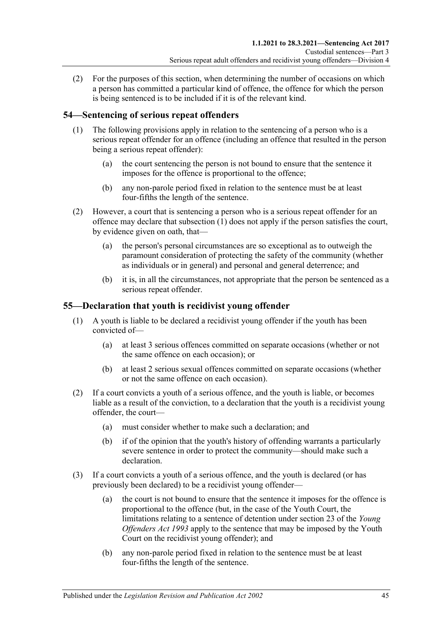(2) For the purposes of this section, when determining the number of occasions on which a person has committed a particular kind of offence, the offence for which the person is being sentenced is to be included if it is of the relevant kind.

## <span id="page-44-0"></span>**54—Sentencing of serious repeat offenders**

- (1) The following provisions apply in relation to the sentencing of a person who is a serious repeat offender for an offence (including an offence that resulted in the person being a serious repeat offender):
	- (a) the court sentencing the person is not bound to ensure that the sentence it imposes for the offence is proportional to the offence;
	- (b) any non-parole period fixed in relation to the sentence must be at least four-fifths the length of the sentence.
- (2) However, a court that is sentencing a person who is a serious repeat offender for an offence may declare that [subsection](#page-44-0) (1) does not apply if the person satisfies the court, by evidence given on oath, that—
	- (a) the person's personal circumstances are so exceptional as to outweigh the paramount consideration of protecting the safety of the community (whether as individuals or in general) and personal and general deterrence; and
	- (b) it is, in all the circumstances, not appropriate that the person be sentenced as a serious repeat offender.

## **55—Declaration that youth is recidivist young offender**

- (1) A youth is liable to be declared a recidivist young offender if the youth has been convicted of—
	- (a) at least 3 serious offences committed on separate occasions (whether or not the same offence on each occasion); or
	- (b) at least 2 serious sexual offences committed on separate occasions (whether or not the same offence on each occasion).
- (2) If a court convicts a youth of a serious offence, and the youth is liable, or becomes liable as a result of the conviction, to a declaration that the youth is a recidivist young offender, the court—
	- (a) must consider whether to make such a declaration; and
	- (b) if of the opinion that the youth's history of offending warrants a particularly severe sentence in order to protect the community—should make such a declaration.
- (3) If a court convicts a youth of a serious offence, and the youth is declared (or has previously been declared) to be a recidivist young offender—
	- (a) the court is not bound to ensure that the sentence it imposes for the offence is proportional to the offence (but, in the case of the Youth Court, the limitations relating to a sentence of detention under section 23 of the *[Young](http://www.legislation.sa.gov.au/index.aspx?action=legref&type=act&legtitle=Young%20Offenders%20Act%201993)  [Offenders Act](http://www.legislation.sa.gov.au/index.aspx?action=legref&type=act&legtitle=Young%20Offenders%20Act%201993) 1993* apply to the sentence that may be imposed by the Youth Court on the recidivist young offender); and
	- (b) any non-parole period fixed in relation to the sentence must be at least four-fifths the length of the sentence.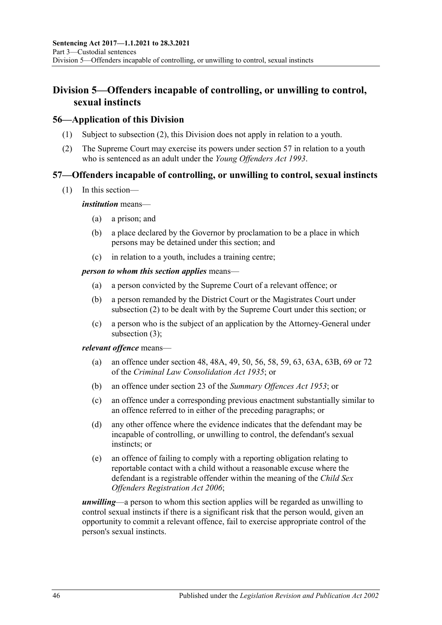# **Division 5—Offenders incapable of controlling, or unwilling to control, sexual instincts**

## **56—Application of this Division**

- (1) Subject to [subsection](#page-45-0) (2), this Division does not apply in relation to a youth.
- <span id="page-45-0"></span>(2) The Supreme Court may exercise its powers under [section](#page-45-1) 57 in relation to a youth who is sentenced as an adult under the *[Young Offenders Act](http://www.legislation.sa.gov.au/index.aspx?action=legref&type=act&legtitle=Young%20Offenders%20Act%201993) 1993*.

## <span id="page-45-1"></span>**57—Offenders incapable of controlling, or unwilling to control, sexual instincts**

(1) In this section—

### *institution* means—

- (a) a prison; and
- (b) a place declared by the Governor by proclamation to be a place in which persons may be detained under this section; and
- (c) in relation to a youth, includes a training centre;

### *person to whom this section applies* means—

- (a) a person convicted by the Supreme Court of a relevant offence; or
- (b) a person remanded by the District Court or the Magistrates Court under [subsection](#page-46-0) (2) to be dealt with by the Supreme Court under this section; or
- (c) a person who is the subject of an application by the Attorney-General under [subsection](#page-46-1) (3);

### *relevant offence* means—

- (a) an offence under section 48, 48A, 49, 50, 56, 58, 59, 63, 63A, 63B, 69 or 72 of the *[Criminal Law Consolidation Act](http://www.legislation.sa.gov.au/index.aspx?action=legref&type=act&legtitle=Criminal%20Law%20Consolidation%20Act%201935) 1935*; or
- (b) an offence under section 23 of the *[Summary Offences Act](http://www.legislation.sa.gov.au/index.aspx?action=legref&type=act&legtitle=Summary%20Offences%20Act%201953) 1953*; or
- (c) an offence under a corresponding previous enactment substantially similar to an offence referred to in either of the preceding paragraphs; or
- (d) any other offence where the evidence indicates that the defendant may be incapable of controlling, or unwilling to control, the defendant's sexual instincts; or
- (e) an offence of failing to comply with a reporting obligation relating to reportable contact with a child without a reasonable excuse where the defendant is a registrable offender within the meaning of the *[Child Sex](http://www.legislation.sa.gov.au/index.aspx?action=legref&type=act&legtitle=Child%20Sex%20Offenders%20Registration%20Act%202006)  [Offenders Registration Act](http://www.legislation.sa.gov.au/index.aspx?action=legref&type=act&legtitle=Child%20Sex%20Offenders%20Registration%20Act%202006) 2006*;

*unwilling*—a person to whom this section applies will be regarded as unwilling to control sexual instincts if there is a significant risk that the person would, given an opportunity to commit a relevant offence, fail to exercise appropriate control of the person's sexual instincts.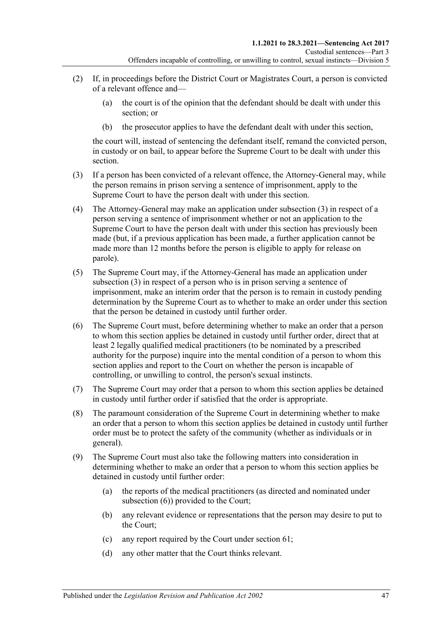- <span id="page-46-0"></span>(2) If, in proceedings before the District Court or Magistrates Court, a person is convicted of a relevant offence and—
	- (a) the court is of the opinion that the defendant should be dealt with under this section; or
	- (b) the prosecutor applies to have the defendant dealt with under this section,

the court will, instead of sentencing the defendant itself, remand the convicted person, in custody or on bail, to appear before the Supreme Court to be dealt with under this section.

- <span id="page-46-1"></span>(3) If a person has been convicted of a relevant offence, the Attorney-General may, while the person remains in prison serving a sentence of imprisonment, apply to the Supreme Court to have the person dealt with under this section.
- (4) The Attorney-General may make an application under [subsection](#page-46-1) (3) in respect of a person serving a sentence of imprisonment whether or not an application to the Supreme Court to have the person dealt with under this section has previously been made (but, if a previous application has been made, a further application cannot be made more than 12 months before the person is eligible to apply for release on parole).
- (5) The Supreme Court may, if the Attorney-General has made an application under [subsection](#page-46-1) (3) in respect of a person who is in prison serving a sentence of imprisonment, make an interim order that the person is to remain in custody pending determination by the Supreme Court as to whether to make an order under this section that the person be detained in custody until further order.
- <span id="page-46-2"></span>(6) The Supreme Court must, before determining whether to make an order that a person to whom this section applies be detained in custody until further order, direct that at least 2 legally qualified medical practitioners (to be nominated by a prescribed authority for the purpose) inquire into the mental condition of a person to whom this section applies and report to the Court on whether the person is incapable of controlling, or unwilling to control, the person's sexual instincts.
- (7) The Supreme Court may order that a person to whom this section applies be detained in custody until further order if satisfied that the order is appropriate.
- (8) The paramount consideration of the Supreme Court in determining whether to make an order that a person to whom this section applies be detained in custody until further order must be to protect the safety of the community (whether as individuals or in general).
- <span id="page-46-3"></span>(9) The Supreme Court must also take the following matters into consideration in determining whether to make an order that a person to whom this section applies be detained in custody until further order:
	- (a) the reports of the medical practitioners (as directed and nominated under [subsection](#page-46-2) (6)) provided to the Court;
	- (b) any relevant evidence or representations that the person may desire to put to the Court;
	- (c) any report required by the Court under [section](#page-52-0) 61;
	- (d) any other matter that the Court thinks relevant.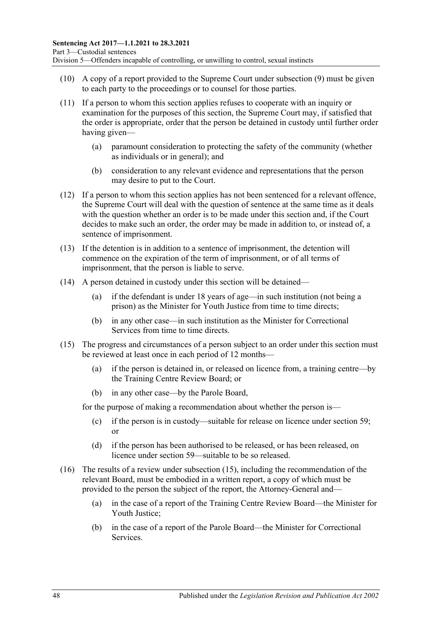- (10) A copy of a report provided to the Supreme Court under [subsection](#page-46-3) (9) must be given to each party to the proceedings or to counsel for those parties.
- (11) If a person to whom this section applies refuses to cooperate with an inquiry or examination for the purposes of this section, the Supreme Court may, if satisfied that the order is appropriate, order that the person be detained in custody until further order having given—
	- (a) paramount consideration to protecting the safety of the community (whether as individuals or in general); and
	- (b) consideration to any relevant evidence and representations that the person may desire to put to the Court.
- (12) If a person to whom this section applies has not been sentenced for a relevant offence, the Supreme Court will deal with the question of sentence at the same time as it deals with the question whether an order is to be made under this section and, if the Court decides to make such an order, the order may be made in addition to, or instead of, a sentence of imprisonment.
- (13) If the detention is in addition to a sentence of imprisonment, the detention will commence on the expiration of the term of imprisonment, or of all terms of imprisonment, that the person is liable to serve.
- (14) A person detained in custody under this section will be detained—
	- (a) if the defendant is under 18 years of age—in such institution (not being a prison) as the Minister for Youth Justice from time to time directs;
	- (b) in any other case—in such institution as the Minister for Correctional Services from time to time directs.
- <span id="page-47-0"></span>(15) The progress and circumstances of a person subject to an order under this section must be reviewed at least once in each period of 12 months—
	- (a) if the person is detained in, or released on licence from, a training centre—by the Training Centre Review Board; or
	- (b) in any other case—by the Parole Board,

for the purpose of making a recommendation about whether the person is—

- (c) if the person is in custody—suitable for release on licence under [section](#page-49-0) 59; or
- (d) if the person has been authorised to be released, or has been released, on licence under [section](#page-49-0) 59—suitable to be so released.
- (16) The results of a review under [subsection](#page-47-0) (15), including the recommendation of the relevant Board, must be embodied in a written report, a copy of which must be provided to the person the subject of the report, the Attorney-General and—
	- (a) in the case of a report of the Training Centre Review Board—the Minister for Youth Justice;
	- (b) in the case of a report of the Parole Board—the Minister for Correctional Services.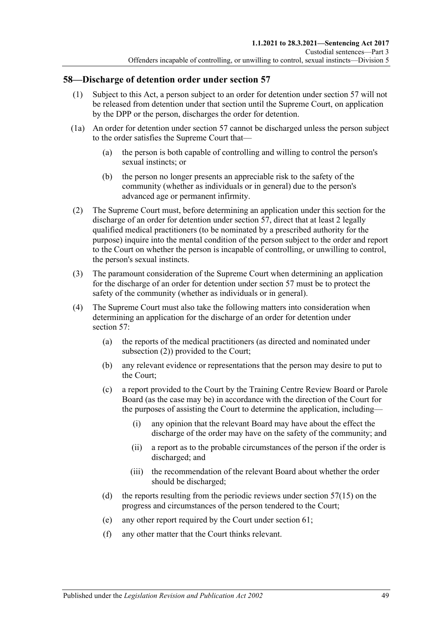## **58—Discharge of detention order under [section](#page-45-1) 57**

- (1) Subject to this Act, a person subject to an order for detention under [section](#page-45-1) 57 will not be released from detention under that section until the Supreme Court, on application by the DPP or the person, discharges the order for detention.
- (1a) An order for detention under [section](#page-45-1) 57 cannot be discharged unless the person subject to the order satisfies the Supreme Court that—
	- (a) the person is both capable of controlling and willing to control the person's sexual instincts; or
	- (b) the person no longer presents an appreciable risk to the safety of the community (whether as individuals or in general) due to the person's advanced age or permanent infirmity.
- <span id="page-48-0"></span>(2) The Supreme Court must, before determining an application under this section for the discharge of an order for detention under [section](#page-45-1) 57, direct that at least 2 legally qualified medical practitioners (to be nominated by a prescribed authority for the purpose) inquire into the mental condition of the person subject to the order and report to the Court on whether the person is incapable of controlling, or unwilling to control, the person's sexual instincts.
- (3) The paramount consideration of the Supreme Court when determining an application for the discharge of an order for detention under [section](#page-45-1) 57 must be to protect the safety of the community (whether as individuals or in general).
- <span id="page-48-1"></span>(4) The Supreme Court must also take the following matters into consideration when determining an application for the discharge of an order for detention under [section](#page-45-1) 57:
	- (a) the reports of the medical practitioners (as directed and nominated under [subsection](#page-48-0) (2)) provided to the Court;
	- (b) any relevant evidence or representations that the person may desire to put to the Court;
	- (c) a report provided to the Court by the Training Centre Review Board or Parole Board (as the case may be) in accordance with the direction of the Court for the purposes of assisting the Court to determine the application, including—
		- (i) any opinion that the relevant Board may have about the effect the discharge of the order may have on the safety of the community; and
		- (ii) a report as to the probable circumstances of the person if the order is discharged; and
		- (iii) the recommendation of the relevant Board about whether the order should be discharged;
	- (d) the reports resulting from the periodic reviews under [section](#page-47-0)  $57(15)$  on the progress and circumstances of the person tendered to the Court;
	- (e) any other report required by the Court under [section](#page-52-0) 61;
	- (f) any other matter that the Court thinks relevant.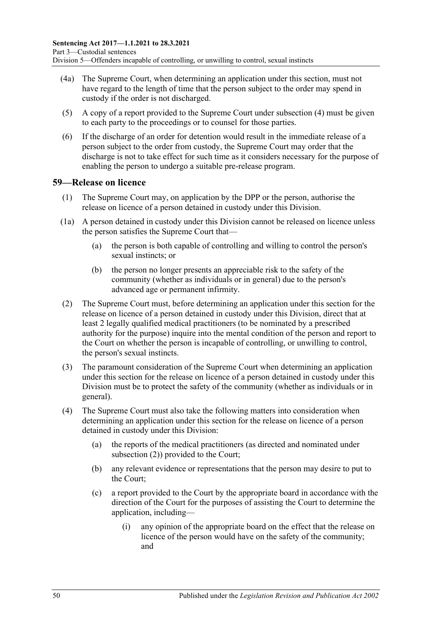- (4a) The Supreme Court, when determining an application under this section, must not have regard to the length of time that the person subject to the order may spend in custody if the order is not discharged.
- (5) A copy of a report provided to the Supreme Court under [subsection](#page-48-1) (4) must be given to each party to the proceedings or to counsel for those parties.
- (6) If the discharge of an order for detention would result in the immediate release of a person subject to the order from custody, the Supreme Court may order that the discharge is not to take effect for such time as it considers necessary for the purpose of enabling the person to undergo a suitable pre-release program.

### <span id="page-49-3"></span><span id="page-49-0"></span>**59—Release on licence**

- (1) The Supreme Court may, on application by the DPP or the person, authorise the release on licence of a person detained in custody under this Division.
- (1a) A person detained in custody under this Division cannot be released on licence unless the person satisfies the Supreme Court that—
	- (a) the person is both capable of controlling and willing to control the person's sexual instincts; or
	- (b) the person no longer presents an appreciable risk to the safety of the community (whether as individuals or in general) due to the person's advanced age or permanent infirmity.
- <span id="page-49-4"></span><span id="page-49-1"></span>(2) The Supreme Court must, before determining an application under this section for the release on licence of a person detained in custody under this Division, direct that at least 2 legally qualified medical practitioners (to be nominated by a prescribed authority for the purpose) inquire into the mental condition of the person and report to the Court on whether the person is incapable of controlling, or unwilling to control, the person's sexual instincts.
- (3) The paramount consideration of the Supreme Court when determining an application under this section for the release on licence of a person detained in custody under this Division must be to protect the safety of the community (whether as individuals or in general).
- <span id="page-49-2"></span>(4) The Supreme Court must also take the following matters into consideration when determining an application under this section for the release on licence of a person detained in custody under this Division:
	- (a) the reports of the medical practitioners (as directed and nominated under [subsection](#page-49-1) (2)) provided to the Court;
	- (b) any relevant evidence or representations that the person may desire to put to the Court;
	- (c) a report provided to the Court by the appropriate board in accordance with the direction of the Court for the purposes of assisting the Court to determine the application, including—
		- (i) any opinion of the appropriate board on the effect that the release on licence of the person would have on the safety of the community; and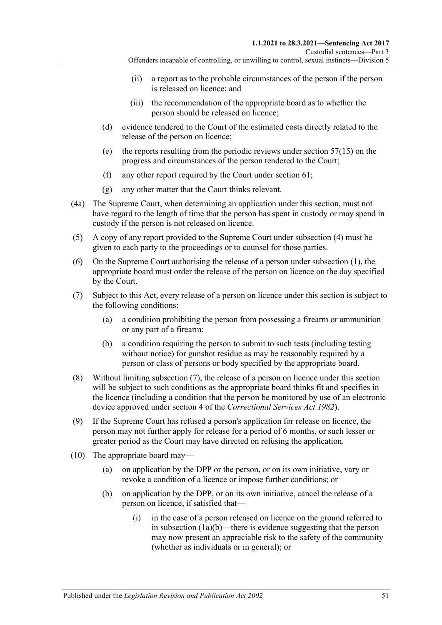- (ii) a report as to the probable circumstances of the person if the person is released on licence; and
- (iii) the recommendation of the appropriate board as to whether the person should be released on licence;
- (d) evidence tendered to the Court of the estimated costs directly related to the release of the person on licence;
- (e) the reports resulting from the periodic reviews under [section](#page-47-0) 57(15) on the progress and circumstances of the person tendered to the Court;
- (f) any other report required by the Court under [section](#page-52-0) 61;
- (g) any other matter that the Court thinks relevant.
- (4a) The Supreme Court, when determining an application under this section, must not have regard to the length of time that the person has spent in custody or may spend in custody if the person is not released on licence.
- (5) A copy of any report provided to the Supreme Court under [subsection](#page-49-2) (4) must be given to each party to the proceedings or to counsel for those parties.
- (6) On the Supreme Court authorising the release of a person under [subsection](#page-49-3) (1), the appropriate board must order the release of the person on licence on the day specified by the Court.
- <span id="page-50-2"></span><span id="page-50-0"></span>(7) Subject to this Act, every release of a person on licence under this section is subject to the following conditions:
	- (a) a condition prohibiting the person from possessing a firearm or ammunition or any part of a firearm;
	- (b) a condition requiring the person to submit to such tests (including testing without notice) for gunshot residue as may be reasonably required by a person or class of persons or body specified by the appropriate board.
- (8) Without limiting [subsection](#page-50-0) (7), the release of a person on licence under this section will be subject to such conditions as the appropriate board thinks fit and specifies in the licence (including a condition that the person be monitored by use of an electronic device approved under section 4 of the *[Correctional Services Act](http://www.legislation.sa.gov.au/index.aspx?action=legref&type=act&legtitle=Correctional%20Services%20Act%201982) 1982*).
- (9) If the Supreme Court has refused a person's application for release on licence, the person may not further apply for release for a period of 6 months, or such lesser or greater period as the Court may have directed on refusing the application.
- <span id="page-50-1"></span>(10) The appropriate board may—
	- (a) on application by the DPP or the person, or on its own initiative, vary or revoke a condition of a licence or impose further conditions; or
	- (b) on application by the DPP, or on its own initiative, cancel the release of a person on licence, if satisfied that—
		- (i) in the case of a person released on licence on the ground referred to in [subsection](#page-49-4) (1a)(b)—there is evidence suggesting that the person may now present an appreciable risk to the safety of the community (whether as individuals or in general); or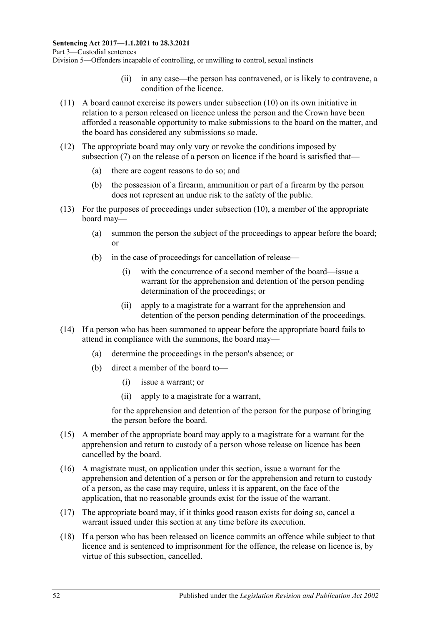- (ii) in any case—the person has contravened, or is likely to contravene, a condition of the licence.
- (11) A board cannot exercise its powers under [subsection](#page-50-1) (10) on its own initiative in relation to a person released on licence unless the person and the Crown have been afforded a reasonable opportunity to make submissions to the board on the matter, and the board has considered any submissions so made.
- (12) The appropriate board may only vary or revoke the conditions imposed by [subsection](#page-50-0) (7) on the release of a person on licence if the board is satisfied that—
	- (a) there are cogent reasons to do so; and
	- (b) the possession of a firearm, ammunition or part of a firearm by the person does not represent an undue risk to the safety of the public.
- (13) For the purposes of proceedings under [subsection](#page-50-1) (10), a member of the appropriate board may—
	- (a) summon the person the subject of the proceedings to appear before the board; or
	- (b) in the case of proceedings for cancellation of release—
		- (i) with the concurrence of a second member of the board—issue a warrant for the apprehension and detention of the person pending determination of the proceedings; or
		- (ii) apply to a magistrate for a warrant for the apprehension and detention of the person pending determination of the proceedings.
- (14) If a person who has been summoned to appear before the appropriate board fails to attend in compliance with the summons, the board may—
	- (a) determine the proceedings in the person's absence; or
	- (b) direct a member of the board to—
		- (i) issue a warrant; or
		- (ii) apply to a magistrate for a warrant,

for the apprehension and detention of the person for the purpose of bringing the person before the board.

- (15) A member of the appropriate board may apply to a magistrate for a warrant for the apprehension and return to custody of a person whose release on licence has been cancelled by the board.
- (16) A magistrate must, on application under this section, issue a warrant for the apprehension and detention of a person or for the apprehension and return to custody of a person, as the case may require, unless it is apparent, on the face of the application, that no reasonable grounds exist for the issue of the warrant.
- (17) The appropriate board may, if it thinks good reason exists for doing so, cancel a warrant issued under this section at any time before its execution.
- (18) If a person who has been released on licence commits an offence while subject to that licence and is sentenced to imprisonment for the offence, the release on licence is, by virtue of this subsection, cancelled.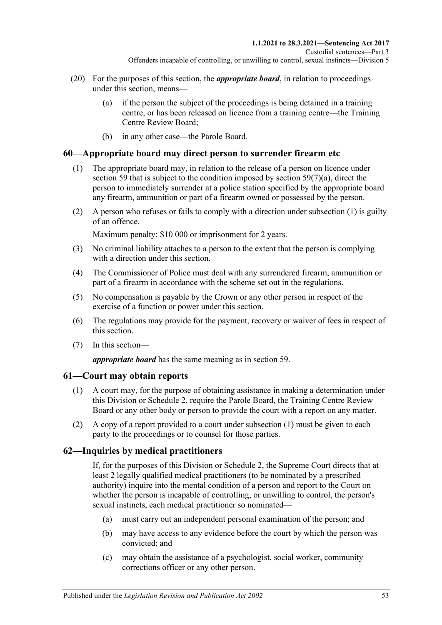- (20) For the purposes of this section, the *appropriate board*, in relation to proceedings under this section, means—
	- (a) if the person the subject of the proceedings is being detained in a training centre, or has been released on licence from a training centre—the Training Centre Review Board;
	- (b) in any other case—the Parole Board.

## <span id="page-52-1"></span>**60—Appropriate board may direct person to surrender firearm etc**

- (1) The appropriate board may, in relation to the release of a person on licence under [section](#page-49-0) 59 that is subject to the condition imposed by section  $59(7)(a)$ , direct the person to immediately surrender at a police station specified by the appropriate board any firearm, ammunition or part of a firearm owned or possessed by the person.
- (2) A person who refuses or fails to comply with a direction under [subsection](#page-52-1) (1) is guilty of an offence.

Maximum penalty: \$10 000 or imprisonment for 2 years.

- (3) No criminal liability attaches to a person to the extent that the person is complying with a direction under this section.
- (4) The Commissioner of Police must deal with any surrendered firearm, ammunition or part of a firearm in accordance with the scheme set out in the regulations.
- (5) No compensation is payable by the Crown or any other person in respect of the exercise of a function or power under this section.
- (6) The regulations may provide for the payment, recovery or waiver of fees in respect of this section.
- (7) In this section—

*appropriate board* has the same meaning as in [section](#page-49-0) 59.

### <span id="page-52-2"></span><span id="page-52-0"></span>**61—Court may obtain reports**

- (1) A court may, for the purpose of obtaining assistance in making a determination under this Division or [Schedule 2,](#page-102-0) require the Parole Board, the Training Centre Review Board or any other body or person to provide the court with a report on any matter.
- (2) A copy of a report provided to a court under [subsection](#page-52-2) (1) must be given to each party to the proceedings or to counsel for those parties.

## **62—Inquiries by medical practitioners**

If, for the purposes of this Division or [Schedule 2,](#page-102-0) the Supreme Court directs that at least 2 legally qualified medical practitioners (to be nominated by a prescribed authority) inquire into the mental condition of a person and report to the Court on whether the person is incapable of controlling, or unwilling to control, the person's sexual instincts, each medical practitioner so nominated—

- (a) must carry out an independent personal examination of the person; and
- (b) may have access to any evidence before the court by which the person was convicted; and
- (c) may obtain the assistance of a psychologist, social worker, community corrections officer or any other person.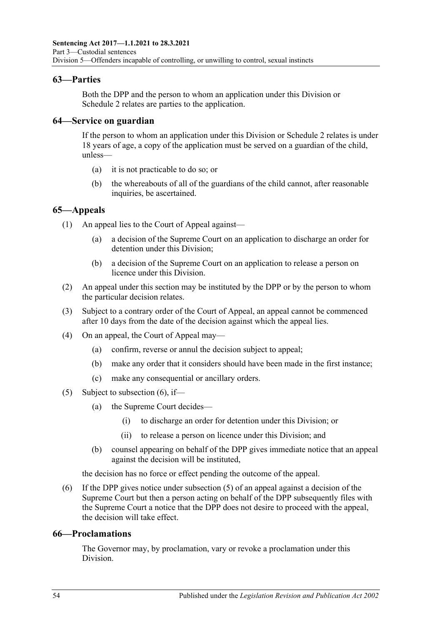## **63—Parties**

Both the DPP and the person to whom an application under this Division or [Schedule](#page-102-0) 2 relates are parties to the application.

## **64—Service on guardian**

If the person to whom an application under this Division or [Schedule 2](#page-102-0) relates is under 18 years of age, a copy of the application must be served on a guardian of the child, unless—

- (a) it is not practicable to do so; or
- (b) the whereabouts of all of the guardians of the child cannot, after reasonable inquiries, be ascertained.

## **65—Appeals**

(1) An appeal lies to the Court of Appeal against—

- (a) a decision of the Supreme Court on an application to discharge an order for detention under this Division;
- (b) a decision of the Supreme Court on an application to release a person on licence under this Division.
- (2) An appeal under this section may be instituted by the DPP or by the person to whom the particular decision relates.
- (3) Subject to a contrary order of the Court of Appeal, an appeal cannot be commenced after 10 days from the date of the decision against which the appeal lies.
- (4) On an appeal, the Court of Appeal may—
	- (a) confirm, reverse or annul the decision subject to appeal;
	- (b) make any order that it considers should have been made in the first instance;
	- (c) make any consequential or ancillary orders.
- <span id="page-53-1"></span>(5) Subject to [subsection](#page-53-0)  $(6)$ , if—
	- (a) the Supreme Court decides—
		- (i) to discharge an order for detention under this Division; or
		- (ii) to release a person on licence under this Division; and
	- (b) counsel appearing on behalf of the DPP gives immediate notice that an appeal against the decision will be instituted,

the decision has no force or effect pending the outcome of the appeal.

<span id="page-53-0"></span>(6) If the DPP gives notice under [subsection](#page-53-1) (5) of an appeal against a decision of the Supreme Court but then a person acting on behalf of the DPP subsequently files with the Supreme Court a notice that the DPP does not desire to proceed with the appeal, the decision will take effect.

### **66—Proclamations**

The Governor may, by proclamation, vary or revoke a proclamation under this Division.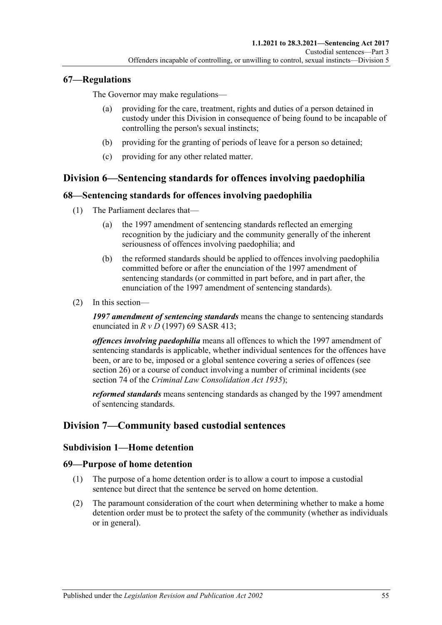## **67—Regulations**

The Governor may make regulations—

- providing for the care, treatment, rights and duties of a person detained in custody under this Division in consequence of being found to be incapable of controlling the person's sexual instincts;
- (b) providing for the granting of periods of leave for a person so detained;
- (c) providing for any other related matter.

# **Division 6—Sentencing standards for offences involving paedophilia**

## **68—Sentencing standards for offences involving paedophilia**

- (1) The Parliament declares that—
	- (a) the 1997 amendment of sentencing standards reflected an emerging recognition by the judiciary and the community generally of the inherent seriousness of offences involving paedophilia; and
	- (b) the reformed standards should be applied to offences involving paedophilia committed before or after the enunciation of the 1997 amendment of sentencing standards (or committed in part before, and in part after, the enunciation of the 1997 amendment of sentencing standards).
- (2) In this section—

*1997 amendment of sentencing standards* means the change to sentencing standards enunciated in *R v D* (1997) 69 SASR 413;

*offences involving paedophilia* means all offences to which the 1997 amendment of sentencing standards is applicable, whether individual sentences for the offences have been, or are to be, imposed or a global sentence covering a series of offences (see [section](#page-20-0) 26) or a course of conduct involving a number of criminal incidents (see section 74 of the *[Criminal Law Consolidation Act](http://www.legislation.sa.gov.au/index.aspx?action=legref&type=act&legtitle=Criminal%20Law%20Consolidation%20Act%201935) 1935*);

*reformed standards* means sentencing standards as changed by the 1997 amendment of sentencing standards.

## **Division 7—Community based custodial sentences**

## **Subdivision 1—Home detention**

## **69—Purpose of home detention**

- (1) The purpose of a home detention order is to allow a court to impose a custodial sentence but direct that the sentence be served on home detention.
- (2) The paramount consideration of the court when determining whether to make a home detention order must be to protect the safety of the community (whether as individuals or in general).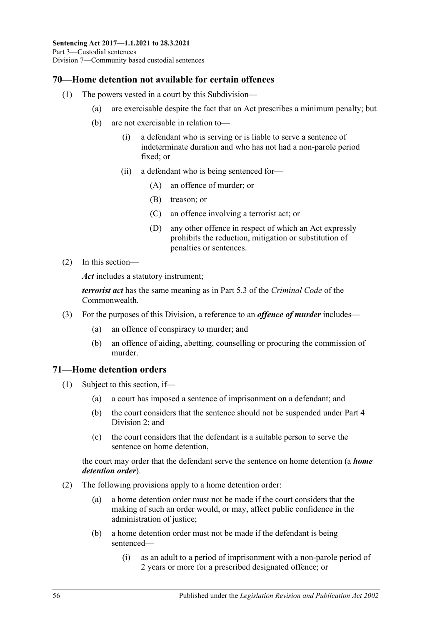## **70—Home detention not available for certain offences**

- (1) The powers vested in a court by this Subdivision—
	- (a) are exercisable despite the fact that an Act prescribes a minimum penalty; but
	- (b) are not exercisable in relation to—
		- (i) a defendant who is serving or is liable to serve a sentence of indeterminate duration and who has not had a non-parole period fixed; or
		- (ii) a defendant who is being sentenced for—
			- (A) an offence of murder; or
			- (B) treason; or
			- (C) an offence involving a terrorist act; or
			- (D) any other offence in respect of which an Act expressly prohibits the reduction, mitigation or substitution of penalties or sentences.
- (2) In this section—

*Act* includes a statutory instrument;

*terrorist act* has the same meaning as in Part 5.3 of the *Criminal Code* of the Commonwealth.

- (3) For the purposes of this Division, a reference to an *offence of murder* includes—
	- (a) an offence of conspiracy to murder; and
	- (b) an offence of aiding, abetting, counselling or procuring the commission of murder.

## **71—Home detention orders**

- (1) Subject to this section, if—
	- (a) a court has imposed a sentence of imprisonment on a defendant; and
	- (b) the court considers that the sentence should not be suspended under [Part](#page-78-1) 4 [Division](#page-78-1) 2; and
	- (c) the court considers that the defendant is a suitable person to serve the sentence on home detention,

the court may order that the defendant serve the sentence on home detention (a *home detention order*).

- (2) The following provisions apply to a home detention order:
	- (a) a home detention order must not be made if the court considers that the making of such an order would, or may, affect public confidence in the administration of justice;
	- (b) a home detention order must not be made if the defendant is being sentenced—
		- (i) as an adult to a period of imprisonment with a non-parole period of 2 years or more for a prescribed designated offence; or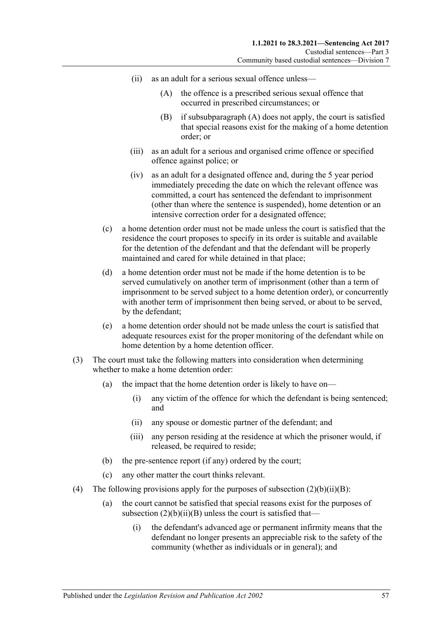- <span id="page-56-1"></span><span id="page-56-0"></span>(ii) as an adult for a serious sexual offence unless—
	- (A) the offence is a prescribed serious sexual offence that occurred in prescribed circumstances; or
	- (B) if [subsubparagraph](#page-56-0) (A) does not apply, the court is satisfied that special reasons exist for the making of a home detention order; or
- (iii) as an adult for a serious and organised crime offence or specified offence against police; or
- (iv) as an adult for a designated offence and, during the 5 year period immediately preceding the date on which the relevant offence was committed, a court has sentenced the defendant to imprisonment (other than where the sentence is suspended), home detention or an intensive correction order for a designated offence;
- (c) a home detention order must not be made unless the court is satisfied that the residence the court proposes to specify in its order is suitable and available for the detention of the defendant and that the defendant will be properly maintained and cared for while detained in that place;
- (d) a home detention order must not be made if the home detention is to be served cumulatively on another term of imprisonment (other than a term of imprisonment to be served subject to a home detention order), or concurrently with another term of imprisonment then being served, or about to be served, by the defendant;
- (e) a home detention order should not be made unless the court is satisfied that adequate resources exist for the proper monitoring of the defendant while on home detention by a home detention officer.
- (3) The court must take the following matters into consideration when determining whether to make a home detention order:
	- (a) the impact that the home detention order is likely to have on—
		- (i) any victim of the offence for which the defendant is being sentenced; and
		- (ii) any spouse or domestic partner of the defendant; and
		- (iii) any person residing at the residence at which the prisoner would, if released, be required to reside;
	- (b) the pre-sentence report (if any) ordered by the court;
	- (c) any other matter the court thinks relevant.
- (4) The following provisions apply for the purposes of subsection  $(2)(b)(ii)(B)$ :
	- (a) the court cannot be satisfied that special reasons exist for the purposes of subsection  $(2)(b)(ii)(B)$  unless the court is satisfied that—
		- (i) the defendant's advanced age or permanent infirmity means that the defendant no longer presents an appreciable risk to the safety of the community (whether as individuals or in general); and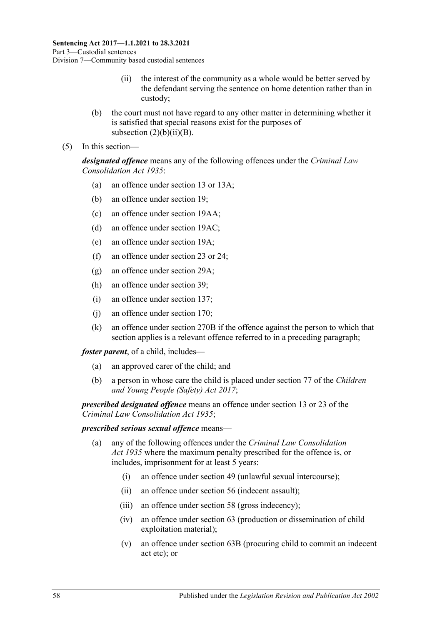- (ii) the interest of the community as a whole would be better served by the defendant serving the sentence on home detention rather than in custody;
- (b) the court must not have regard to any other matter in determining whether it is satisfied that special reasons exist for the purposes of subsection  $(2)(b)(ii)(B)$ .
- (5) In this section—

*designated offence* means any of the following offences under the *[Criminal Law](http://www.legislation.sa.gov.au/index.aspx?action=legref&type=act&legtitle=Criminal%20Law%20Consolidation%20Act%201935) [Consolidation Act](http://www.legislation.sa.gov.au/index.aspx?action=legref&type=act&legtitle=Criminal%20Law%20Consolidation%20Act%201935) 1935*:

- (a) an offence under section 13 or 13A;
- (b) an offence under section 19;
- (c) an offence under section 19AA;
- (d) an offence under section 19AC;
- (e) an offence under section 19A;
- (f) an offence under section 23 or 24;
- (g) an offence under section 29A;
- (h) an offence under section 39;
- (i) an offence under section 137;
- (j) an offence under section 170;
- (k) an offence under section 270B if the offence against the person to which that section applies is a relevant offence referred to in a preceding paragraph;

*foster parent*, of a child, includes—

- (a) an approved carer of the child; and
- (b) a person in whose care the child is placed under section 77 of the *[Children](http://www.legislation.sa.gov.au/index.aspx?action=legref&type=act&legtitle=Children%20and%20Young%20People%20(Safety)%20Act%202017)  [and Young People \(Safety\) Act](http://www.legislation.sa.gov.au/index.aspx?action=legref&type=act&legtitle=Children%20and%20Young%20People%20(Safety)%20Act%202017) 2017*;

*prescribed designated offence* means an offence under section 13 or 23 of the *[Criminal Law Consolidation Act](http://www.legislation.sa.gov.au/index.aspx?action=legref&type=act&legtitle=Criminal%20Law%20Consolidation%20Act%201935) 1935*;

#### *prescribed serious sexual offence* means—

- (a) any of the following offences under the *[Criminal Law Consolidation](http://www.legislation.sa.gov.au/index.aspx?action=legref&type=act&legtitle=Criminal%20Law%20Consolidation%20Act%201935)  Act [1935](http://www.legislation.sa.gov.au/index.aspx?action=legref&type=act&legtitle=Criminal%20Law%20Consolidation%20Act%201935)* where the maximum penalty prescribed for the offence is, or includes, imprisonment for at least 5 years:
	- (i) an offence under section 49 (unlawful sexual intercourse);
	- (ii) an offence under section 56 (indecent assault);
	- (iii) an offence under section 58 (gross indecency);
	- (iv) an offence under section 63 (production or dissemination of child exploitation material);
	- (v) an offence under section 63B (procuring child to commit an indecent act etc); or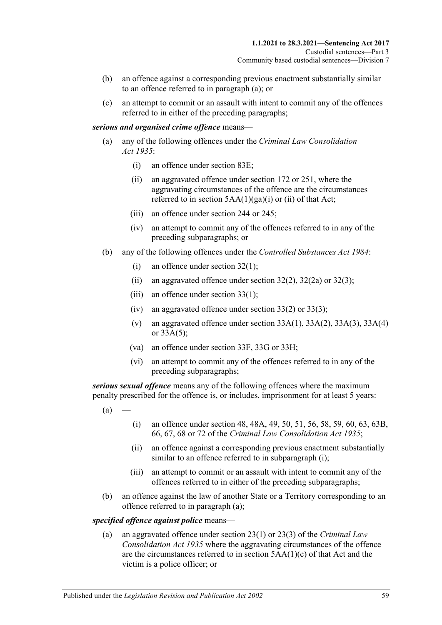- (b) an offence against a corresponding previous enactment substantially similar to an offence referred to in paragraph (a); or
- (c) an attempt to commit or an assault with intent to commit any of the offences referred to in either of the preceding paragraphs;

#### *serious and organised crime offence* means—

- (a) any of the following offences under the *[Criminal Law Consolidation](http://www.legislation.sa.gov.au/index.aspx?action=legref&type=act&legtitle=Criminal%20Law%20Consolidation%20Act%201935)  Act [1935](http://www.legislation.sa.gov.au/index.aspx?action=legref&type=act&legtitle=Criminal%20Law%20Consolidation%20Act%201935)*:
	- (i) an offence under section 83E;
	- (ii) an aggravated offence under section 172 or 251, where the aggravating circumstances of the offence are the circumstances referred to in section  $5AA(1)(ga)(i)$  or (ii) of that Act;
	- (iii) an offence under section 244 or 245;
	- (iv) an attempt to commit any of the offences referred to in any of the preceding subparagraphs; or
- (b) any of the following offences under the *[Controlled Substances Act](http://www.legislation.sa.gov.au/index.aspx?action=legref&type=act&legtitle=Controlled%20Substances%20Act%201984) 1984*:
	- (i) an offence under section 32(1);
	- (ii) an aggravated offence under section  $32(2)$ ,  $32(2a)$  or  $32(3)$ ;
	- (iii) an offence under section  $33(1)$ ;
	- (iv) an aggravated offence under section 33(2) or 33(3);
	- (v) an aggravated offence under section  $33A(1)$ ,  $33A(2)$ ,  $33A(3)$ ,  $33A(4)$ or 33A(5);
	- (va) an offence under section 33F, 33G or 33H;
	- (vi) an attempt to commit any of the offences referred to in any of the preceding subparagraphs;

<span id="page-58-1"></span>*serious sexual offence* means any of the following offences where the maximum penalty prescribed for the offence is, or includes, imprisonment for at least 5 years:

- <span id="page-58-0"></span> $(a)$
- (i) an offence under section 48, 48A, 49, 50, 51, 56, 58, 59, 60, 63, 63B, 66, 67, 68 or 72 of the *[Criminal Law Consolidation Act](http://www.legislation.sa.gov.au/index.aspx?action=legref&type=act&legtitle=Criminal%20Law%20Consolidation%20Act%201935) 1935*;
- (ii) an offence against a corresponding previous enactment substantially similar to an offence referred to in [subparagraph](#page-58-0) (i);
- (iii) an attempt to commit or an assault with intent to commit any of the offences referred to in either of the preceding subparagraphs;
- (b) an offence against the law of another State or a Territory corresponding to an offence referred to in [paragraph](#page-58-1) (a);

#### *specified offence against police* means—

(a) an aggravated offence under section 23(1) or 23(3) of the *[Criminal Law](http://www.legislation.sa.gov.au/index.aspx?action=legref&type=act&legtitle=Criminal%20Law%20Consolidation%20Act%201935)  [Consolidation Act](http://www.legislation.sa.gov.au/index.aspx?action=legref&type=act&legtitle=Criminal%20Law%20Consolidation%20Act%201935) 1935* where the aggravating circumstances of the offence are the circumstances referred to in section 5AA(1)(c) of that Act and the victim is a police officer; or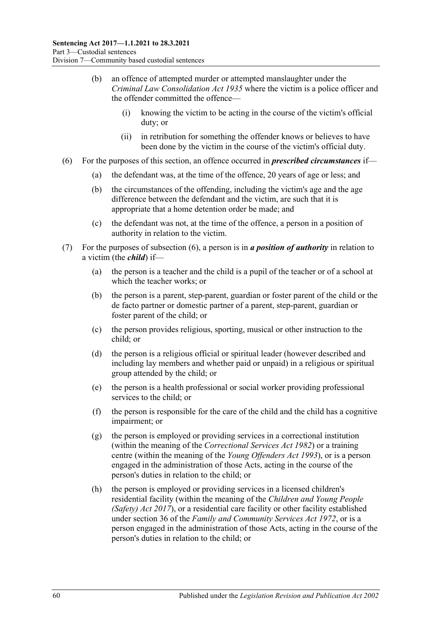- (b) an offence of attempted murder or attempted manslaughter under the *[Criminal Law Consolidation Act](http://www.legislation.sa.gov.au/index.aspx?action=legref&type=act&legtitle=Criminal%20Law%20Consolidation%20Act%201935) 1935* where the victim is a police officer and the offender committed the offence—
	- (i) knowing the victim to be acting in the course of the victim's official duty; or
	- (ii) in retribution for something the offender knows or believes to have been done by the victim in the course of the victim's official duty.
- <span id="page-59-0"></span>(6) For the purposes of this section, an offence occurred in *prescribed circumstances* if—
	- (a) the defendant was, at the time of the offence, 20 years of age or less; and
	- (b) the circumstances of the offending, including the victim's age and the age difference between the defendant and the victim, are such that it is appropriate that a home detention order be made; and
	- (c) the defendant was not, at the time of the offence, a person in a position of authority in relation to the victim.
- (7) For the purposes of [subsection](#page-59-0) (6), a person is in *a position of authority* in relation to a victim (the *child*) if—
	- (a) the person is a teacher and the child is a pupil of the teacher or of a school at which the teacher works; or
	- (b) the person is a parent, step-parent, guardian or foster parent of the child or the de facto partner or domestic partner of a parent, step-parent, guardian or foster parent of the child; or
	- (c) the person provides religious, sporting, musical or other instruction to the child; or
	- (d) the person is a religious official or spiritual leader (however described and including lay members and whether paid or unpaid) in a religious or spiritual group attended by the child; or
	- (e) the person is a health professional or social worker providing professional services to the child; or
	- (f) the person is responsible for the care of the child and the child has a cognitive impairment; or
	- (g) the person is employed or providing services in a correctional institution (within the meaning of the *[Correctional Services Act](http://www.legislation.sa.gov.au/index.aspx?action=legref&type=act&legtitle=Correctional%20Services%20Act%201982) 1982*) or a training centre (within the meaning of the *[Young Offenders Act](http://www.legislation.sa.gov.au/index.aspx?action=legref&type=act&legtitle=Young%20Offenders%20Act%201993) 1993*), or is a person engaged in the administration of those Acts, acting in the course of the person's duties in relation to the child; or
	- (h) the person is employed or providing services in a licensed children's residential facility (within the meaning of the *[Children and Young People](http://www.legislation.sa.gov.au/index.aspx?action=legref&type=act&legtitle=Children%20and%20Young%20People%20(Safety)%20Act%202017)  [\(Safety\) Act](http://www.legislation.sa.gov.au/index.aspx?action=legref&type=act&legtitle=Children%20and%20Young%20People%20(Safety)%20Act%202017) 2017*), or a residential care facility or other facility established under section 36 of the *[Family and Community Services Act](http://www.legislation.sa.gov.au/index.aspx?action=legref&type=act&legtitle=Family%20and%20Community%20Services%20Act%201972) 1972*, or is a person engaged in the administration of those Acts, acting in the course of the person's duties in relation to the child; or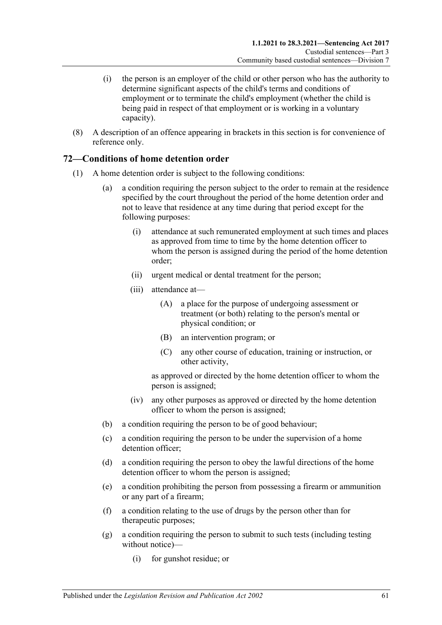- (i) the person is an employer of the child or other person who has the authority to determine significant aspects of the child's terms and conditions of employment or to terminate the child's employment (whether the child is being paid in respect of that employment or is working in a voluntary capacity).
- (8) A description of an offence appearing in brackets in this section is for convenience of reference only.

## **72—Conditions of home detention order**

- (1) A home detention order is subject to the following conditions:
	- (a) a condition requiring the person subject to the order to remain at the residence specified by the court throughout the period of the home detention order and not to leave that residence at any time during that period except for the following purposes:
		- (i) attendance at such remunerated employment at such times and places as approved from time to time by the home detention officer to whom the person is assigned during the period of the home detention order;
		- (ii) urgent medical or dental treatment for the person;
		- (iii) attendance at—
			- (A) a place for the purpose of undergoing assessment or treatment (or both) relating to the person's mental or physical condition; or
			- (B) an intervention program; or
			- (C) any other course of education, training or instruction, or other activity,

as approved or directed by the home detention officer to whom the person is assigned;

- (iv) any other purposes as approved or directed by the home detention officer to whom the person is assigned;
- (b) a condition requiring the person to be of good behaviour;
- (c) a condition requiring the person to be under the supervision of a home detention officer;
- (d) a condition requiring the person to obey the lawful directions of the home detention officer to whom the person is assigned;
- <span id="page-60-0"></span>(e) a condition prohibiting the person from possessing a firearm or ammunition or any part of a firearm;
- (f) a condition relating to the use of drugs by the person other than for therapeutic purposes;
- <span id="page-60-1"></span>(g) a condition requiring the person to submit to such tests (including testing without notice)—
	- (i) for gunshot residue; or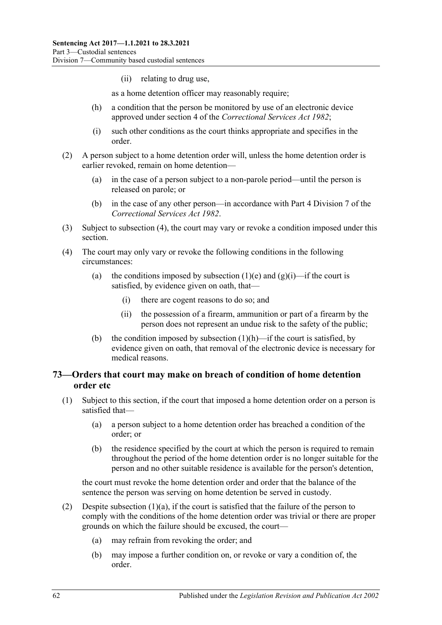(ii) relating to drug use,

as a home detention officer may reasonably require;

- <span id="page-61-1"></span>(h) a condition that the person be monitored by use of an electronic device approved under section 4 of the *[Correctional Services Act](http://www.legislation.sa.gov.au/index.aspx?action=legref&type=act&legtitle=Correctional%20Services%20Act%201982) 1982*;
- (i) such other conditions as the court thinks appropriate and specifies in the order.
- (2) A person subject to a home detention order will, unless the home detention order is earlier revoked, remain on home detention—
	- (a) in the case of a person subject to a non-parole period—until the person is released on parole; or
	- (b) in the case of any other person—in accordance with Part 4 Division 7 of the *[Correctional Services Act](http://www.legislation.sa.gov.au/index.aspx?action=legref&type=act&legtitle=Correctional%20Services%20Act%201982) 1982*.
- (3) Subject to [subsection](#page-61-0) (4), the court may vary or revoke a condition imposed under this section.
- <span id="page-61-0"></span>(4) The court may only vary or revoke the following conditions in the following circumstances:
	- (a) the conditions imposed by [subsection](#page-60-0) (1)(e) and [\(g\)\(i\)—](#page-60-1)if the court is satisfied, by evidence given on oath, that—
		- (i) there are cogent reasons to do so; and
		- (ii) the possession of a firearm, ammunition or part of a firearm by the person does not represent an undue risk to the safety of the public;
	- (b) the condition imposed by [subsection](#page-61-1)  $(1)(h)$ —if the court is satisfied, by evidence given on oath, that removal of the electronic device is necessary for medical reasons.

## <span id="page-61-4"></span>**73—Orders that court may make on breach of condition of home detention order etc**

- <span id="page-61-3"></span><span id="page-61-2"></span>(1) Subject to this section, if the court that imposed a home detention order on a person is satisfied that—
	- (a) a person subject to a home detention order has breached a condition of the order; or
	- (b) the residence specified by the court at which the person is required to remain throughout the period of the home detention order is no longer suitable for the person and no other suitable residence is available for the person's detention,

the court must revoke the home detention order and order that the balance of the sentence the person was serving on home detention be served in custody.

- (2) Despite [subsection](#page-61-2)  $(1)(a)$ , if the court is satisfied that the failure of the person to comply with the conditions of the home detention order was trivial or there are proper grounds on which the failure should be excused, the court—
	- (a) may refrain from revoking the order; and
	- (b) may impose a further condition on, or revoke or vary a condition of, the order.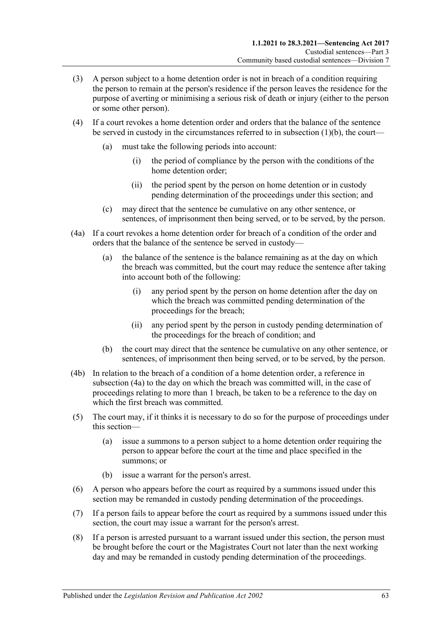- (3) A person subject to a home detention order is not in breach of a condition requiring the person to remain at the person's residence if the person leaves the residence for the purpose of averting or minimising a serious risk of death or injury (either to the person or some other person).
- (4) If a court revokes a home detention order and orders that the balance of the sentence be served in custody in the circumstances referred to in [subsection](#page-61-3) (1)(b), the court—
	- (a) must take the following periods into account:
		- (i) the period of compliance by the person with the conditions of the home detention order;
		- (ii) the period spent by the person on home detention or in custody pending determination of the proceedings under this section; and
	- (c) may direct that the sentence be cumulative on any other sentence, or sentences, of imprisonment then being served, or to be served, by the person.
- <span id="page-62-0"></span>(4a) If a court revokes a home detention order for breach of a condition of the order and orders that the balance of the sentence be served in custody—
	- (a) the balance of the sentence is the balance remaining as at the day on which the breach was committed, but the court may reduce the sentence after taking into account both of the following:
		- (i) any period spent by the person on home detention after the day on which the breach was committed pending determination of the proceedings for the breach;
		- (ii) any period spent by the person in custody pending determination of the proceedings for the breach of condition; and
	- (b) the court may direct that the sentence be cumulative on any other sentence, or sentences, of imprisonment then being served, or to be served, by the person.
- (4b) In relation to the breach of a condition of a home detention order, a reference in [subsection](#page-62-0) (4a) to the day on which the breach was committed will, in the case of proceedings relating to more than 1 breach, be taken to be a reference to the day on which the first breach was committed.
- (5) The court may, if it thinks it is necessary to do so for the purpose of proceedings under this section—
	- (a) issue a summons to a person subject to a home detention order requiring the person to appear before the court at the time and place specified in the summons; or
	- (b) issue a warrant for the person's arrest.
- (6) A person who appears before the court as required by a summons issued under this section may be remanded in custody pending determination of the proceedings.
- (7) If a person fails to appear before the court as required by a summons issued under this section, the court may issue a warrant for the person's arrest.
- <span id="page-62-1"></span>(8) If a person is arrested pursuant to a warrant issued under this section, the person must be brought before the court or the Magistrates Court not later than the next working day and may be remanded in custody pending determination of the proceedings.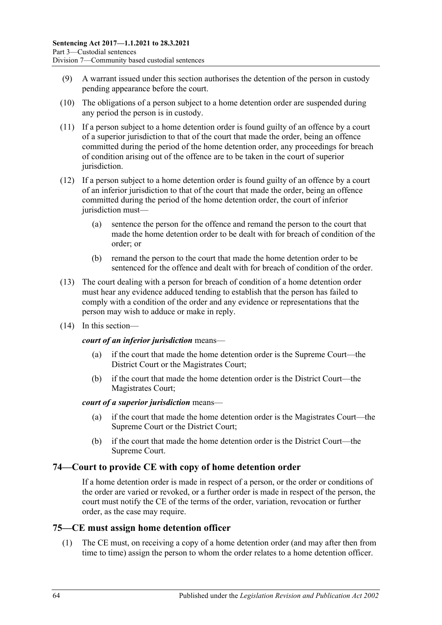- (9) A warrant issued under this section authorises the detention of the person in custody pending appearance before the court.
- <span id="page-63-0"></span>(10) The obligations of a person subject to a home detention order are suspended during any period the person is in custody.
- (11) If a person subject to a home detention order is found guilty of an offence by a court of a superior jurisdiction to that of the court that made the order, being an offence committed during the period of the home detention order, any proceedings for breach of condition arising out of the offence are to be taken in the court of superior jurisdiction.
- (12) If a person subject to a home detention order is found guilty of an offence by a court of an inferior jurisdiction to that of the court that made the order, being an offence committed during the period of the home detention order, the court of inferior jurisdiction must—
	- (a) sentence the person for the offence and remand the person to the court that made the home detention order to be dealt with for breach of condition of the order; or
	- (b) remand the person to the court that made the home detention order to be sentenced for the offence and dealt with for breach of condition of the order.
- (13) The court dealing with a person for breach of condition of a home detention order must hear any evidence adduced tending to establish that the person has failed to comply with a condition of the order and any evidence or representations that the person may wish to adduce or make in reply.
- (14) In this section—

### *court of an inferior jurisdiction* means—

- (a) if the court that made the home detention order is the Supreme Court—the District Court or the Magistrates Court;
- (b) if the court that made the home detention order is the District Court—the Magistrates Court;

### *court of a superior jurisdiction* means—

- (a) if the court that made the home detention order is the Magistrates Court—the Supreme Court or the District Court;
- (b) if the court that made the home detention order is the District Court—the Supreme Court.

## **74—Court to provide CE with copy of home detention order**

If a home detention order is made in respect of a person, or the order or conditions of the order are varied or revoked, or a further order is made in respect of the person, the court must notify the CE of the terms of the order, variation, revocation or further order, as the case may require.

## **75—CE must assign home detention officer**

(1) The CE must, on receiving a copy of a home detention order (and may after then from time to time) assign the person to whom the order relates to a home detention officer.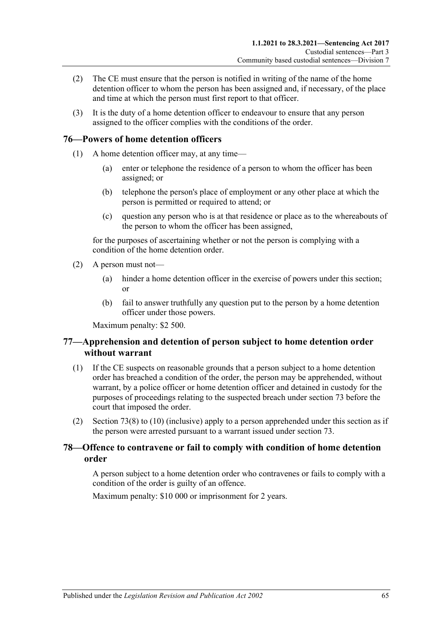- (2) The CE must ensure that the person is notified in writing of the name of the home detention officer to whom the person has been assigned and, if necessary, of the place and time at which the person must first report to that officer.
- (3) It is the duty of a home detention officer to endeavour to ensure that any person assigned to the officer complies with the conditions of the order.

## **76—Powers of home detention officers**

- (1) A home detention officer may, at any time—
	- (a) enter or telephone the residence of a person to whom the officer has been assigned; or
	- (b) telephone the person's place of employment or any other place at which the person is permitted or required to attend; or
	- (c) question any person who is at that residence or place as to the whereabouts of the person to whom the officer has been assigned,

for the purposes of ascertaining whether or not the person is complying with a condition of the home detention order.

- (2) A person must not—
	- (a) hinder a home detention officer in the exercise of powers under this section; or
	- (b) fail to answer truthfully any question put to the person by a home detention officer under those powers.

Maximum penalty: \$2 500.

## **77—Apprehension and detention of person subject to home detention order without warrant**

- (1) If the CE suspects on reasonable grounds that a person subject to a home detention order has breached a condition of the order, the person may be apprehended, without warrant, by a police officer or home detention officer and detained in custody for the purposes of proceedings relating to the suspected breach under [section](#page-61-4) 73 before the court that imposed the order.
- (2) [Section](#page-62-1) 73(8) to [\(10\)](#page-63-0) (inclusive) apply to a person apprehended under this section as if the person were arrested pursuant to a warrant issued under [section](#page-61-4) 73.

## **78—Offence to contravene or fail to comply with condition of home detention order**

A person subject to a home detention order who contravenes or fails to comply with a condition of the order is guilty of an offence.

Maximum penalty: \$10 000 or imprisonment for 2 years.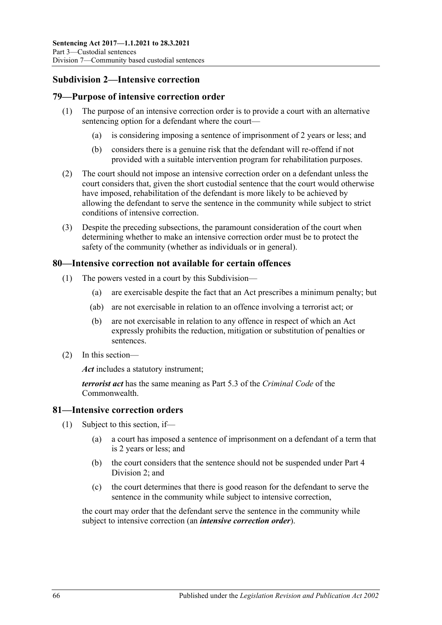# **Subdivision 2—Intensive correction**

## **79—Purpose of intensive correction order**

- (1) The purpose of an intensive correction order is to provide a court with an alternative sentencing option for a defendant where the court—
	- (a) is considering imposing a sentence of imprisonment of 2 years or less; and
	- (b) considers there is a genuine risk that the defendant will re-offend if not provided with a suitable intervention program for rehabilitation purposes.
- (2) The court should not impose an intensive correction order on a defendant unless the court considers that, given the short custodial sentence that the court would otherwise have imposed, rehabilitation of the defendant is more likely to be achieved by allowing the defendant to serve the sentence in the community while subject to strict conditions of intensive correction.
- (3) Despite the preceding subsections, the paramount consideration of the court when determining whether to make an intensive correction order must be to protect the safety of the community (whether as individuals or in general).

### **80—Intensive correction not available for certain offences**

- (1) The powers vested in a court by this Subdivision—
	- (a) are exercisable despite the fact that an Act prescribes a minimum penalty; but
	- (ab) are not exercisable in relation to an offence involving a terrorist act; or
	- (b) are not exercisable in relation to any offence in respect of which an Act expressly prohibits the reduction, mitigation or substitution of penalties or sentences.
- (2) In this section—

*Act* includes a statutory instrument;

*terrorist act* has the same meaning as Part 5.3 of the *Criminal Code* of the Commonwealth.

### **81—Intensive correction orders**

- (1) Subject to this section, if—
	- (a) a court has imposed a sentence of imprisonment on a defendant of a term that is 2 years or less; and
	- (b) the court considers that the sentence should not be suspended under [Part](#page-78-1) 4 [Division](#page-78-1) 2; and
	- (c) the court determines that there is good reason for the defendant to serve the sentence in the community while subject to intensive correction,

<span id="page-65-0"></span>the court may order that the defendant serve the sentence in the community while subject to intensive correction (an *intensive correction order*).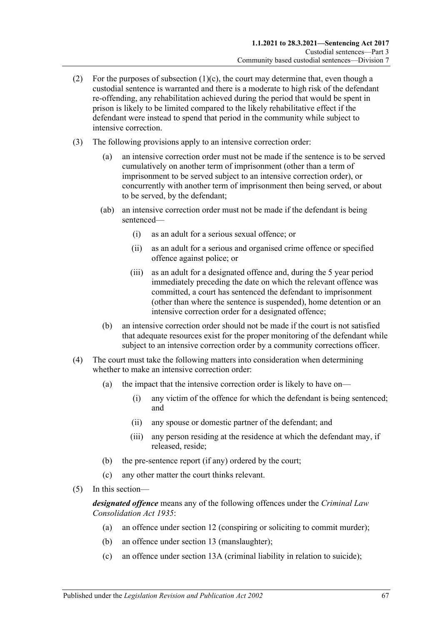- (2) For the purposes of [subsection](#page-65-0)  $(1)(c)$ , the court may determine that, even though a custodial sentence is warranted and there is a moderate to high risk of the defendant re-offending, any rehabilitation achieved during the period that would be spent in prison is likely to be limited compared to the likely rehabilitative effect if the defendant were instead to spend that period in the community while subject to intensive correction.
- (3) The following provisions apply to an intensive correction order:
	- (a) an intensive correction order must not be made if the sentence is to be served cumulatively on another term of imprisonment (other than a term of imprisonment to be served subject to an intensive correction order), or concurrently with another term of imprisonment then being served, or about to be served, by the defendant;
	- (ab) an intensive correction order must not be made if the defendant is being sentenced—
		- (i) as an adult for a serious sexual offence; or
		- (ii) as an adult for a serious and organised crime offence or specified offence against police; or
		- (iii) as an adult for a designated offence and, during the 5 year period immediately preceding the date on which the relevant offence was committed, a court has sentenced the defendant to imprisonment (other than where the sentence is suspended), home detention or an intensive correction order for a designated offence;
	- (b) an intensive correction order should not be made if the court is not satisfied that adequate resources exist for the proper monitoring of the defendant while subject to an intensive correction order by a community corrections officer.
- (4) The court must take the following matters into consideration when determining whether to make an intensive correction order:
	- (a) the impact that the intensive correction order is likely to have on—
		- (i) any victim of the offence for which the defendant is being sentenced; and
		- (ii) any spouse or domestic partner of the defendant; and
		- (iii) any person residing at the residence at which the defendant may, if released, reside;
	- (b) the pre-sentence report (if any) ordered by the court;
	- (c) any other matter the court thinks relevant.
- (5) In this section—

*designated offence* means any of the following offences under the *[Criminal Law](http://www.legislation.sa.gov.au/index.aspx?action=legref&type=act&legtitle=Criminal%20Law%20Consolidation%20Act%201935)  [Consolidation Act](http://www.legislation.sa.gov.au/index.aspx?action=legref&type=act&legtitle=Criminal%20Law%20Consolidation%20Act%201935) 1935*:

- (a) an offence under section 12 (conspiring or soliciting to commit murder);
- (b) an offence under section 13 (manslaughter);
- (c) an offence under section 13A (criminal liability in relation to suicide);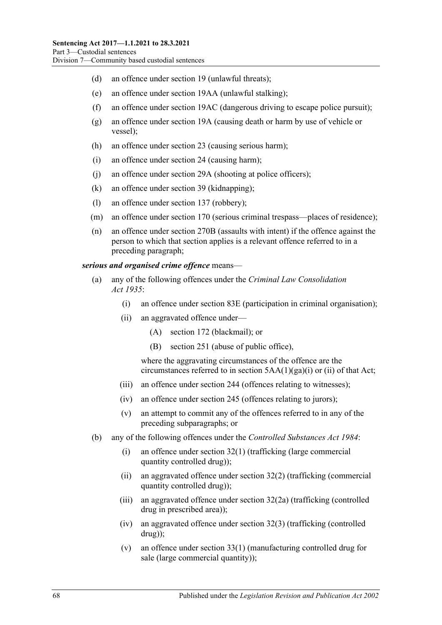- (d) an offence under section 19 (unlawful threats);
- (e) an offence under section 19AA (unlawful stalking);
- (f) an offence under section 19AC (dangerous driving to escape police pursuit);
- (g) an offence under section 19A (causing death or harm by use of vehicle or vessel);
- (h) an offence under section 23 (causing serious harm);
- (i) an offence under section 24 (causing harm);
- (j) an offence under section 29A (shooting at police officers);
- (k) an offence under section 39 (kidnapping);
- (l) an offence under section 137 (robbery);
- (m) an offence under section 170 (serious criminal trespass—places of residence);
- (n) an offence under section 270B (assaults with intent) if the offence against the person to which that section applies is a relevant offence referred to in a preceding paragraph;

#### *serious and organised crime offence* means—

- (a) any of the following offences under the *Criminal [Law Consolidation](http://www.legislation.sa.gov.au/index.aspx?action=legref&type=act&legtitle=Criminal%20Law%20Consolidation%20Act%201935)  Act [1935](http://www.legislation.sa.gov.au/index.aspx?action=legref&type=act&legtitle=Criminal%20Law%20Consolidation%20Act%201935)*:
	- (i) an offence under section 83E (participation in criminal organisation);
	- (ii) an aggravated offence under—
		- (A) section 172 (blackmail); or
		- (B) section 251 (abuse of public office),

where the aggravating circumstances of the offence are the circumstances referred to in section 5AA(1)(ga)(i) or (ii) of that Act;

- (iii) an offence under section 244 (offences relating to witnesses);
- (iv) an offence under section 245 (offences relating to jurors);
- (v) an attempt to commit any of the offences referred to in any of the preceding subparagraphs; or
- (b) any of the following offences under the *[Controlled Substances Act](http://www.legislation.sa.gov.au/index.aspx?action=legref&type=act&legtitle=Controlled%20Substances%20Act%201984) 1984*:
	- (i) an offence under section 32(1) (trafficking (large commercial quantity controlled drug));
	- (ii) an aggravated offence under section 32(2) (trafficking (commercial quantity controlled drug));
	- (iii) an aggravated offence under section 32(2a) (trafficking (controlled drug in prescribed area));
	- (iv) an aggravated offence under section 32(3) (trafficking (controlled drug));
	- (v) an offence under section 33(1) (manufacturing controlled drug for sale (large commercial quantity));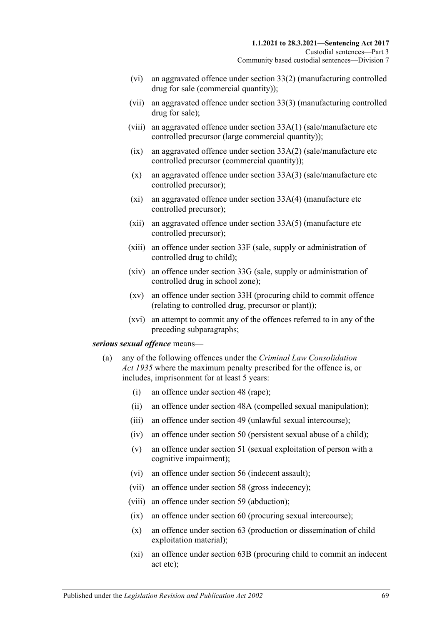- (vi) an aggravated offence under section 33(2) (manufacturing controlled drug for sale (commercial quantity));
- (vii) an aggravated offence under section 33(3) (manufacturing controlled drug for sale);
- (viii) an aggravated offence under section 33A(1) (sale/manufacture etc controlled precursor (large commercial quantity));
- $(ix)$  an aggravated offence under section  $33A(2)$  (sale/manufacture etc) controlled precursor (commercial quantity));
- (x) an aggravated offence under section 33A(3) (sale/manufacture etc controlled precursor);
- (xi) an aggravated offence under section 33A(4) (manufacture etc controlled precursor);
- (xii) an aggravated offence under section 33A(5) (manufacture etc controlled precursor);
- (xiii) an offence under section 33F (sale, supply or administration of controlled drug to child);
- (xiv) an offence under section 33G (sale, supply or administration of controlled drug in school zone);
- (xv) an offence under section 33H (procuring child to commit offence (relating to controlled drug, precursor or plant));
- (xvi) an attempt to commit any of the offences referred to in any of the preceding subparagraphs;

#### <span id="page-68-0"></span>*serious sexual offence* means—

- (a) any of the following offences under the *[Criminal Law Consolidation](http://www.legislation.sa.gov.au/index.aspx?action=legref&type=act&legtitle=Criminal%20Law%20Consolidation%20Act%201935)  Act [1935](http://www.legislation.sa.gov.au/index.aspx?action=legref&type=act&legtitle=Criminal%20Law%20Consolidation%20Act%201935)* where the maximum penalty prescribed for the offence is, or includes, imprisonment for at least 5 years:
	- (i) an offence under section 48 (rape);
	- (ii) an offence under section 48A (compelled sexual manipulation);
	- (iii) an offence under section 49 (unlawful sexual intercourse);
	- (iv) an offence under section 50 (persistent sexual abuse of a child);
	- (v) an offence under section 51 (sexual exploitation of person with a cognitive impairment);
	- (vi) an offence under section 56 (indecent assault);
	- (vii) an offence under section 58 (gross indecency);
	- (viii) an offence under section 59 (abduction);
	- (ix) an offence under section 60 (procuring sexual intercourse);
	- (x) an offence under section 63 (production or dissemination of child exploitation material);
	- (xi) an offence under section 63B (procuring child to commit an indecent act etc);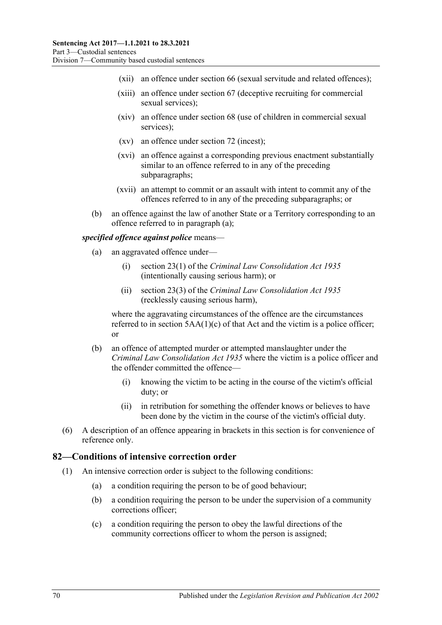- (xii) an offence under section 66 (sexual servitude and related offences);
- (xiii) an offence under section 67 (deceptive recruiting for commercial sexual services);
- (xiv) an offence under section 68 (use of children in commercial sexual services);
- (xv) an offence under section 72 (incest);
- (xvi) an offence against a corresponding previous enactment substantially similar to an offence referred to in any of the preceding subparagraphs;
- (xvii) an attempt to commit or an assault with intent to commit any of the offences referred to in any of the preceding subparagraphs; or
- (b) an offence against the law of another State or a Territory corresponding to an offence referred to in [paragraph](#page-68-0) (a);

#### *specified offence against police* means—

- (a) an aggravated offence under—
	- (i) section 23(1) of the *[Criminal Law Consolidation Act](http://www.legislation.sa.gov.au/index.aspx?action=legref&type=act&legtitle=Criminal%20Law%20Consolidation%20Act%201935) 1935* (intentionally causing serious harm); or
	- (ii) section 23(3) of the *[Criminal Law Consolidation Act](http://www.legislation.sa.gov.au/index.aspx?action=legref&type=act&legtitle=Criminal%20Law%20Consolidation%20Act%201935) 1935* (recklessly causing serious harm),

where the aggravating circumstances of the offence are the circumstances referred to in section  $5AA(1)(c)$  of that Act and the victim is a police officer; or

- (b) an offence of attempted murder or attempted manslaughter under the *[Criminal Law Consolidation Act](http://www.legislation.sa.gov.au/index.aspx?action=legref&type=act&legtitle=Criminal%20Law%20Consolidation%20Act%201935) 1935* where the victim is a police officer and the offender committed the offence—
	- (i) knowing the victim to be acting in the course of the victim's official duty; or
	- (ii) in retribution for something the offender knows or believes to have been done by the victim in the course of the victim's official duty.
- (6) A description of an offence appearing in brackets in this section is for convenience of reference only.

#### **82—Conditions of intensive correction order**

- (1) An intensive correction order is subject to the following conditions:
	- (a) a condition requiring the person to be of good behaviour;
	- (b) a condition requiring the person to be under the supervision of a community corrections officer;
	- (c) a condition requiring the person to obey the lawful directions of the community corrections officer to whom the person is assigned;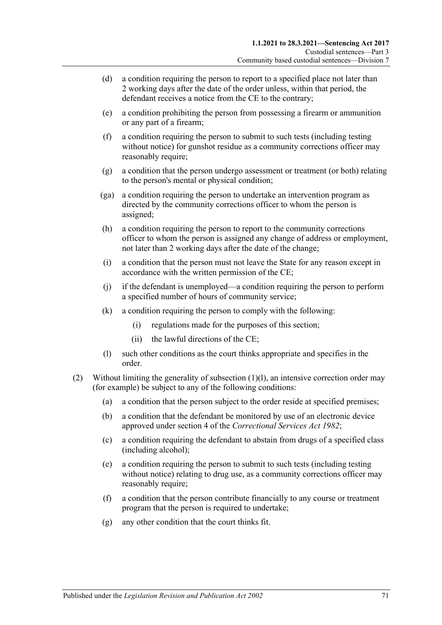- (d) a condition requiring the person to report to a specified place not later than 2 working days after the date of the order unless, within that period, the defendant receives a notice from the CE to the contrary;
- <span id="page-70-2"></span>(e) a condition prohibiting the person from possessing a firearm or ammunition or any part of a firearm;
- <span id="page-70-3"></span>(f) a condition requiring the person to submit to such tests (including testing without notice) for gunshot residue as a community corrections officer may reasonably require;
- (g) a condition that the person undergo assessment or treatment (or both) relating to the person's mental or physical condition;
- (ga) a condition requiring the person to undertake an intervention program as directed by the community corrections officer to whom the person is assigned;
- (h) a condition requiring the person to report to the community corrections officer to whom the person is assigned any change of address or employment, not later than 2 working days after the date of the change;
- (i) a condition that the person must not leave the State for any reason except in accordance with the written permission of the CE;
- (j) if the defendant is unemployed—a condition requiring the person to perform a specified number of hours of community service;
- (k) a condition requiring the person to comply with the following:
	- (i) regulations made for the purposes of this section;
	- (ii) the lawful directions of the CE;
- (l) such other conditions as the court thinks appropriate and specifies in the order.
- <span id="page-70-1"></span><span id="page-70-0"></span>(2) Without limiting the generality of [subsection](#page-70-0) (1)(l), an intensive correction order may (for example) be subject to any of the following conditions:
	- (a) a condition that the person subject to the order reside at specified premises;
	- (b) a condition that the defendant be monitored by use of an electronic device approved under section 4 of the *[Correctional Services Act](http://www.legislation.sa.gov.au/index.aspx?action=legref&type=act&legtitle=Correctional%20Services%20Act%201982) 1982*;
	- (c) a condition requiring the defendant to abstain from drugs of a specified class (including alcohol);
	- (e) a condition requiring the person to submit to such tests (including testing without notice) relating to drug use, as a community corrections officer may reasonably require;
	- (f) a condition that the person contribute financially to any course or treatment program that the person is required to undertake;
	- (g) any other condition that the court thinks fit.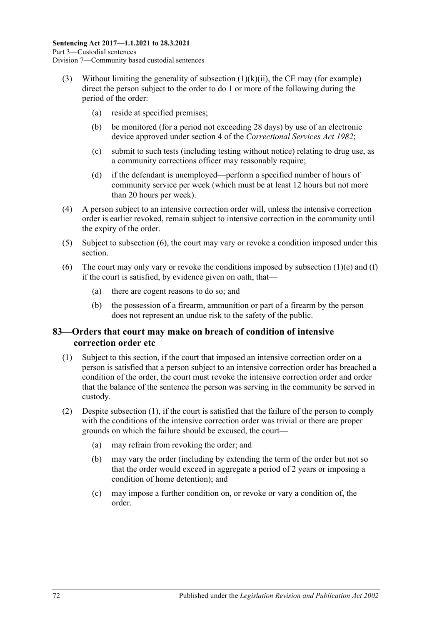- (3) Without limiting the generality of [subsection](#page-70-1)  $(1)(k)(ii)$ , the CE may (for example) direct the person subject to the order to do 1 or more of the following during the period of the order:
	- (a) reside at specified premises;
	- (b) be monitored (for a period not exceeding 28 days) by use of an electronic device approved under section 4 of the *[Correctional Services Act](http://www.legislation.sa.gov.au/index.aspx?action=legref&type=act&legtitle=Correctional%20Services%20Act%201982) 1982*;
	- (c) submit to such tests (including testing without notice) relating to drug use, as a community corrections officer may reasonably require;
	- (d) if the defendant is unemployed—perform a specified number of hours of community service per week (which must be at least 12 hours but not more than 20 hours per week).
- (4) A person subject to an intensive correction order will, unless the intensive correction order is earlier revoked, remain subject to intensive correction in the community until the expiry of the order.
- (5) Subject to [subsection](#page-71-0) (6), the court may vary or revoke a condition imposed under this section.
- <span id="page-71-0"></span>(6) The court may only vary or revoke the conditions imposed by [subsection](#page-70-2)  $(1)(e)$  and  $(f)$ if the court is satisfied, by evidence given on oath, that—
	- (a) there are cogent reasons to do so; and
	- (b) the possession of a firearm, ammunition or part of a firearm by the person does not represent an undue risk to the safety of the public.

## **83—Orders that court may make on breach of condition of intensive correction order etc**

- <span id="page-71-1"></span>(1) Subject to this section, if the court that imposed an intensive correction order on a person is satisfied that a person subject to an intensive correction order has breached a condition of the order, the court must revoke the intensive correction order and order that the balance of the sentence the person was serving in the community be served in custody.
- (2) Despite [subsection](#page-71-1) (1), if the court is satisfied that the failure of the person to comply with the conditions of the intensive correction order was trivial or there are proper grounds on which the failure should be excused, the court—
	- (a) may refrain from revoking the order; and
	- (b) may vary the order (including by extending the term of the order but not so that the order would exceed in aggregate a period of 2 years or imposing a condition of home detention); and
	- (c) may impose a further condition on, or revoke or vary a condition of, the order.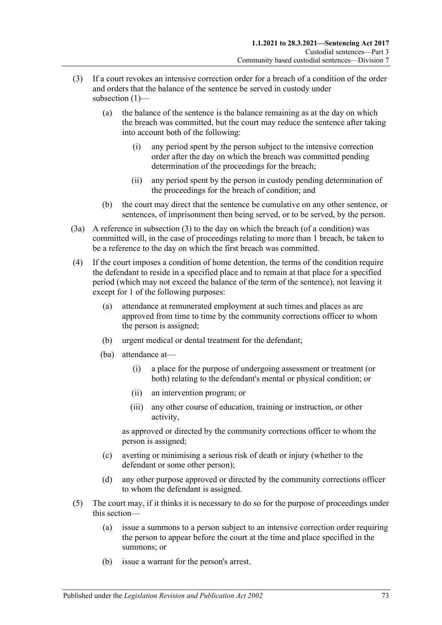- (3) If a court revokes an intensive correction order for a breach of a condition of the order and orders that the balance of the sentence be served in custody under subsection (1)-
	- (a) the balance of the sentence is the balance remaining as at the day on which the breach was committed, but the court may reduce the sentence after taking into account both of the following:
		- (i) any period spent by the person subject to the intensive correction order after the day on which the breach was committed pending determination of the proceedings for the breach;
		- (ii) any period spent by the person in custody pending determination of the proceedings for the breach of condition; and
	- (b) the court may direct that the sentence be cumulative on any other sentence, or sentences, of imprisonment then being served, or to be served, by the person.
- (3a) A reference in subsection (3) to the day on which the breach (of a condition) was committed will, in the case of proceedings relating to more than 1 breach, be taken to be a reference to the day on which the first breach was committed.
- (4) If the court imposes a condition of home detention, the terms of the condition require the defendant to reside in a specified place and to remain at that place for a specified period (which may not exceed the balance of the term of the sentence), not leaving it except for 1 of the following purposes:
	- (a) attendance at remunerated employment at such times and places as are approved from time to time by the community corrections officer to whom the person is assigned;
	- (b) urgent medical or dental treatment for the defendant;
	- (ba) attendance at—
		- (i) a place for the purpose of undergoing assessment or treatment (or both) relating to the defendant's mental or physical condition; or
		- (ii) an intervention program; or
		- (iii) any other course of education, training or instruction, or other activity,

as approved or directed by the community corrections officer to whom the person is assigned;

- (c) averting or minimising a serious risk of death or injury (whether to the defendant or some other person);
- (d) any other purpose approved or directed by the community corrections officer to whom the defendant is assigned.
- (5) The court may, if it thinks it is necessary to do so for the purpose of proceedings under this section—
	- (a) issue a summons to a person subject to an intensive correction order requiring the person to appear before the court at the time and place specified in the summons; or
	- (b) issue a warrant for the person's arrest.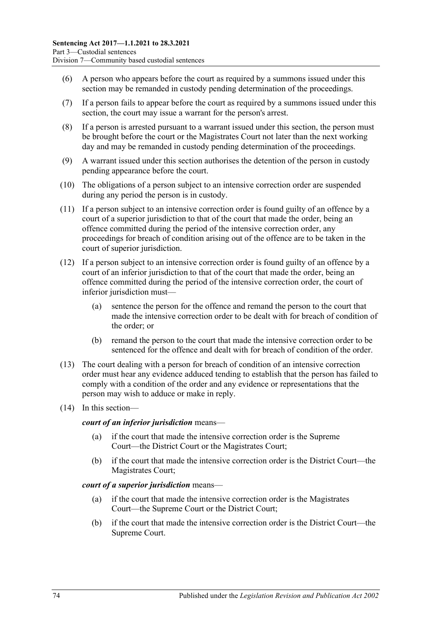- (6) A person who appears before the court as required by a summons issued under this section may be remanded in custody pending determination of the proceedings.
- (7) If a person fails to appear before the court as required by a summons issued under this section, the court may issue a warrant for the person's arrest.
- (8) If a person is arrested pursuant to a warrant issued under this section, the person must be brought before the court or the Magistrates Court not later than the next working day and may be remanded in custody pending determination of the proceedings.
- <span id="page-73-0"></span>(9) A warrant issued under this section authorises the detention of the person in custody pending appearance before the court.
- (10) The obligations of a person subject to an intensive correction order are suspended during any period the person is in custody.
- <span id="page-73-1"></span>(11) If a person subject to an intensive correction order is found guilty of an offence by a court of a superior jurisdiction to that of the court that made the order, being an offence committed during the period of the intensive correction order, any proceedings for breach of condition arising out of the offence are to be taken in the court of superior jurisdiction.
- (12) If a person subject to an intensive correction order is found guilty of an offence by a court of an inferior jurisdiction to that of the court that made the order, being an offence committed during the period of the intensive correction order, the court of inferior jurisdiction must—
	- (a) sentence the person for the offence and remand the person to the court that made the intensive correction order to be dealt with for breach of condition of the order; or
	- (b) remand the person to the court that made the intensive correction order to be sentenced for the offence and dealt with for breach of condition of the order.
- (13) The court dealing with a person for breach of condition of an intensive correction order must hear any evidence adduced tending to establish that the person has failed to comply with a condition of the order and any evidence or representations that the person may wish to adduce or make in reply.
- (14) In this section—

#### *court of an inferior jurisdiction* means—

- (a) if the court that made the intensive correction order is the Supreme Court—the District Court or the Magistrates Court;
- (b) if the court that made the intensive correction order is the District Court—the Magistrates Court;

#### *court of a superior jurisdiction* means—

- (a) if the court that made the intensive correction order is the Magistrates Court—the Supreme Court or the District Court;
- (b) if the court that made the intensive correction order is the District Court—the Supreme Court.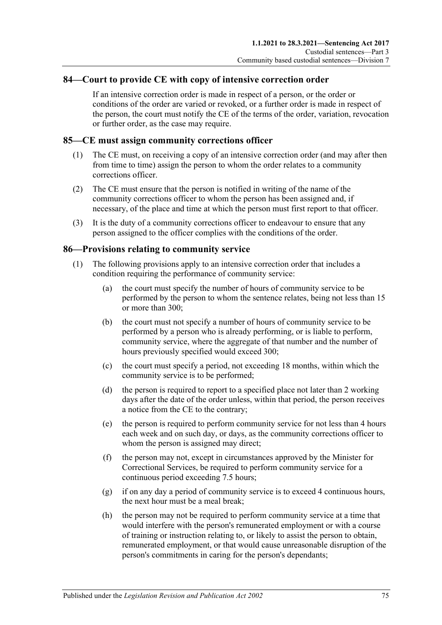#### **84—Court to provide CE with copy of intensive correction order**

If an intensive correction order is made in respect of a person, or the order or conditions of the order are varied or revoked, or a further order is made in respect of the person, the court must notify the CE of the terms of the order, variation, revocation or further order, as the case may require.

#### **85—CE must assign community corrections officer**

- (1) The CE must, on receiving a copy of an intensive correction order (and may after then from time to time) assign the person to whom the order relates to a community corrections officer.
- (2) The CE must ensure that the person is notified in writing of the name of the community corrections officer to whom the person has been assigned and, if necessary, of the place and time at which the person must first report to that officer.
- (3) It is the duty of a community corrections officer to endeavour to ensure that any person assigned to the officer complies with the conditions of the order.

#### **86—Provisions relating to community service**

- (1) The following provisions apply to an intensive correction order that includes a condition requiring the performance of community service:
	- (a) the court must specify the number of hours of community service to be performed by the person to whom the sentence relates, being not less than 15 or more than 300;
	- (b) the court must not specify a number of hours of community service to be performed by a person who is already performing, or is liable to perform, community service, where the aggregate of that number and the number of hours previously specified would exceed 300;
	- (c) the court must specify a period, not exceeding 18 months, within which the community service is to be performed;
	- (d) the person is required to report to a specified place not later than 2 working days after the date of the order unless, within that period, the person receives a notice from the CE to the contrary;
	- (e) the person is required to perform community service for not less than 4 hours each week and on such day, or days, as the community corrections officer to whom the person is assigned may direct;
	- (f) the person may not, except in circumstances approved by the Minister for Correctional Services, be required to perform community service for a continuous period exceeding 7.5 hours;
	- (g) if on any day a period of community service is to exceed 4 continuous hours, the next hour must be a meal break;
	- (h) the person may not be required to perform community service at a time that would interfere with the person's remunerated employment or with a course of training or instruction relating to, or likely to assist the person to obtain, remunerated employment, or that would cause unreasonable disruption of the person's commitments in caring for the person's dependants;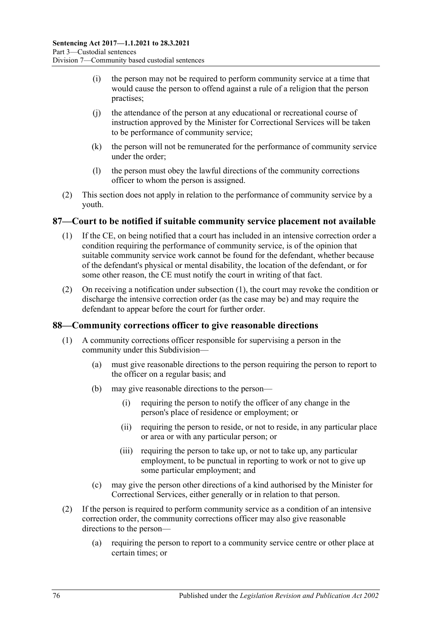- (i) the person may not be required to perform community service at a time that would cause the person to offend against a rule of a religion that the person practises;
- (j) the attendance of the person at any educational or recreational course of instruction approved by the Minister for Correctional Services will be taken to be performance of community service;
- (k) the person will not be remunerated for the performance of community service under the order;
- (l) the person must obey the lawful directions of the community corrections officer to whom the person is assigned.
- (2) This section does not apply in relation to the performance of community service by a youth.

#### <span id="page-75-0"></span>**87—Court to be notified if suitable community service placement not available**

- (1) If the CE, on being notified that a court has included in an intensive correction order a condition requiring the performance of community service, is of the opinion that suitable community service work cannot be found for the defendant, whether because of the defendant's physical or mental disability, the location of the defendant, or for some other reason, the CE must notify the court in writing of that fact.
- (2) On receiving a notification under [subsection](#page-75-0) (1), the court may revoke the condition or discharge the intensive correction order (as the case may be) and may require the defendant to appear before the court for further order.

#### **88—Community corrections officer to give reasonable directions**

- (1) A community corrections officer responsible for supervising a person in the community under this Subdivision—
	- (a) must give reasonable directions to the person requiring the person to report to the officer on a regular basis; and
	- (b) may give reasonable directions to the person—
		- (i) requiring the person to notify the officer of any change in the person's place of residence or employment; or
		- (ii) requiring the person to reside, or not to reside, in any particular place or area or with any particular person; or
		- (iii) requiring the person to take up, or not to take up, any particular employment, to be punctual in reporting to work or not to give up some particular employment; and
	- (c) may give the person other directions of a kind authorised by the Minister for Correctional Services, either generally or in relation to that person.
- (2) If the person is required to perform community service as a condition of an intensive correction order, the community corrections officer may also give reasonable directions to the person—
	- (a) requiring the person to report to a community service centre or other place at certain times; or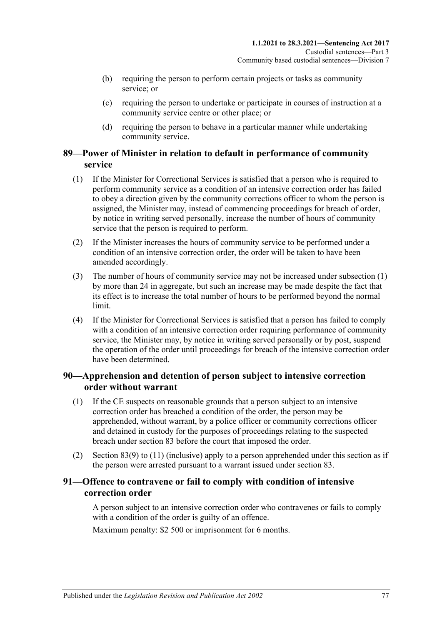- (b) requiring the person to perform certain projects or tasks as community service; or
- (c) requiring the person to undertake or participate in courses of instruction at a community service centre or other place; or
- (d) requiring the person to behave in a particular manner while undertaking community service.

#### **89—Power of Minister in relation to default in performance of community service**

- <span id="page-76-0"></span>(1) If the Minister for Correctional Services is satisfied that a person who is required to perform community service as a condition of an intensive correction order has failed to obey a direction given by the community corrections officer to whom the person is assigned, the Minister may, instead of commencing proceedings for breach of order, by notice in writing served personally, increase the number of hours of community service that the person is required to perform.
- (2) If the Minister increases the hours of community service to be performed under a condition of an intensive correction order, the order will be taken to have been amended accordingly.
- (3) The number of hours of community service may not be increased under [subsection](#page-76-0) (1) by more than 24 in aggregate, but such an increase may be made despite the fact that its effect is to increase the total number of hours to be performed beyond the normal limit.
- (4) If the Minister for Correctional Services is satisfied that a person has failed to comply with a condition of an intensive correction order requiring performance of community service, the Minister may, by notice in writing served personally or by post, suspend the operation of the order until proceedings for breach of the intensive correction order have been determined.

#### **90—Apprehension and detention of person subject to intensive correction order without warrant**

- (1) If the CE suspects on reasonable grounds that a person subject to an intensive correction order has breached a condition of the order, the person may be apprehended, without warrant, by a police officer or community corrections officer and detained in custody for the purposes of proceedings relating to the suspected breach under [section](#page-71-0) 83 before the court that imposed the order.
- (2) [Section](#page-73-0) 83(9) to [\(11\)](#page-73-1) (inclusive) apply to a person apprehended under this section as if the person were arrested pursuant to a warrant issued under [section](#page-71-0) 83.

#### **91—Offence to contravene or fail to comply with condition of intensive correction order**

A person subject to an intensive correction order who contravenes or fails to comply with a condition of the order is guilty of an offence.

Maximum penalty: \$2 500 or imprisonment for 6 months.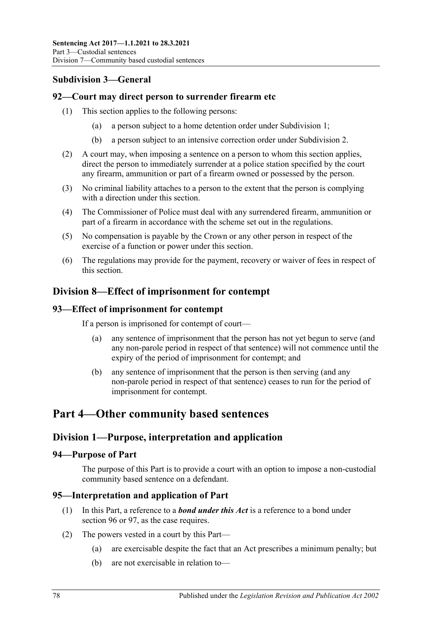## **Subdivision 3—General**

#### **92—Court may direct person to surrender firearm etc**

- (1) This section applies to the following persons:
	- (a) a person subject to a home detention order under [Subdivision](#page-54-0) 1;
	- (b) a person subject to an intensive correction order under [Subdivision](#page-65-0) 2.
- (2) A court may, when imposing a sentence on a person to whom this section applies, direct the person to immediately surrender at a police station specified by the court any firearm, ammunition or part of a firearm owned or possessed by the person.
- (3) No criminal liability attaches to a person to the extent that the person is complying with a direction under this section.
- (4) The Commissioner of Police must deal with any surrendered firearm, ammunition or part of a firearm in accordance with the scheme set out in the regulations.
- (5) No compensation is payable by the Crown or any other person in respect of the exercise of a function or power under this section.
- (6) The regulations may provide for the payment, recovery or waiver of fees in respect of this section.

## **Division 8—Effect of imprisonment for contempt**

#### **93—Effect of imprisonment for contempt**

If a person is imprisoned for contempt of court—

- (a) any sentence of imprisonment that the person has not yet begun to serve (and any non-parole period in respect of that sentence) will not commence until the expiry of the period of imprisonment for contempt; and
- (b) any sentence of imprisonment that the person is then serving (and any non-parole period in respect of that sentence) ceases to run for the period of imprisonment for contempt.

## **Part 4—Other community based sentences**

### **Division 1—Purpose, interpretation and application**

#### **94—Purpose of Part**

The purpose of this Part is to provide a court with an option to impose a non-custodial community based sentence on a defendant.

### **95—Interpretation and application of Part**

- (1) In this Part, a reference to a *bond under this Act* is a reference to a bond under [section](#page-78-0) 96 or [97,](#page-83-0) as the case requires.
- <span id="page-77-0"></span>(2) The powers vested in a court by this Part—
	- (a) are exercisable despite the fact that an Act prescribes a minimum penalty; but
	- (b) are not exercisable in relation to—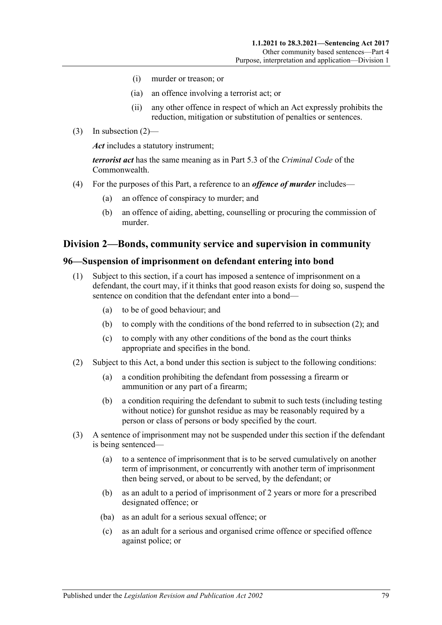- (i) murder or treason; or
- (ia) an offence involving a terrorist act; or
- (ii) any other offence in respect of which an Act expressly prohibits the reduction, mitigation or substitution of penalties or sentences.
- (3) In [subsection](#page-77-0)  $(2)$ —

*Act* includes a statutory instrument;

*terrorist act* has the same meaning as in Part 5.3 of the *Criminal Code* of the Commonwealth.

- (4) For the purposes of this Part, a reference to an *offence of murder* includes—
	- (a) an offence of conspiracy to murder; and
	- (b) an offence of aiding, abetting, counselling or procuring the commission of murder.

#### **Division 2—Bonds, community service and supervision in community**

#### <span id="page-78-3"></span><span id="page-78-0"></span>**96—Suspension of imprisonment on defendant entering into bond**

- (1) Subject to this section, if a court has imposed a sentence of imprisonment on a defendant, the court may, if it thinks that good reason exists for doing so, suspend the sentence on condition that the defendant enter into a bond—
	- (a) to be of good behaviour; and
	- (b) to comply with the conditions of the bond referred to in [subsection](#page-78-1) (2); and
	- (c) to comply with any other conditions of the bond as the court thinks appropriate and specifies in the bond.
- <span id="page-78-6"></span><span id="page-78-1"></span>(2) Subject to this Act, a bond under this section is subject to the following conditions:
	- (a) a condition prohibiting the defendant from possessing a firearm or ammunition or any part of a firearm;
	- (b) a condition requiring the defendant to submit to such tests (including testing without notice) for gunshot residue as may be reasonably required by a person or class of persons or body specified by the court.
- <span id="page-78-5"></span><span id="page-78-4"></span><span id="page-78-2"></span>(3) A sentence of imprisonment may not be suspended under this section if the defendant is being sentenced—
	- (a) to a sentence of imprisonment that is to be served cumulatively on another term of imprisonment, or concurrently with another term of imprisonment then being served, or about to be served, by the defendant; or
	- (b) as an adult to a period of imprisonment of 2 years or more for a prescribed designated offence; or
	- (ba) as an adult for a serious sexual offence; or
	- (c) as an adult for a serious and organised crime offence or specified offence against police; or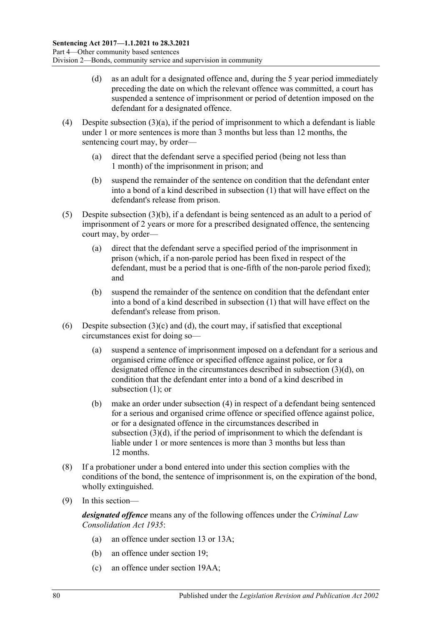- <span id="page-79-0"></span>(d) as an adult for a designated offence and, during the 5 year period immediately preceding the date on which the relevant offence was committed, a court has suspended a sentence of imprisonment or period of detention imposed on the defendant for a designated offence.
- <span id="page-79-1"></span>(4) Despite [subsection](#page-78-2)  $(3)(a)$ , if the period of imprisonment to which a defendant is liable under 1 or more sentences is more than 3 months but less than 12 months, the sentencing court may, by order—
	- (a) direct that the defendant serve a specified period (being not less than 1 month) of the imprisonment in prison; and
	- (b) suspend the remainder of the sentence on condition that the defendant enter into a bond of a kind described in [subsection](#page-78-3) (1) that will have effect on the defendant's release from prison.
- <span id="page-79-2"></span>(5) Despite [subsection](#page-78-4) (3)(b), if a defendant is being sentenced as an adult to a period of imprisonment of 2 years or more for a prescribed designated offence, the sentencing court may, by order—
	- (a) direct that the defendant serve a specified period of the imprisonment in prison (which, if a non-parole period has been fixed in respect of the defendant, must be a period that is one-fifth of the non-parole period fixed); and
	- (b) suspend the remainder of the sentence on condition that the defendant enter into a bond of a kind described in [subsection](#page-78-3) (1) that will have effect on the defendant's release from prison.
- (6) Despite [subsection](#page-78-5)  $(3)(c)$  and  $(d)$ , the court may, if satisfied that exceptional circumstances exist for doing so—
	- (a) suspend a sentence of imprisonment imposed on a defendant for a serious and organised crime offence or specified offence against police, or for a designated offence in the circumstances described in [subsection](#page-79-0) (3)(d), on condition that the defendant enter into a bond of a kind described in [subsection](#page-78-3) (1): or
	- (b) make an order under [subsection](#page-79-1) (4) in respect of a defendant being sentenced for a serious and organised crime offence or specified offence against police, or for a designated offence in the circumstances described in [subsection](#page-79-0) (3)(d), if the period of imprisonment to which the defendant is liable under 1 or more sentences is more than 3 months but less than 12 months.
- (8) If a probationer under a bond entered into under this section complies with the conditions of the bond, the sentence of imprisonment is, on the expiration of the bond, wholly extinguished.
- (9) In this section—

*designated offence* means any of the following offences under the *[Criminal Law](http://www.legislation.sa.gov.au/index.aspx?action=legref&type=act&legtitle=Criminal%20Law%20Consolidation%20Act%201935)  [Consolidation Act](http://www.legislation.sa.gov.au/index.aspx?action=legref&type=act&legtitle=Criminal%20Law%20Consolidation%20Act%201935) 1935*:

- (a) an offence under section 13 or 13A;
- (b) an offence under section 19;
- (c) an offence under section 19AA;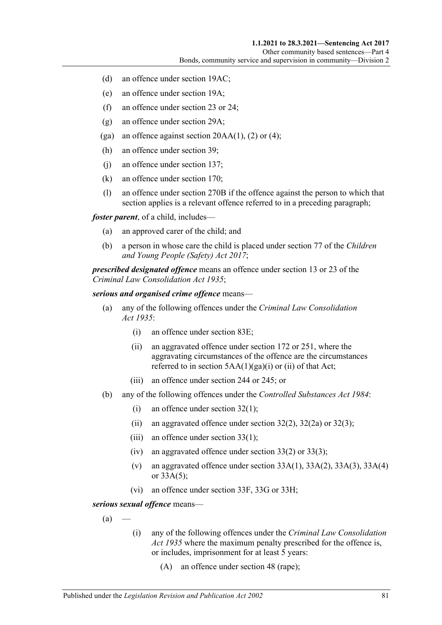- (d) an offence under section 19AC;
- (e) an offence under section 19A;
- (f) an offence under section 23 or 24;
- (g) an offence under section 29A;
- (ga) an offence against section  $20AA(1)$ , (2) or (4);
- (h) an offence under section 39;
- (j) an offence under section 137;
- (k) an offence under section 170;
- (l) an offence under section 270B if the offence against the person to which that section applies is a relevant offence referred to in a preceding paragraph;

*foster parent*, of a child, includes—

- (a) an approved carer of the child; and
- (b) a person in whose care the child is placed under section 77 of the *[Children](http://www.legislation.sa.gov.au/index.aspx?action=legref&type=act&legtitle=Children%20and%20Young%20People%20(Safety)%20Act%202017) [and Young People \(Safety\) Act](http://www.legislation.sa.gov.au/index.aspx?action=legref&type=act&legtitle=Children%20and%20Young%20People%20(Safety)%20Act%202017) 2017*;

*prescribed designated offence* means an offence under section 13 or 23 of the *[Criminal Law Consolidation Act](http://www.legislation.sa.gov.au/index.aspx?action=legref&type=act&legtitle=Criminal%20Law%20Consolidation%20Act%201935) 1935*;

#### *serious and organised crime offence* means—

- (a) any of the following offences under the *[Criminal Law Consolidation](http://www.legislation.sa.gov.au/index.aspx?action=legref&type=act&legtitle=Criminal%20Law%20Consolidation%20Act%201935)  Act [1935](http://www.legislation.sa.gov.au/index.aspx?action=legref&type=act&legtitle=Criminal%20Law%20Consolidation%20Act%201935)*:
	- (i) an offence under section 83E;
	- (ii) an aggravated offence under section 172 or 251, where the aggravating circumstances of the offence are the circumstances referred to in section  $5AA(1)(ga)(i)$  or (ii) of that Act;
	- (iii) an offence under section 244 or 245; or
- (b) any of the following offences under the *[Controlled Substances Act](http://www.legislation.sa.gov.au/index.aspx?action=legref&type=act&legtitle=Controlled%20Substances%20Act%201984) 1984*:
	- (i) an offence under section 32(1);
	- (ii) an aggravated offence under section  $32(2)$ ,  $32(2a)$  or  $32(3)$ ;
	- (iii) an offence under section 33(1);
	- (iv) an aggravated offence under section  $33(2)$  or  $33(3)$ ;
	- (v) an aggravated offence under section  $33A(1)$ ,  $33A(2)$ ,  $33A(3)$ ,  $33A(4)$ or 33A(5);
	- (vi) an offence under section 33F, 33G or 33H;

<span id="page-80-0"></span>*serious sexual offence* means—

 $(a)$ 

- (i) any of the following offences under the *[Criminal Law Consolidation](http://www.legislation.sa.gov.au/index.aspx?action=legref&type=act&legtitle=Criminal%20Law%20Consolidation%20Act%201935)  Act [1935](http://www.legislation.sa.gov.au/index.aspx?action=legref&type=act&legtitle=Criminal%20Law%20Consolidation%20Act%201935)* where the maximum penalty prescribed for the offence is, or includes, imprisonment for at least 5 years:
	- (A) an offence under section 48 (rape);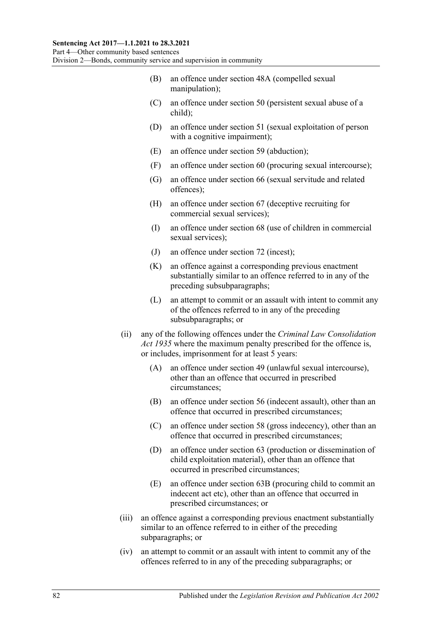- (B) an offence under section 48A (compelled sexual manipulation);
- (C) an offence under section 50 (persistent sexual abuse of a child);
- (D) an offence under section 51 (sexual exploitation of person with a cognitive impairment);
- (E) an offence under section 59 (abduction);
- (F) an offence under section 60 (procuring sexual intercourse);
- (G) an offence under section 66 (sexual servitude and related offences);
- (H) an offence under section 67 (deceptive recruiting for commercial sexual services);
- (I) an offence under section 68 (use of children in commercial sexual services);
- (J) an offence under section 72 (incest);
- (K) an offence against a corresponding previous enactment substantially similar to an offence referred to in any of the preceding subsubparagraphs;
- (L) an attempt to commit or an assault with intent to commit any of the offences referred to in any of the preceding subsubparagraphs; or
- (ii) any of the following offences under the *[Criminal Law Consolidation](http://www.legislation.sa.gov.au/index.aspx?action=legref&type=act&legtitle=Criminal%20Law%20Consolidation%20Act%201935)  Act [1935](http://www.legislation.sa.gov.au/index.aspx?action=legref&type=act&legtitle=Criminal%20Law%20Consolidation%20Act%201935)* where the maximum penalty prescribed for the offence is, or includes, imprisonment for at least 5 years:
	- (A) an offence under section 49 (unlawful sexual intercourse), other than an offence that occurred in prescribed circumstances;
	- (B) an offence under section 56 (indecent assault), other than an offence that occurred in prescribed circumstances;
	- (C) an offence under section 58 (gross indecency), other than an offence that occurred in prescribed circumstances;
	- (D) an offence under section 63 (production or dissemination of child exploitation material), other than an offence that occurred in prescribed circumstances;
	- (E) an offence under section 63B (procuring child to commit an indecent act etc), other than an offence that occurred in prescribed circumstances; or
- (iii) an offence against a corresponding previous enactment substantially similar to an offence referred to in either of the preceding subparagraphs; or
- (iv) an attempt to commit or an assault with intent to commit any of the offences referred to in any of the preceding subparagraphs; or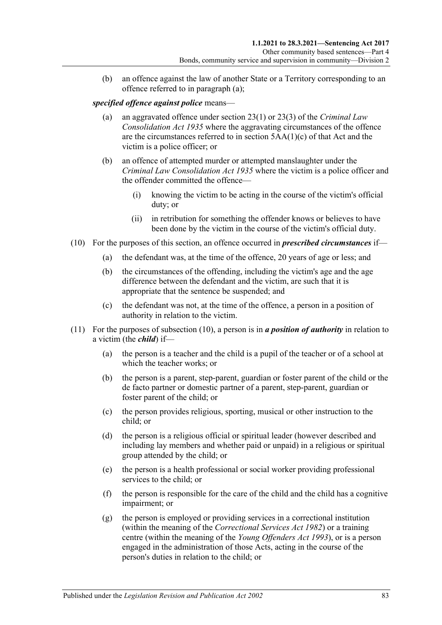(b) an offence against the law of another State or a Territory corresponding to an offence referred to in [paragraph](#page-80-0) (a);

#### *specified offence against police* means—

- (a) an aggravated offence under section 23(1) or 23(3) of the *[Criminal Law](http://www.legislation.sa.gov.au/index.aspx?action=legref&type=act&legtitle=Criminal%20Law%20Consolidation%20Act%201935)  [Consolidation Act](http://www.legislation.sa.gov.au/index.aspx?action=legref&type=act&legtitle=Criminal%20Law%20Consolidation%20Act%201935) 1935* where the aggravating circumstances of the offence are the circumstances referred to in section 5AA(1)(c) of that Act and the victim is a police officer; or
- (b) an offence of attempted murder or attempted manslaughter under the *[Criminal Law Consolidation Act](http://www.legislation.sa.gov.au/index.aspx?action=legref&type=act&legtitle=Criminal%20Law%20Consolidation%20Act%201935) 1935* where the victim is a police officer and the offender committed the offence—
	- (i) knowing the victim to be acting in the course of the victim's official duty; or
	- (ii) in retribution for something the offender knows or believes to have been done by the victim in the course of the victim's official duty.
- <span id="page-82-0"></span>(10) For the purposes of this section, an offence occurred in *prescribed circumstances* if—
	- (a) the defendant was, at the time of the offence, 20 years of age or less; and
	- (b) the circumstances of the offending, including the victim's age and the age difference between the defendant and the victim, are such that it is appropriate that the sentence be suspended; and
	- (c) the defendant was not, at the time of the offence, a person in a position of authority in relation to the victim.
- (11) For the purposes of [subsection](#page-82-0) (10), a person is in *a position of authority* in relation to a victim (the *child*) if—
	- (a) the person is a teacher and the child is a pupil of the teacher or of a school at which the teacher works; or
	- (b) the person is a parent, step-parent, guardian or foster parent of the child or the de facto partner or domestic partner of a parent, step-parent, guardian or foster parent of the child; or
	- (c) the person provides religious, sporting, musical or other instruction to the child; or
	- (d) the person is a religious official or spiritual leader (however described and including lay members and whether paid or unpaid) in a religious or spiritual group attended by the child; or
	- (e) the person is a health professional or social worker providing professional services to the child; or
	- (f) the person is responsible for the care of the child and the child has a cognitive impairment; or
	- (g) the person is employed or providing services in a correctional institution (within the meaning of the *[Correctional Services Act](http://www.legislation.sa.gov.au/index.aspx?action=legref&type=act&legtitle=Correctional%20Services%20Act%201982) 1982*) or a training centre (within the meaning of the *[Young Offenders Act](http://www.legislation.sa.gov.au/index.aspx?action=legref&type=act&legtitle=Young%20Offenders%20Act%201993) 1993*), or is a person engaged in the administration of those Acts, acting in the course of the person's duties in relation to the child; or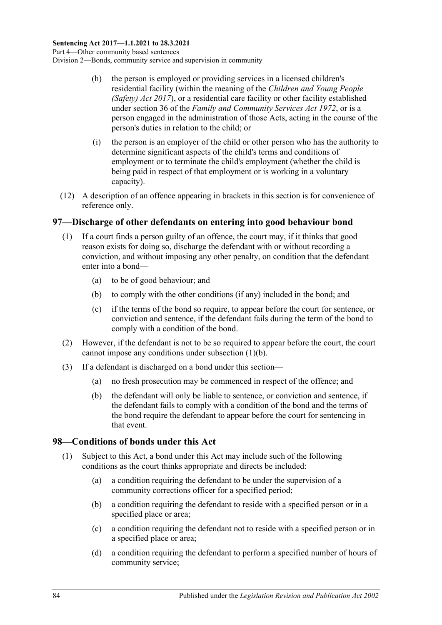- (h) the person is employed or providing services in a licensed children's residential facility (within the meaning of the *[Children and Young People](http://www.legislation.sa.gov.au/index.aspx?action=legref&type=act&legtitle=Children%20and%20Young%20People%20(Safety)%20Act%202017)  [\(Safety\) Act](http://www.legislation.sa.gov.au/index.aspx?action=legref&type=act&legtitle=Children%20and%20Young%20People%20(Safety)%20Act%202017) 2017*), or a residential care facility or other facility established under section 36 of the *[Family and Community Services Act](http://www.legislation.sa.gov.au/index.aspx?action=legref&type=act&legtitle=Family%20and%20Community%20Services%20Act%201972) 1972*, or is a person engaged in the administration of those Acts, acting in the course of the person's duties in relation to the child; or
- (i) the person is an employer of the child or other person who has the authority to determine significant aspects of the child's terms and conditions of employment or to terminate the child's employment (whether the child is being paid in respect of that employment or is working in a voluntary capacity).
- (12) A description of an offence appearing in brackets in this section is for convenience of reference only.

#### <span id="page-83-0"></span>**97—Discharge of other defendants on entering into good behaviour bond**

- <span id="page-83-1"></span>(1) If a court finds a person guilty of an offence, the court may, if it thinks that good reason exists for doing so, discharge the defendant with or without recording a conviction, and without imposing any other penalty, on condition that the defendant enter into a bond—
	- (a) to be of good behaviour; and
	- (b) to comply with the other conditions (if any) included in the bond; and
	- (c) if the terms of the bond so require, to appear before the court for sentence, or conviction and sentence, if the defendant fails during the term of the bond to comply with a condition of the bond.
- (2) However, if the defendant is not to be so required to appear before the court, the court cannot impose any conditions under [subsection](#page-83-1) (1)(b).
- (3) If a defendant is discharged on a bond under this section—
	- (a) no fresh prosecution may be commenced in respect of the offence; and
	- (b) the defendant will only be liable to sentence, or conviction and sentence, if the defendant fails to comply with a condition of the bond and the terms of the bond require the defendant to appear before the court for sentencing in that event.

#### **98—Conditions of bonds under this Act**

- (1) Subject to this Act, a bond under this Act may include such of the following conditions as the court thinks appropriate and directs be included:
	- (a) a condition requiring the defendant to be under the supervision of a community corrections officer for a specified period;
	- (b) a condition requiring the defendant to reside with a specified person or in a specified place or area;
	- (c) a condition requiring the defendant not to reside with a specified person or in a specified place or area;
	- (d) a condition requiring the defendant to perform a specified number of hours of community service;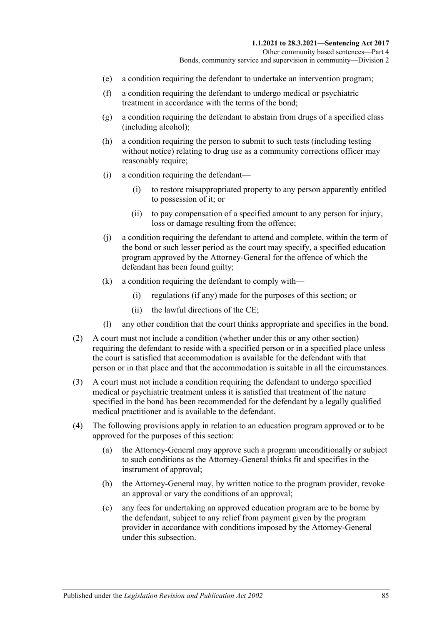- (e) a condition requiring the defendant to undertake an intervention program;
- (f) a condition requiring the defendant to undergo medical or psychiatric treatment in accordance with the terms of the bond;
- (g) a condition requiring the defendant to abstain from drugs of a specified class (including alcohol);
- (h) a condition requiring the person to submit to such tests (including testing without notice) relating to drug use as a community corrections officer may reasonably require;
- (i) a condition requiring the defendant—
	- (i) to restore misappropriated property to any person apparently entitled to possession of it; or
	- (ii) to pay compensation of a specified amount to any person for injury, loss or damage resulting from the offence;
- (j) a condition requiring the defendant to attend and complete, within the term of the bond or such lesser period as the court may specify, a specified education program approved by the Attorney-General for the offence of which the defendant has been found guilty;
- (k) a condition requiring the defendant to comply with—
	- (i) regulations (if any) made for the purposes of this section; or
	- (ii) the lawful directions of the CE;
- (l) any other condition that the court thinks appropriate and specifies in the bond.
- (2) A court must not include a condition (whether under this or any other section) requiring the defendant to reside with a specified person or in a specified place unless the court is satisfied that accommodation is available for the defendant with that person or in that place and that the accommodation is suitable in all the circumstances.
- (3) A court must not include a condition requiring the defendant to undergo specified medical or psychiatric treatment unless it is satisfied that treatment of the nature specified in the bond has been recommended for the defendant by a legally qualified medical practitioner and is available to the defendant.
- (4) The following provisions apply in relation to an education program approved or to be approved for the purposes of this section:
	- (a) the Attorney-General may approve such a program unconditionally or subject to such conditions as the Attorney-General thinks fit and specifies in the instrument of approval;
	- (b) the Attorney-General may, by written notice to the program provider, revoke an approval or vary the conditions of an approval;
	- (c) any fees for undertaking an approved education program are to be borne by the defendant, subject to any relief from payment given by the program provider in accordance with conditions imposed by the Attorney-General under this subsection.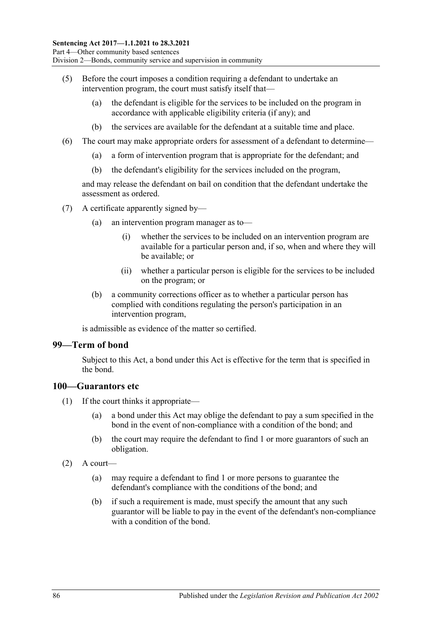- (5) Before the court imposes a condition requiring a defendant to undertake an intervention program, the court must satisfy itself that—
	- (a) the defendant is eligible for the services to be included on the program in accordance with applicable eligibility criteria (if any); and
	- (b) the services are available for the defendant at a suitable time and place.
- (6) The court may make appropriate orders for assessment of a defendant to determine—
	- (a) a form of intervention program that is appropriate for the defendant; and
	- (b) the defendant's eligibility for the services included on the program,

and may release the defendant on bail on condition that the defendant undertake the assessment as ordered.

- (7) A certificate apparently signed by—
	- (a) an intervention program manager as to—
		- (i) whether the services to be included on an intervention program are available for a particular person and, if so, when and where they will be available; or
		- (ii) whether a particular person is eligible for the services to be included on the program; or
	- (b) a community corrections officer as to whether a particular person has complied with conditions regulating the person's participation in an intervention program,

is admissible as evidence of the matter so certified.

#### **99—Term of bond**

Subject to this Act, a bond under this Act is effective for the term that is specified in the bond.

#### **100—Guarantors etc**

- (1) If the court thinks it appropriate—
	- (a) a bond under this Act may oblige the defendant to pay a sum specified in the bond in the event of non-compliance with a condition of the bond; and
	- (b) the court may require the defendant to find 1 or more guarantors of such an obligation.
- $(2)$  A court—
	- (a) may require a defendant to find 1 or more persons to guarantee the defendant's compliance with the conditions of the bond; and
	- (b) if such a requirement is made, must specify the amount that any such guarantor will be liable to pay in the event of the defendant's non-compliance with a condition of the bond.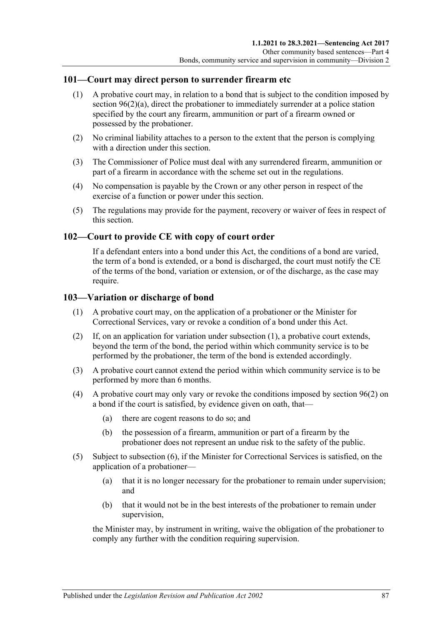#### **101—Court may direct person to surrender firearm etc**

- (1) A probative court may, in relation to a bond that is subject to the condition imposed by section [96\(2\)\(a\),](#page-78-6) direct the probationer to immediately surrender at a police station specified by the court any firearm, ammunition or part of a firearm owned or possessed by the probationer.
- (2) No criminal liability attaches to a person to the extent that the person is complying with a direction under this section.
- (3) The Commissioner of Police must deal with any surrendered firearm, ammunition or part of a firearm in accordance with the scheme set out in the regulations.
- (4) No compensation is payable by the Crown or any other person in respect of the exercise of a function or power under this section.
- (5) The regulations may provide for the payment, recovery or waiver of fees in respect of this section.

#### **102—Court to provide CE with copy of court order**

If a defendant enters into a bond under this Act, the conditions of a bond are varied, the term of a bond is extended, or a bond is discharged, the court must notify the CE of the terms of the bond, variation or extension, or of the discharge, as the case may require.

#### <span id="page-86-0"></span>**103—Variation or discharge of bond**

- (1) A probative court may, on the application of a probationer or the Minister for Correctional Services, vary or revoke a condition of a bond under this Act.
- (2) If, on an application for variation under [subsection](#page-86-0) (1), a probative court extends, beyond the term of the bond, the period within which community service is to be performed by the probationer, the term of the bond is extended accordingly.
- (3) A probative court cannot extend the period within which community service is to be performed by more than 6 months.
- (4) A probative court may only vary or revoke the conditions imposed by [section](#page-78-1) 96(2) on a bond if the court is satisfied, by evidence given on oath, that—
	- (a) there are cogent reasons to do so; and
	- (b) the possession of a firearm, ammunition or part of a firearm by the probationer does not represent an undue risk to the safety of the public.
- (5) Subject to [subsection](#page-87-0) (6), if the Minister for Correctional Services is satisfied, on the application of a probationer—
	- (a) that it is no longer necessary for the probationer to remain under supervision; and
	- (b) that it would not be in the best interests of the probationer to remain under supervision,

the Minister may, by instrument in writing, waive the obligation of the probationer to comply any further with the condition requiring supervision.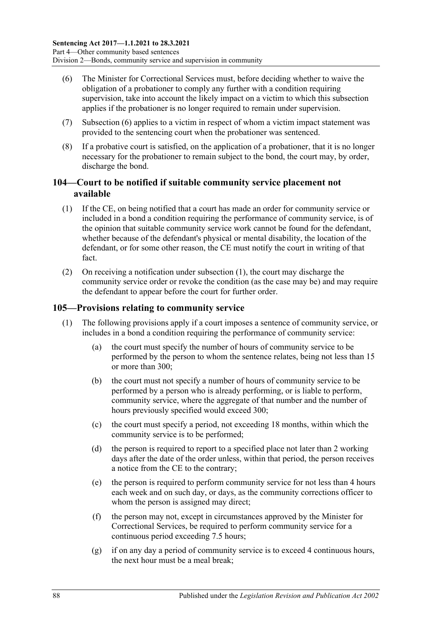- <span id="page-87-0"></span>(6) The Minister for Correctional Services must, before deciding whether to waive the obligation of a probationer to comply any further with a condition requiring supervision, take into account the likely impact on a victim to which this subsection applies if the probationer is no longer required to remain under supervision.
- (7) [Subsection](#page-87-0) (6) applies to a victim in respect of whom a victim impact statement was provided to the sentencing court when the probationer was sentenced.
- (8) If a probative court is satisfied, on the application of a probationer, that it is no longer necessary for the probationer to remain subject to the bond, the court may, by order, discharge the bond.

#### **104—Court to be notified if suitable community service placement not available**

- <span id="page-87-1"></span>(1) If the CE, on being notified that a court has made an order for community service or included in a bond a condition requiring the performance of community service, is of the opinion that suitable community service work cannot be found for the defendant, whether because of the defendant's physical or mental disability, the location of the defendant, or for some other reason, the CE must notify the court in writing of that fact.
- (2) On receiving a notification under [subsection](#page-87-1) (1), the court may discharge the community service order or revoke the condition (as the case may be) and may require the defendant to appear before the court for further order.

#### <span id="page-87-2"></span>**105—Provisions relating to community service**

- (1) The following provisions apply if a court imposes a sentence of community service, or includes in a bond a condition requiring the performance of community service:
	- (a) the court must specify the number of hours of community service to be performed by the person to whom the sentence relates, being not less than 15 or more than 300;
	- (b) the court must not specify a number of hours of community service to be performed by a person who is already performing, or is liable to perform, community service, where the aggregate of that number and the number of hours previously specified would exceed 300;
	- (c) the court must specify a period, not exceeding 18 months, within which the community service is to be performed;
	- (d) the person is required to report to a specified place not later than 2 working days after the date of the order unless, within that period, the person receives a notice from the CE to the contrary;
	- (e) the person is required to perform community service for not less than 4 hours each week and on such day, or days, as the community corrections officer to whom the person is assigned may direct;
	- (f) the person may not, except in circumstances approved by the Minister for Correctional Services, be required to perform community service for a continuous period exceeding 7.5 hours;
	- (g) if on any day a period of community service is to exceed 4 continuous hours, the next hour must be a meal break;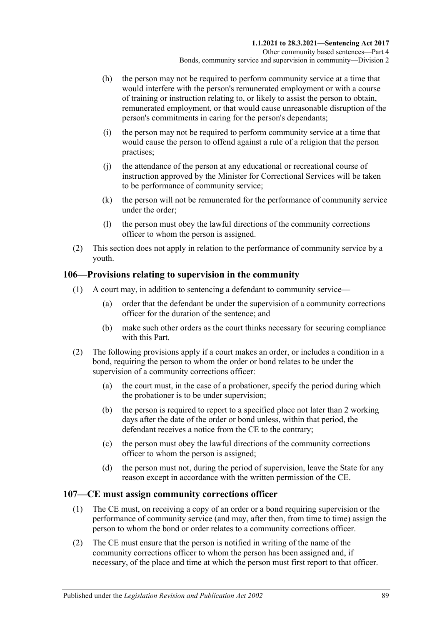- (h) the person may not be required to perform community service at a time that would interfere with the person's remunerated employment or with a course of training or instruction relating to, or likely to assist the person to obtain, remunerated employment, or that would cause unreasonable disruption of the person's commitments in caring for the person's dependants;
- (i) the person may not be required to perform community service at a time that would cause the person to offend against a rule of a religion that the person practises;
- (j) the attendance of the person at any educational or recreational course of instruction approved by the Minister for Correctional Services will be taken to be performance of community service;
- (k) the person will not be remunerated for the performance of community service under the order;
- (l) the person must obey the lawful directions of the community corrections officer to whom the person is assigned.
- (2) This section does not apply in relation to the performance of community service by a youth.

#### **106—Provisions relating to supervision in the community**

- (1) A court may, in addition to sentencing a defendant to community service—
	- (a) order that the defendant be under the supervision of a community corrections officer for the duration of the sentence; and
	- (b) make such other orders as the court thinks necessary for securing compliance with this Part.
- (2) The following provisions apply if a court makes an order, or includes a condition in a bond, requiring the person to whom the order or bond relates to be under the supervision of a community corrections officer:
	- (a) the court must, in the case of a probationer, specify the period during which the probationer is to be under supervision;
	- (b) the person is required to report to a specified place not later than 2 working days after the date of the order or bond unless, within that period, the defendant receives a notice from the CE to the contrary;
	- (c) the person must obey the lawful directions of the community corrections officer to whom the person is assigned;
	- (d) the person must not, during the period of supervision, leave the State for any reason except in accordance with the written permission of the CE.

#### **107—CE must assign community corrections officer**

- (1) The CE must, on receiving a copy of an order or a bond requiring supervision or the performance of community service (and may, after then, from time to time) assign the person to whom the bond or order relates to a community corrections officer.
- (2) The CE must ensure that the person is notified in writing of the name of the community corrections officer to whom the person has been assigned and, if necessary, of the place and time at which the person must first report to that officer.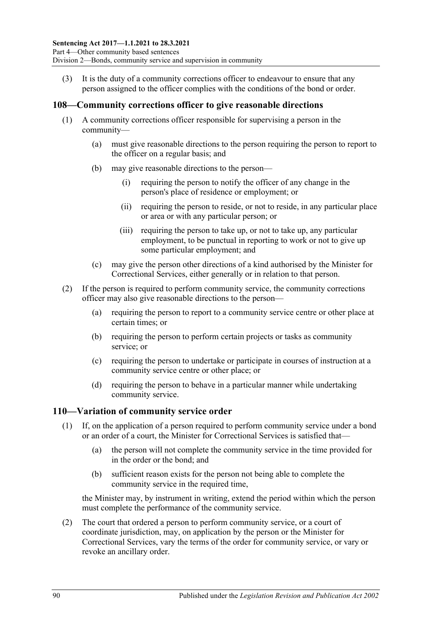(3) It is the duty of a community corrections officer to endeavour to ensure that any person assigned to the officer complies with the conditions of the bond or order.

#### **108—Community corrections officer to give reasonable directions**

- (1) A community corrections officer responsible for supervising a person in the community—
	- (a) must give reasonable directions to the person requiring the person to report to the officer on a regular basis; and
	- (b) may give reasonable directions to the person—
		- (i) requiring the person to notify the officer of any change in the person's place of residence or employment; or
		- (ii) requiring the person to reside, or not to reside, in any particular place or area or with any particular person; or
		- (iii) requiring the person to take up, or not to take up, any particular employment, to be punctual in reporting to work or not to give up some particular employment; and
	- (c) may give the person other directions of a kind authorised by the Minister for Correctional Services, either generally or in relation to that person.
- (2) If the person is required to perform community service, the community corrections officer may also give reasonable directions to the person—
	- (a) requiring the person to report to a community service centre or other place at certain times; or
	- (b) requiring the person to perform certain projects or tasks as community service; or
	- (c) requiring the person to undertake or participate in courses of instruction at a community service centre or other place; or
	- (d) requiring the person to behave in a particular manner while undertaking community service.

#### **110—Variation of community service order**

- <span id="page-89-0"></span>(1) If, on the application of a person required to perform community service under a bond or an order of a court, the Minister for Correctional Services is satisfied that—
	- (a) the person will not complete the community service in the time provided for in the order or the bond; and
	- (b) sufficient reason exists for the person not being able to complete the community service in the required time,

the Minister may, by instrument in writing, extend the period within which the person must complete the performance of the community service.

(2) The court that ordered a person to perform community service, or a court of coordinate jurisdiction, may, on application by the person or the Minister for Correctional Services, vary the terms of the order for community service, or vary or revoke an ancillary order.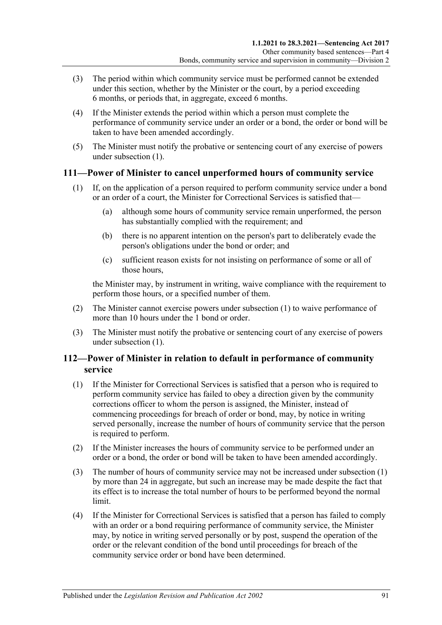- (3) The period within which community service must be performed cannot be extended under this section, whether by the Minister or the court, by a period exceeding 6 months, or periods that, in aggregate, exceed 6 months.
- (4) If the Minister extends the period within which a person must complete the performance of community service under an order or a bond, the order or bond will be taken to have been amended accordingly.
- (5) The Minister must notify the probative or sentencing court of any exercise of powers under [subsection](#page-89-0) (1).

#### <span id="page-90-0"></span>**111—Power of Minister to cancel unperformed hours of community service**

- (1) If, on the application of a person required to perform community service under a bond or an order of a court, the Minister for Correctional Services is satisfied that—
	- (a) although some hours of community service remain unperformed, the person has substantially complied with the requirement; and
	- (b) there is no apparent intention on the person's part to deliberately evade the person's obligations under the bond or order; and
	- (c) sufficient reason exists for not insisting on performance of some or all of those hours,

the Minister may, by instrument in writing, waive compliance with the requirement to perform those hours, or a specified number of them.

- (2) The Minister cannot exercise powers under [subsection](#page-90-0) (1) to waive performance of more than 10 hours under the 1 bond or order.
- (3) The Minister must notify the probative or sentencing court of any exercise of powers under [subsection](#page-90-0) (1).

### **112—Power of Minister in relation to default in performance of community service**

- <span id="page-90-1"></span>(1) If the Minister for Correctional Services is satisfied that a person who is required to perform community service has failed to obey a direction given by the community corrections officer to whom the person is assigned, the Minister, instead of commencing proceedings for breach of order or bond, may, by notice in writing served personally, increase the number of hours of community service that the person is required to perform.
- (2) If the Minister increases the hours of community service to be performed under an order or a bond, the order or bond will be taken to have been amended accordingly.
- (3) The number of hours of community service may not be increased under [subsection](#page-90-1) (1) by more than 24 in aggregate, but such an increase may be made despite the fact that its effect is to increase the total number of hours to be performed beyond the normal limit.
- (4) If the Minister for Correctional Services is satisfied that a person has failed to comply with an order or a bond requiring performance of community service, the Minister may, by notice in writing served personally or by post, suspend the operation of the order or the relevant condition of the bond until proceedings for breach of the community service order or bond have been determined.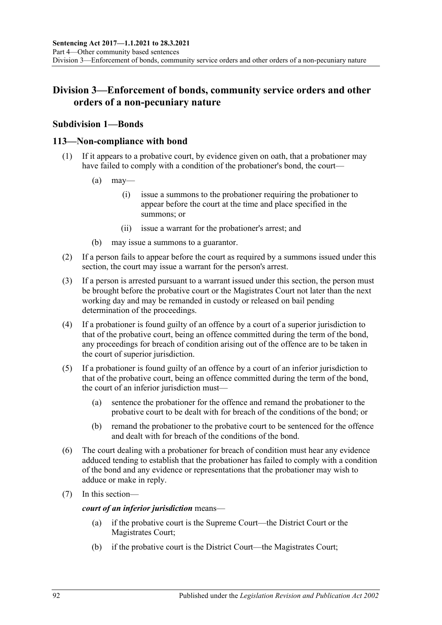## **Division 3—Enforcement of bonds, community service orders and other orders of a non-pecuniary nature**

#### **Subdivision 1—Bonds**

#### **113—Non-compliance with bond**

- (1) If it appears to a probative court, by evidence given on oath, that a probationer may have failed to comply with a condition of the probationer's bond, the court—
	- $(a)$  may—
		- (i) issue a summons to the probationer requiring the probationer to appear before the court at the time and place specified in the summons; or
		- (ii) issue a warrant for the probationer's arrest; and
	- (b) may issue a summons to a guarantor.
- (2) If a person fails to appear before the court as required by a summons issued under this section, the court may issue a warrant for the person's arrest.
- (3) If a person is arrested pursuant to a warrant issued under this section, the person must be brought before the probative court or the Magistrates Court not later than the next working day and may be remanded in custody or released on bail pending determination of the proceedings.
- (4) If a probationer is found guilty of an offence by a court of a superior jurisdiction to that of the probative court, being an offence committed during the term of the bond, any proceedings for breach of condition arising out of the offence are to be taken in the court of superior jurisdiction.
- (5) If a probationer is found guilty of an offence by a court of an inferior jurisdiction to that of the probative court, being an offence committed during the term of the bond, the court of an inferior jurisdiction must—
	- (a) sentence the probationer for the offence and remand the probationer to the probative court to be dealt with for breach of the conditions of the bond; or
	- (b) remand the probationer to the probative court to be sentenced for the offence and dealt with for breach of the conditions of the bond.
- (6) The court dealing with a probationer for breach of condition must hear any evidence adduced tending to establish that the probationer has failed to comply with a condition of the bond and any evidence or representations that the probationer may wish to adduce or make in reply.
- (7) In this section—

*court of an inferior jurisdiction* means—

- (a) if the probative court is the Supreme Court—the District Court or the Magistrates Court;
- (b) if the probative court is the District Court—the Magistrates Court;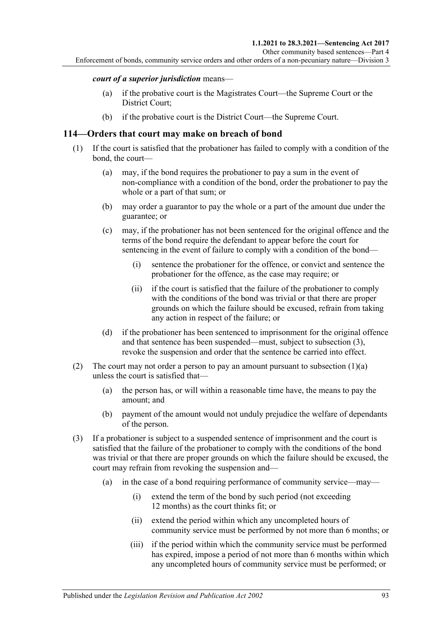Enforcement of bonds, community service orders and other orders of a non-pecuniary nature—Division 3

#### *court of a superior jurisdiction* means—

- (a) if the probative court is the Magistrates Court—the Supreme Court or the District Court;
- (b) if the probative court is the District Court—the Supreme Court.

#### **114—Orders that court may make on breach of bond**

- <span id="page-92-1"></span>(1) If the court is satisfied that the probationer has failed to comply with a condition of the bond, the court—
	- (a) may, if the bond requires the probationer to pay a sum in the event of non-compliance with a condition of the bond, order the probationer to pay the whole or a part of that sum; or
	- (b) may order a guarantor to pay the whole or a part of the amount due under the guarantee; or
	- (c) may, if the probationer has not been sentenced for the original offence and the terms of the bond require the defendant to appear before the court for sentencing in the event of failure to comply with a condition of the bond—
		- (i) sentence the probationer for the offence, or convict and sentence the probationer for the offence, as the case may require; or
		- (ii) if the court is satisfied that the failure of the probationer to comply with the conditions of the bond was trivial or that there are proper grounds on which the failure should be excused, refrain from taking any action in respect of the failure; or
	- (d) if the probationer has been sentenced to imprisonment for the original offence and that sentence has been suspended—must, subject to [subsection](#page-92-0) (3), revoke the suspension and order that the sentence be carried into effect.
- (2) The court may not order a person to pay an amount pursuant to [subsection](#page-92-1)  $(1)(a)$ unless the court is satisfied that—
	- (a) the person has, or will within a reasonable time have, the means to pay the amount; and
	- (b) payment of the amount would not unduly prejudice the welfare of dependants of the person.
- <span id="page-92-0"></span>(3) If a probationer is subject to a suspended sentence of imprisonment and the court is satisfied that the failure of the probationer to comply with the conditions of the bond was trivial or that there are proper grounds on which the failure should be excused, the court may refrain from revoking the suspension and—
	- (a) in the case of a bond requiring performance of community service—may—
		- (i) extend the term of the bond by such period (not exceeding 12 months) as the court thinks fit; or
		- (ii) extend the period within which any uncompleted hours of community service must be performed by not more than 6 months; or
		- (iii) if the period within which the community service must be performed has expired, impose a period of not more than 6 months within which any uncompleted hours of community service must be performed; or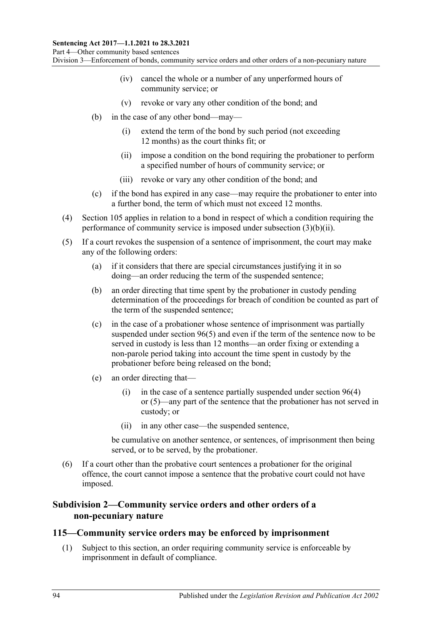- (iv) cancel the whole or a number of any unperformed hours of community service; or
- (v) revoke or vary any other condition of the bond; and
- <span id="page-93-0"></span>(b) in the case of any other bond—may—
	- (i) extend the term of the bond by such period (not exceeding 12 months) as the court thinks fit; or
	- (ii) impose a condition on the bond requiring the probationer to perform a specified number of hours of community service; or
	- (iii) revoke or vary any other condition of the bond; and
- (c) if the bond has expired in any case—may require the probationer to enter into a further bond, the term of which must not exceed 12 months.
- (4) [Section](#page-87-2) 105 applies in relation to a bond in respect of which a condition requiring the performance of community service is imposed under [subsection](#page-93-0) (3)(b)(ii).
- (5) If a court revokes the suspension of a sentence of imprisonment, the court may make any of the following orders:
	- (a) if it considers that there are special circumstances justifying it in so doing—an order reducing the term of the suspended sentence;
	- (b) an order directing that time spent by the probationer in custody pending determination of the proceedings for breach of condition be counted as part of the term of the suspended sentence;
	- (c) in the case of a probationer whose sentence of imprisonment was partially suspended under [section](#page-79-2) 96(5) and even if the term of the sentence now to be served in custody is less than 12 months—an order fixing or extending a non-parole period taking into account the time spent in custody by the probationer before being released on the bond;
	- (e) an order directing that
		- (i) in the case of a sentence partially suspended under [section](#page-79-1)  $96(4)$ or [\(5\)—](#page-79-2)any part of the sentence that the probationer has not served in custody; or
		- (ii) in any other case—the suspended sentence,

be cumulative on another sentence, or sentences, of imprisonment then being served, or to be served, by the probationer.

(6) If a court other than the probative court sentences a probationer for the original offence, the court cannot impose a sentence that the probative court could not have imposed.

#### **Subdivision 2—Community service orders and other orders of a non-pecuniary nature**

#### <span id="page-93-1"></span>**115—Community service orders may be enforced by imprisonment**

(1) Subject to this section, an order requiring community service is enforceable by imprisonment in default of compliance.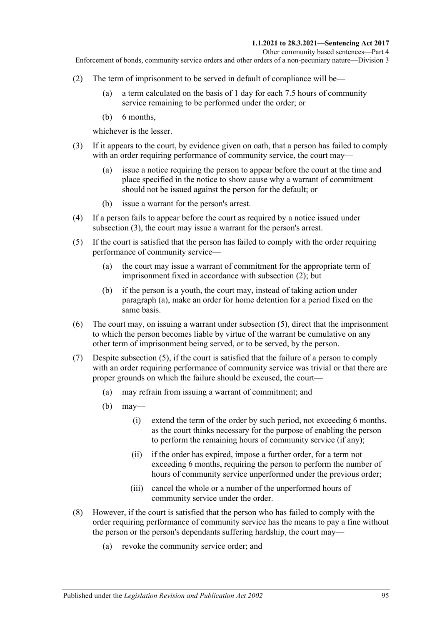- <span id="page-94-1"></span>(2) The term of imprisonment to be served in default of compliance will be—
	- (a) a term calculated on the basis of 1 day for each 7.5 hours of community service remaining to be performed under the order; or
	- (b) 6 months,

whichever is the lesser.

- <span id="page-94-0"></span>(3) If it appears to the court, by evidence given on oath, that a person has failed to comply with an order requiring performance of community service, the court may—
	- (a) issue a notice requiring the person to appear before the court at the time and place specified in the notice to show cause why a warrant of commitment should not be issued against the person for the default; or
	- (b) issue a warrant for the person's arrest.
- (4) If a person fails to appear before the court as required by a notice issued under [subsection](#page-94-0) (3), the court may issue a warrant for the person's arrest.
- <span id="page-94-3"></span><span id="page-94-2"></span>(5) If the court is satisfied that the person has failed to comply with the order requiring performance of community service—
	- (a) the court may issue a warrant of commitment for the appropriate term of imprisonment fixed in accordance with [subsection](#page-94-1) (2); but
	- (b) if the person is a youth, the court may, instead of taking action under [paragraph](#page-94-2) (a), make an order for home detention for a period fixed on the same basis.
- (6) The court may, on issuing a warrant under [subsection](#page-94-3) (5), direct that the imprisonment to which the person becomes liable by virtue of the warrant be cumulative on any other term of imprisonment being served, or to be served, by the person.
- (7) Despite [subsection](#page-94-3) (5), if the court is satisfied that the failure of a person to comply with an order requiring performance of community service was trivial or that there are proper grounds on which the failure should be excused, the court—
	- (a) may refrain from issuing a warrant of commitment; and
	- $(b)$  may—
		- (i) extend the term of the order by such period, not exceeding 6 months, as the court thinks necessary for the purpose of enabling the person to perform the remaining hours of community service (if any);
		- (ii) if the order has expired, impose a further order, for a term not exceeding 6 months, requiring the person to perform the number of hours of community service unperformed under the previous order;
		- (iii) cancel the whole or a number of the unperformed hours of community service under the order.
- <span id="page-94-4"></span>(8) However, if the court is satisfied that the person who has failed to comply with the order requiring performance of community service has the means to pay a fine without the person or the person's dependants suffering hardship, the court may—
	- (a) revoke the community service order; and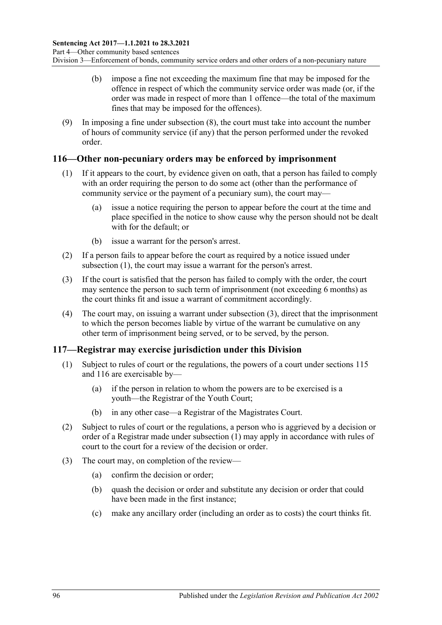- (b) impose a fine not exceeding the maximum fine that may be imposed for the offence in respect of which the community service order was made (or, if the order was made in respect of more than 1 offence—the total of the maximum fines that may be imposed for the offences).
- (9) In imposing a fine under [subsection](#page-94-4) (8), the court must take into account the number of hours of community service (if any) that the person performed under the revoked order.

#### <span id="page-95-2"></span><span id="page-95-0"></span>**116—Other non-pecuniary orders may be enforced by imprisonment**

- (1) If it appears to the court, by evidence given on oath, that a person has failed to comply with an order requiring the person to do some act (other than the performance of community service or the payment of a pecuniary sum), the court may—
	- (a) issue a notice requiring the person to appear before the court at the time and place specified in the notice to show cause why the person should not be dealt with for the default; or
	- (b) issue a warrant for the person's arrest.
- (2) If a person fails to appear before the court as required by a notice issued under [subsection](#page-95-0) (1), the court may issue a warrant for the person's arrest.
- <span id="page-95-1"></span>(3) If the court is satisfied that the person has failed to comply with the order, the court may sentence the person to such term of imprisonment (not exceeding 6 months) as the court thinks fit and issue a warrant of commitment accordingly.
- (4) The court may, on issuing a warrant under [subsection](#page-95-1) (3), direct that the imprisonment to which the person becomes liable by virtue of the warrant be cumulative on any other term of imprisonment being served, or to be served, by the person.

### <span id="page-95-3"></span>**117—Registrar may exercise jurisdiction under this Division**

- (1) Subject to rules of court or the regulations, the powers of a court under [sections](#page-93-1) 115 and [116](#page-95-2) are exercisable by—
	- (a) if the person in relation to whom the powers are to be exercised is a youth—the Registrar of the Youth Court;
	- (b) in any other case—a Registrar of the Magistrates Court.
- (2) Subject to rules of court or the regulations, a person who is aggrieved by a decision or order of a Registrar made under [subsection](#page-95-3) (1) may apply in accordance with rules of court to the court for a review of the decision or order.
- (3) The court may, on completion of the review—
	- (a) confirm the decision or order;
	- (b) quash the decision or order and substitute any decision or order that could have been made in the first instance;
	- (c) make any ancillary order (including an order as to costs) the court thinks fit.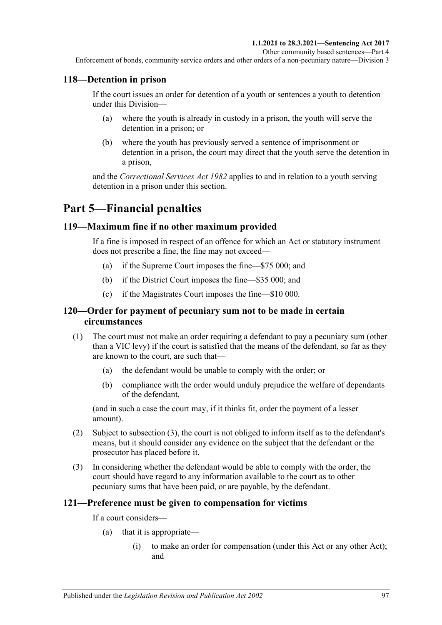### **118—Detention in prison**

If the court issues an order for detention of a youth or sentences a youth to detention under this Division—

- (a) where the youth is already in custody in a prison, the youth will serve the detention in a prison; or
- (b) where the youth has previously served a sentence of imprisonment or detention in a prison, the court may direct that the youth serve the detention in a prison,

and the *[Correctional Services Act](http://www.legislation.sa.gov.au/index.aspx?action=legref&type=act&legtitle=Correctional%20Services%20Act%201982) 1982* applies to and in relation to a youth serving detention in a prison under this section.

## **Part 5—Financial penalties**

#### **119—Maximum fine if no other maximum provided**

If a fine is imposed in respect of an offence for which an Act or statutory instrument does not prescribe a fine, the fine may not exceed—

- (a) if the Supreme Court imposes the fine—\$75 000; and
- (b) if the District Court imposes the fine—\$35 000; and
- (c) if the Magistrates Court imposes the fine—\$10 000.

#### **120—Order for payment of pecuniary sum not to be made in certain circumstances**

- (1) The court must not make an order requiring a defendant to pay a pecuniary sum (other than a VIC levy) if the court is satisfied that the means of the defendant, so far as they are known to the court, are such that—
	- (a) the defendant would be unable to comply with the order; or
	- (b) compliance with the order would unduly prejudice the welfare of dependants of the defendant,

(and in such a case the court may, if it thinks fit, order the payment of a lesser amount).

- (2) Subject to [subsection](#page-96-0) (3), the court is not obliged to inform itself as to the defendant's means, but it should consider any evidence on the subject that the defendant or the prosecutor has placed before it.
- <span id="page-96-0"></span>(3) In considering whether the defendant would be able to comply with the order, the court should have regard to any information available to the court as to other pecuniary sums that have been paid, or are payable, by the defendant.

#### **121—Preference must be given to compensation for victims**

If a court considers—

- (a) that it is appropriate—
	- (i) to make an order for compensation (under this Act or any other Act); and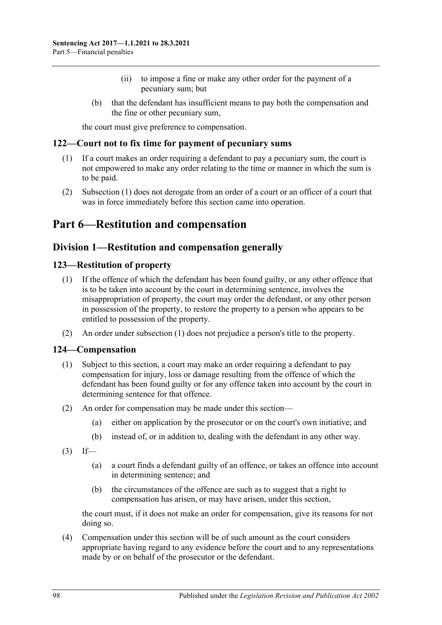- (ii) to impose a fine or make any other order for the payment of a pecuniary sum; but
- (b) that the defendant has insufficient means to pay both the compensation and the fine or other pecuniary sum,

the court must give preference to compensation.

#### <span id="page-97-0"></span>**122—Court not to fix time for payment of pecuniary sums**

- (1) If a court makes an order requiring a defendant to pay a pecuniary sum, the court is not empowered to make any order relating to the time or manner in which the sum is to be paid.
- (2) [Subsection](#page-97-0) (1) does not derogate from an order of a court or an officer of a court that was in force immediately before this section came into operation.

## **Part 6—Restitution and compensation**

### **Division 1—Restitution and compensation generally**

#### <span id="page-97-2"></span><span id="page-97-1"></span>**123—Restitution of property**

- (1) If the offence of which the defendant has been found guilty, or any other offence that is to be taken into account by the court in determining sentence, involves the misappropriation of property, the court may order the defendant, or any other person in possession of the property, to restore the property to a person who appears to be entitled to possession of the property.
- (2) An order under [subsection](#page-97-1) (1) does not prejudice a person's title to the property.

#### **124—Compensation**

- (1) Subject to this section, a court may make an order requiring a defendant to pay compensation for injury, loss or damage resulting from the offence of which the defendant has been found guilty or for any offence taken into account by the court in determining sentence for that offence.
- (2) An order for compensation may be made under this section—
	- (a) either on application by the prosecutor or on the court's own initiative; and
	- (b) instead of, or in addition to, dealing with the defendant in any other way.
- $(3)$  If—
	- (a) a court finds a defendant guilty of an offence, or takes an offence into account in determining sentence; and
	- (b) the circumstances of the offence are such as to suggest that a right to compensation has arisen, or may have arisen, under this section,

the court must, if it does not make an order for compensation, give its reasons for not doing so.

(4) Compensation under this section will be of such amount as the court considers appropriate having regard to any evidence before the court and to any representations made by or on behalf of the prosecutor or the defendant.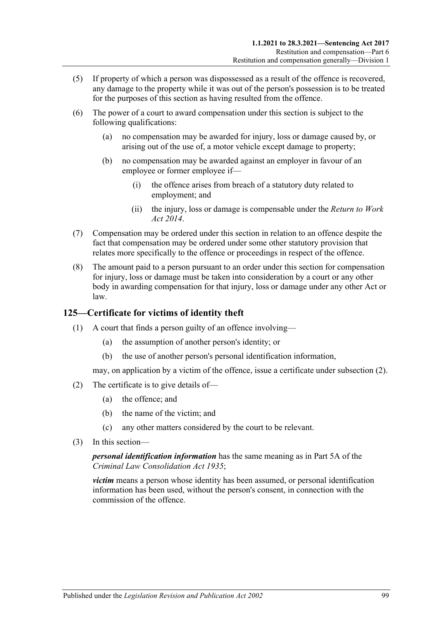- (5) If property of which a person was dispossessed as a result of the offence is recovered, any damage to the property while it was out of the person's possession is to be treated for the purposes of this section as having resulted from the offence.
- (6) The power of a court to award compensation under this section is subject to the following qualifications:
	- (a) no compensation may be awarded for injury, loss or damage caused by, or arising out of the use of, a motor vehicle except damage to property;
	- (b) no compensation may be awarded against an employer in favour of an employee or former employee if—
		- (i) the offence arises from breach of a statutory duty related to employment; and
		- (ii) the injury, loss or damage is compensable under the *[Return to Work](http://www.legislation.sa.gov.au/index.aspx?action=legref&type=act&legtitle=Return%20to%20Work%20Act%202014)  Act [2014](http://www.legislation.sa.gov.au/index.aspx?action=legref&type=act&legtitle=Return%20to%20Work%20Act%202014)*.
- (7) Compensation may be ordered under this section in relation to an offence despite the fact that compensation may be ordered under some other statutory provision that relates more specifically to the offence or proceedings in respect of the offence.
- (8) The amount paid to a person pursuant to an order under this section for compensation for injury, loss or damage must be taken into consideration by a court or any other body in awarding compensation for that injury, loss or damage under any other Act or law.

### **125—Certificate for victims of identity theft**

- (1) A court that finds a person guilty of an offence involving—
	- (a) the assumption of another person's identity; or
	- (b) the use of another person's personal identification information,

may, on application by a victim of the offence, issue a certificate unde[r subsection](#page-98-0) (2).

- <span id="page-98-0"></span>(2) The certificate is to give details of—
	- (a) the offence; and
	- (b) the name of the victim; and
	- (c) any other matters considered by the court to be relevant.
- (3) In this section—

*personal identification information* has the same meaning as in Part 5A of the *[Criminal Law Consolidation Act](http://www.legislation.sa.gov.au/index.aspx?action=legref&type=act&legtitle=Criminal%20Law%20Consolidation%20Act%201935) 1935*;

*victim* means a person whose identity has been assumed, or personal identification information has been used, without the person's consent, in connection with the commission of the offence.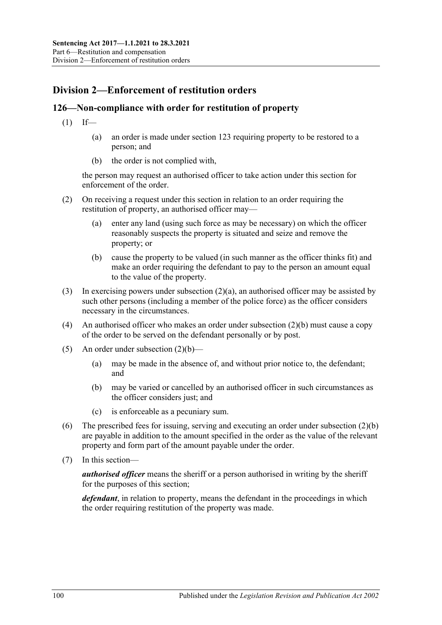## **Division 2—Enforcement of restitution orders**

#### **126—Non-compliance with order for restitution of property**

- $(1)$  If—
	- (a) an order is made under [section](#page-97-2) 123 requiring property to be restored to a person; and
	- (b) the order is not complied with,

the person may request an authorised officer to take action under this section for enforcement of the order.

- <span id="page-99-0"></span>(2) On receiving a request under this section in relation to an order requiring the restitution of property, an authorised officer may—
	- (a) enter any land (using such force as may be necessary) on which the officer reasonably suspects the property is situated and seize and remove the property; or
	- (b) cause the property to be valued (in such manner as the officer thinks fit) and make an order requiring the defendant to pay to the person an amount equal to the value of the property.
- <span id="page-99-1"></span>(3) In exercising powers under [subsection](#page-99-0)  $(2)(a)$ , an authorised officer may be assisted by such other persons (including a member of the police force) as the officer considers necessary in the circumstances.
- (4) An authorised officer who makes an order unde[r subsection](#page-99-1) (2)(b) must cause a copy of the order to be served on the defendant personally or by post.
- (5) An order under [subsection](#page-99-1)  $(2)(b)$ 
	- (a) may be made in the absence of, and without prior notice to, the defendant; and
	- (b) may be varied or cancelled by an authorised officer in such circumstances as the officer considers just; and
	- (c) is enforceable as a pecuniary sum.
- (6) The prescribed fees for issuing, serving and executing an order under [subsection](#page-99-1) (2)(b) are payable in addition to the amount specified in the order as the value of the relevant property and form part of the amount payable under the order.
- (7) In this section—

*authorised officer* means the sheriff or a person authorised in writing by the sheriff for the purposes of this section;

*defendant*, in relation to property, means the defendant in the proceedings in which the order requiring restitution of the property was made.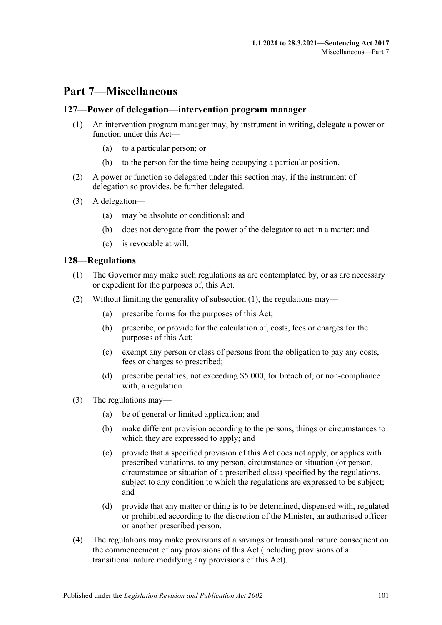## **Part 7—Miscellaneous**

#### **127—Power of delegation—intervention program manager**

- (1) An intervention program manager may, by instrument in writing, delegate a power or function under this Act—
	- (a) to a particular person; or
	- (b) to the person for the time being occupying a particular position.
- (2) A power or function so delegated under this section may, if the instrument of delegation so provides, be further delegated.
- (3) A delegation—
	- (a) may be absolute or conditional; and
	- (b) does not derogate from the power of the delegator to act in a matter; and
	- (c) is revocable at will.

#### <span id="page-100-0"></span>**128—Regulations**

- (1) The Governor may make such regulations as are contemplated by, or as are necessary or expedient for the purposes of, this Act.
- (2) Without limiting the generality of [subsection](#page-100-0) (1), the regulations may—
	- (a) prescribe forms for the purposes of this Act;
	- (b) prescribe, or provide for the calculation of, costs, fees or charges for the purposes of this Act;
	- (c) exempt any person or class of persons from the obligation to pay any costs, fees or charges so prescribed;
	- (d) prescribe penalties, not exceeding \$5 000, for breach of, or non-compliance with, a regulation.
- (3) The regulations may—
	- (a) be of general or limited application; and
	- (b) make different provision according to the persons, things or circumstances to which they are expressed to apply; and
	- (c) provide that a specified provision of this Act does not apply, or applies with prescribed variations, to any person, circumstance or situation (or person, circumstance or situation of a prescribed class) specified by the regulations, subject to any condition to which the regulations are expressed to be subject; and
	- (d) provide that any matter or thing is to be determined, dispensed with, regulated or prohibited according to the discretion of the Minister, an authorised officer or another prescribed person.
- (4) The regulations may make provisions of a savings or transitional nature consequent on the commencement of any provisions of this Act (including provisions of a transitional nature modifying any provisions of this Act).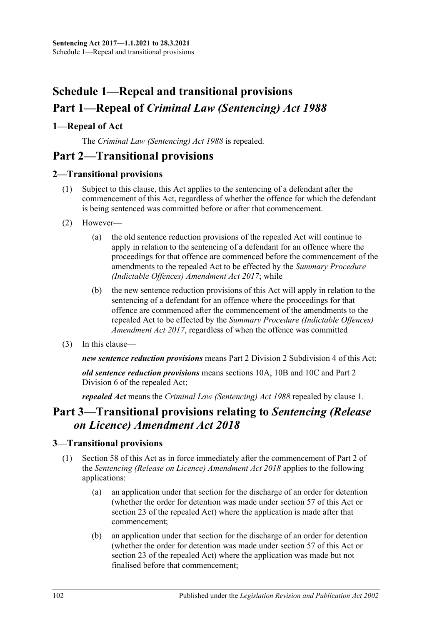# **Schedule 1—Repeal and transitional provisions Part 1—Repeal of** *Criminal Law (Sentencing) Act 1988*

## <span id="page-101-0"></span>**1—Repeal of Act**

The *[Criminal Law \(Sentencing\) Act](http://www.legislation.sa.gov.au/index.aspx?action=legref&type=act&legtitle=Criminal%20Law%20(Sentencing)%20Act%201988) 1988* is repealed.

## **Part 2—Transitional provisions**

### **2—Transitional provisions**

- (1) Subject to this clause, this Act applies to the sentencing of a defendant after the commencement of this Act, regardless of whether the offence for which the defendant is being sentenced was committed before or after that commencement.
- (2) However—
	- (a) the old sentence reduction provisions of the repealed Act will continue to apply in relation to the sentencing of a defendant for an offence where the proceedings for that offence are commenced before the commencement of the amendments to the repealed Act to be effected by the *[Summary Procedure](http://www.legislation.sa.gov.au/index.aspx?action=legref&type=act&legtitle=Summary%20Procedure%20(Indictable%20Offences)%20Amendment%20Act%202017)  [\(Indictable Offences\) Amendment Act](http://www.legislation.sa.gov.au/index.aspx?action=legref&type=act&legtitle=Summary%20Procedure%20(Indictable%20Offences)%20Amendment%20Act%202017) 2017*; while
	- (b) the new sentence reduction provisions of this Act will apply in relation to the sentencing of a defendant for an offence where the proceedings for that offence are commenced after the commencement of the amendments to the repealed Act to be effected by the *[Summary Procedure \(Indictable Offences\)](http://www.legislation.sa.gov.au/index.aspx?action=legref&type=act&legtitle=Summary%20Procedure%20(Indictable%20Offences)%20Amendment%20Act%202017)  [Amendment Act](http://www.legislation.sa.gov.au/index.aspx?action=legref&type=act&legtitle=Summary%20Procedure%20(Indictable%20Offences)%20Amendment%20Act%202017) 2017*, regardless of when the offence was committed
- (3) In this clause—

*new sentence reduction provisions* means Part 2 Division [2 Subdivision](#page-24-0) 4 of this Act;

*old sentence reduction provisions* means sections 10A, 10B and 10C and Part 2 Division 6 of the repealed Act;

*repealed Act* means the *[Criminal Law \(Sentencing\) Act](http://www.legislation.sa.gov.au/index.aspx?action=legref&type=act&legtitle=Criminal%20Law%20(Sentencing)%20Act%201988) 1988* repealed by [clause](#page-101-0) 1.

## **Part 3—Transitional provisions relating to** *Sentencing (Release on Licence) Amendment Act 2018*

### **3—Transitional provisions**

- (1) [Section 58](#page-48-0) of this Act as in force immediately after the commencement of Part 2 of the *[Sentencing \(Release on Licence\) Amendment Act](http://www.legislation.sa.gov.au/index.aspx?action=legref&type=act&legtitle=Sentencing%20(Release%20on%20Licence)%20Amendment%20Act%202018) 2018* applies to the following applications:
	- (a) an application under that section for the discharge of an order for detention (whether the order for detention was made under [section](#page-45-0) 57 of this Act or section 23 of the repealed Act) where the application is made after that commencement;
	- (b) an application under that section for the discharge of an order for detention (whether the order for detention was made under [section](#page-45-0) 57 of this Act or section 23 of the repealed Act) where the application was made but not finalised before that commencement;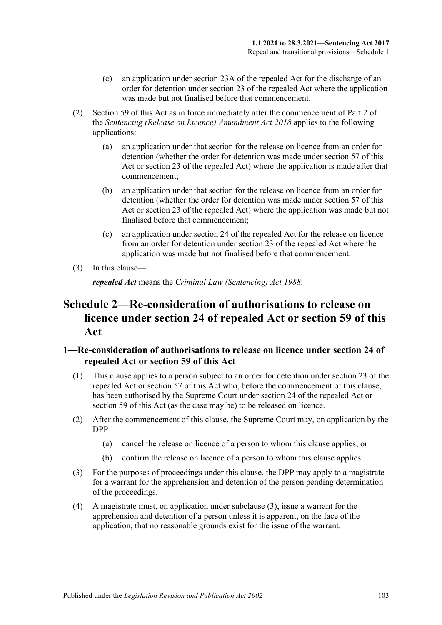- (c) an application under section 23A of the repealed Act for the discharge of an order for detention under section 23 of the repealed Act where the application was made but not finalised before that commencement.
- (2) [Section 59](#page-49-0) of this Act as in force immediately after the commencement of Part 2 of the *[Sentencing \(Release on Licence\) Amendment Act](http://www.legislation.sa.gov.au/index.aspx?action=legref&type=act&legtitle=Sentencing%20(Release%20on%20Licence)%20Amendment%20Act%202018) 2018* applies to the following applications:
	- (a) an application under that section for the release on licence from an order for detention (whether the order for detention was made under [section](#page-45-0) 57 of this Act or section 23 of the repealed Act) where the application is made after that commencement;
	- (b) an application under that section for the release on licence from an order for detention (whether the order for detention was made under [section](#page-45-0) 57 of this Act or section 23 of the repealed Act) where the application was made but not finalised before that commencement;
	- (c) an application under section 24 of the repealed Act for the release on licence from an order for detention under section 23 of the repealed Act where the application was made but not finalised before that commencement.
- (3) In this clause—

*repealed Act* means the *[Criminal Law \(Sentencing\) Act](http://www.legislation.sa.gov.au/index.aspx?action=legref&type=act&legtitle=Criminal%20Law%20(Sentencing)%20Act%201988) 1988*.

## **Schedule 2—Re-consideration of authorisations to release on licence under section 24 of repealed Act or [section](#page-49-0) 59 of this Act**

### **1—Re-consideration of authorisations to release on licence under section 24 of repealed Act or [section](#page-49-0) 59 of this Act**

- (1) This clause applies to a person subject to an order for detention under section 23 of the repealed Act or [section](#page-45-0) 57 of this Act who, before the commencement of this clause, has been authorised by the Supreme Court under section 24 of the repealed Act or [section](#page-49-0) 59 of this Act (as the case may be) to be released on licence.
- (2) After the commencement of this clause, the Supreme Court may, on application by the DPP—
	- (a) cancel the release on licence of a person to whom this clause applies; or
	- (b) confirm the release on licence of a person to whom this clause applies.
- <span id="page-102-0"></span>(3) For the purposes of proceedings under this clause, the DPP may apply to a magistrate for a warrant for the apprehension and detention of the person pending determination of the proceedings.
- (4) A magistrate must, on application under [subclause](#page-102-0) (3), issue a warrant for the apprehension and detention of a person unless it is apparent, on the face of the application, that no reasonable grounds exist for the issue of the warrant.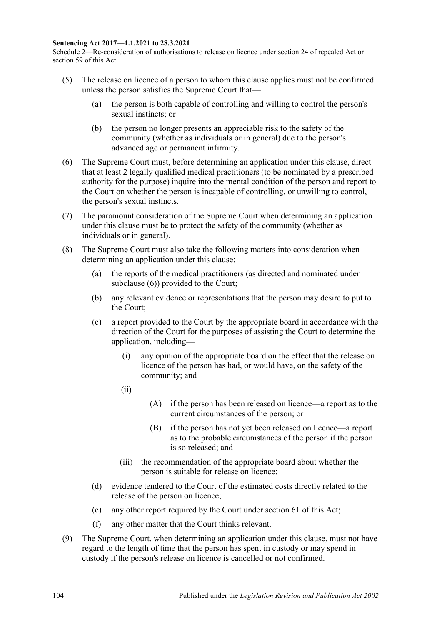#### **Sentencing Act 2017—1.1.2021 to 28.3.2021**

Schedule 2—Re-consideration of authorisations to release on licence under section 24 of repealed Act or section 59 of this Act

- (5) The release on licence of a person to whom this clause applies must not be confirmed unless the person satisfies the Supreme Court that—
	- (a) the person is both capable of controlling and willing to control the person's sexual instincts; or
	- (b) the person no longer presents an appreciable risk to the safety of the community (whether as individuals or in general) due to the person's advanced age or permanent infirmity.
- <span id="page-103-0"></span>(6) The Supreme Court must, before determining an application under this clause, direct that at least 2 legally qualified medical practitioners (to be nominated by a prescribed authority for the purpose) inquire into the mental condition of the person and report to the Court on whether the person is incapable of controlling, or unwilling to control, the person's sexual instincts.
- (7) The paramount consideration of the Supreme Court when determining an application under this clause must be to protect the safety of the community (whether as individuals or in general).
- <span id="page-103-1"></span>(8) The Supreme Court must also take the following matters into consideration when determining an application under this clause:
	- (a) the reports of the medical practitioners (as directed and nominated under [subclause](#page-103-0) (6)) provided to the Court;
	- (b) any relevant evidence or representations that the person may desire to put to the Court;
	- (c) a report provided to the Court by the appropriate board in accordance with the direction of the Court for the purposes of assisting the Court to determine the application, including—
		- (i) any opinion of the appropriate board on the effect that the release on licence of the person has had, or would have, on the safety of the community; and
		- $(ii)$
- (A) if the person has been released on licence—a report as to the current circumstances of the person; or
- (B) if the person has not yet been released on licence—a report as to the probable circumstances of the person if the person is so released; and
- (iii) the recommendation of the appropriate board about whether the person is suitable for release on licence;
- (d) evidence tendered to the Court of the estimated costs directly related to the release of the person on licence;
- (e) any other report required by the Court under [section](#page-52-0) 61 of this Act;
- (f) any other matter that the Court thinks relevant.
- (9) The Supreme Court, when determining an application under this clause, must not have regard to the length of time that the person has spent in custody or may spend in custody if the person's release on licence is cancelled or not confirmed.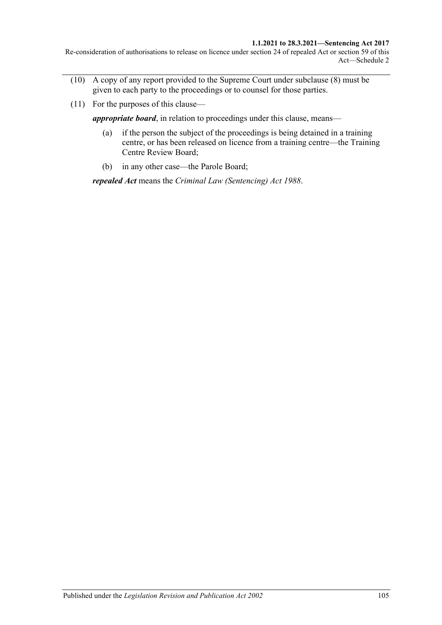#### **1.1.2021 to 28.3.2021—Sentencing Act 2017**

Re-consideration of authorisations to release on licence under section 24 of repealed Act or section 59 of this Act—Schedule 2

- (10) A copy of any report provided to the Supreme Court under [subclause](#page-103-1) (8) must be given to each party to the proceedings or to counsel for those parties.
- (11) For the purposes of this clause—

*appropriate board*, in relation to proceedings under this clause, means—

- (a) if the person the subject of the proceedings is being detained in a training centre, or has been released on licence from a training centre—the Training Centre Review Board;
- (b) in any other case—the Parole Board;

*repealed Act* means the *[Criminal Law \(Sentencing\) Act](http://www.legislation.sa.gov.au/index.aspx?action=legref&type=act&legtitle=Criminal%20Law%20(Sentencing)%20Act%201988) 1988*.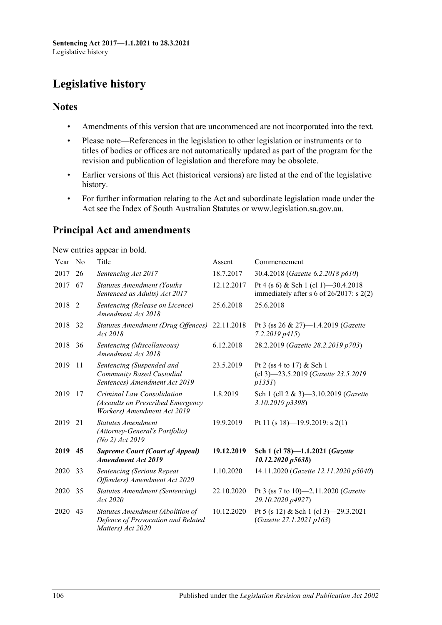# **Legislative history**

### **Notes**

- Amendments of this version that are uncommenced are not incorporated into the text.
- Please note—References in the legislation to other legislation or instruments or to titles of bodies or offices are not automatically updated as part of the program for the revision and publication of legislation and therefore may be obsolete.
- Earlier versions of this Act (historical versions) are listed at the end of the legislative history.
- For further information relating to the Act and subordinate legislation made under the Act see the Index of South Australian Statutes or www.legislation.sa.gov.au.

## **Principal Act and amendments**

New entries appear in bold.

| Year | No | Title                                                                                          | Assent     | Commencement                                                                          |
|------|----|------------------------------------------------------------------------------------------------|------------|---------------------------------------------------------------------------------------|
| 2017 | 26 | Sentencing Act 2017                                                                            | 18.7.2017  | 30.4.2018 (Gazette 6.2.2018 p610)                                                     |
| 2017 | 67 | <b>Statutes Amendment (Youths</b><br>Sentenced as Adults) Act 2017                             | 12.12.2017 | Pt 4 (s 6) & Sch 1 (cl 1) -30.4.2018<br>immediately after s 6 of $26/2017$ : s $2(2)$ |
| 2018 | 2  | Sentencing (Release on Licence)<br>Amendment Act 2018                                          | 25.6.2018  | 25.6.2018                                                                             |
| 2018 | 32 | Statutes Amendment (Drug Offences)<br>Act 2018                                                 | 22.11.2018 | Pt 3 (ss 26 & 27)-1.4.2019 (Gazette<br>7.2.2019p415                                   |
| 2018 | 36 | Sentencing (Miscellaneous)<br>Amendment Act 2018                                               | 6.12.2018  | 28.2.2019 (Gazette 28.2.2019 p703)                                                    |
| 2019 | 11 | Sentencing (Suspended and<br>Community Based Custodial<br>Sentences) Amendment Act 2019        | 23.5.2019  | Pt 2 (ss 4 to 17) & Sch 1<br>(cl 3)-23.5.2019 (Gazette 23.5.2019<br>p135I)            |
| 2019 | 17 | Criminal Law Consolidation<br>(Assaults on Prescribed Emergency<br>Workers) Amendment Act 2019 | 1.8.2019   | Sch 1 (cll 2 & 3)-3.10.2019 ( <i>Gazette</i><br>3.10.2019 p3398)                      |
| 2019 | 21 | <b>Statutes Amendment</b><br>(Attorney-General's Portfolio)<br>(No 2) Act 2019                 | 19.9.2019  | Pt 11 (s 18)-19.9.2019: s 2(1)                                                        |
| 2019 | 45 | <b>Supreme Court (Court of Appeal)</b><br><b>Amendment Act 2019</b>                            | 19.12.2019 | Sch 1 (cl 78)-1.1.2021 (Gazette<br>10.12.2020 p5638)                                  |
| 2020 | 33 | Sentencing (Serious Repeat<br>Offenders) Amendment Act 2020                                    | 1.10.2020  | 14.11.2020 (Gazette 12.11.2020 p5040)                                                 |
| 2020 | 35 | <b>Statutes Amendment (Sentencing)</b><br>Act 2020                                             | 22.10.2020 | Pt 3 (ss 7 to 10)—2.11.2020 ( <i>Gazette</i><br>29.10.2020 p4927)                     |
| 2020 | 43 | Statutes Amendment (Abolition of<br>Defence of Provocation and Related<br>Matters) Act 2020    | 10.12.2020 | Pt 5 (s 12) & Sch 1 (cl 3) -29.3.2021<br>(Gazette 27.1.2021 p163)                     |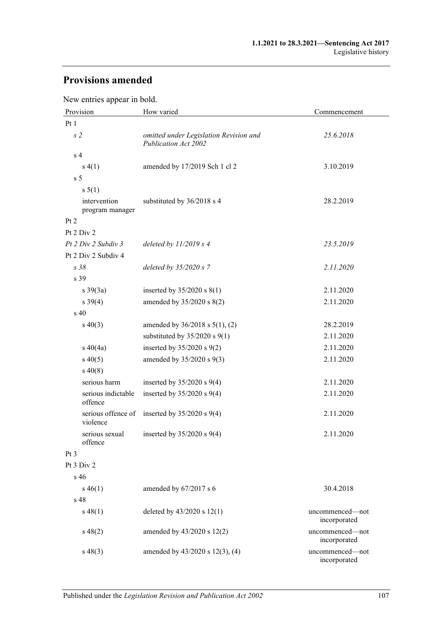## **Provisions amended**

New entries appear in bold.

| Provision                       | How varied                                                     | Commencement                    |  |
|---------------------------------|----------------------------------------------------------------|---------------------------------|--|
| Pt <sub>1</sub>                 |                                                                |                                 |  |
| s <sub>2</sub>                  | omitted under Legislation Revision and<br>Publication Act 2002 | 25.6.2018                       |  |
| s <sub>4</sub>                  |                                                                |                                 |  |
| s(4(1))                         | amended by 17/2019 Sch 1 cl 2                                  | 3.10.2019                       |  |
| s <sub>5</sub>                  |                                                                |                                 |  |
| s 5(1)                          |                                                                |                                 |  |
| intervention<br>program manager | substituted by 36/2018 s 4                                     | 28.2.2019                       |  |
| Pt 2                            |                                                                |                                 |  |
| Pt 2 Div 2                      |                                                                |                                 |  |
| Pt 2 Div 2 Subdiv 3             | deleted by $11/2019$ s 4                                       | 23.5.2019                       |  |
| Pt 2 Div 2 Subdiv 4             |                                                                |                                 |  |
| s38                             | deleted by $35/2020 s$ 7                                       | 2.11.2020                       |  |
| s 39                            |                                                                |                                 |  |
| $s \frac{39(3a)}{2}$            | inserted by $35/2020$ s $8(1)$                                 | 2.11.2020                       |  |
| $s \, 39(4)$                    | amended by 35/2020 s 8(2)                                      | 2.11.2020                       |  |
| s 40                            |                                                                |                                 |  |
| $s\ 40(3)$                      | amended by $36/2018$ s $5(1)$ , (2)                            | 28.2.2019                       |  |
|                                 | substituted by $35/2020$ s $9(1)$                              | 2.11.2020                       |  |
| $s\ 40(4a)$                     | inserted by $35/2020$ s $9(2)$                                 | 2.11.2020                       |  |
| $s\,40(5)$                      | amended by 35/2020 s 9(3)                                      | 2.11.2020                       |  |
| $s\,40(8)$                      |                                                                |                                 |  |
| serious harm                    | inserted by $35/2020$ s $9(4)$                                 | 2.11.2020                       |  |
| serious indictable<br>offence   | inserted by $35/2020$ s $9(4)$                                 | 2.11.2020                       |  |
| serious offence of<br>violence  | inserted by 35/2020 s 9(4)                                     | 2.11.2020                       |  |
| serious sexual<br>offence       | inserted by $35/2020$ s $9(4)$                                 | 2.11.2020                       |  |
| Pt <sub>3</sub>                 |                                                                |                                 |  |
| Pt 3 Div 2                      |                                                                |                                 |  |
| s <sub>46</sub>                 |                                                                |                                 |  |
| $s\,46(1)$                      | amended by 67/2017 s 6                                         | 30.4.2018                       |  |
| s 48                            |                                                                |                                 |  |
| $s\,48(1)$                      | deleted by $43/2020$ s $12(1)$                                 | uncommenced—not<br>incorporated |  |
| $s\,48(2)$                      | amended by 43/2020 s 12(2)                                     | uncommenced-not<br>incorporated |  |
| $s\,48(3)$                      | amended by $43/2020$ s $12(3)$ , (4)                           | uncommenced-not<br>incorporated |  |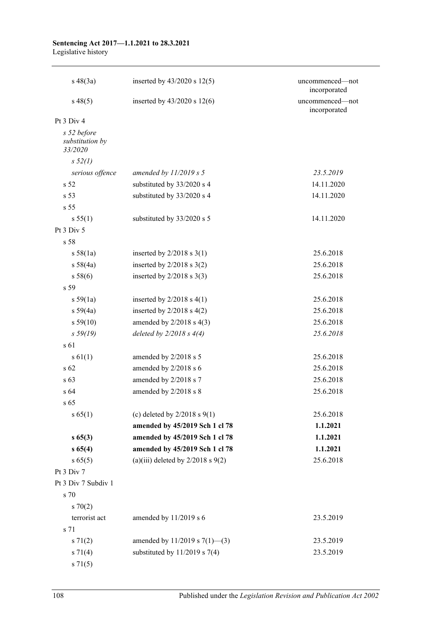#### **Sentencing Act 2017—1.1.2021 to 28.3.2021** Legislative history

| $s\,48(3a)$                               | inserted by $43/2020$ s $12(5)$       | uncommenced-not<br>incorporated |
|-------------------------------------------|---------------------------------------|---------------------------------|
| $s\,48(5)$                                | inserted by $43/2020$ s $12(6)$       | uncommenced-not<br>incorporated |
| Pt 3 Div 4                                |                                       |                                 |
| s 52 before<br>substitution by<br>33/2020 |                                       |                                 |
| s 52(l)                                   |                                       |                                 |
| serious offence                           | amended by $11/2019$ s 5              | 23.5.2019                       |
| s <sub>52</sub>                           | substituted by 33/2020 s 4            | 14.11.2020                      |
| s 53                                      | substituted by 33/2020 s 4            | 14.11.2020                      |
| s <sub>55</sub>                           |                                       |                                 |
| s 55(1)                                   | substituted by 33/2020 s 5            | 14.11.2020                      |
| Pt 3 Div 5                                |                                       |                                 |
| s 58                                      |                                       |                                 |
| s 58(1a)                                  | inserted by $2/2018$ s $3(1)$         | 25.6.2018                       |
| s 58(4a)                                  | inserted by $2/2018$ s $3(2)$         | 25.6.2018                       |
| s 58(6)                                   | inserted by $2/2018$ s $3(3)$         | 25.6.2018                       |
| s <sub>59</sub>                           |                                       |                                 |
| s 59(1a)                                  | inserted by $2/2018$ s $4(1)$         | 25.6.2018                       |
| s 59(4a)                                  | inserted by $2/2018$ s $4(2)$         | 25.6.2018                       |
| s 59(10)                                  | amended by $2/2018$ s $4(3)$          | 25.6.2018                       |
| s 59(19)                                  | deleted by $2/2018 s 4(4)$            | 25.6.2018                       |
| s 61                                      |                                       |                                 |
| s 61(1)                                   | amended by 2/2018 s 5                 | 25.6.2018                       |
| s 62                                      | amended by 2/2018 s 6                 | 25.6.2018                       |
| s <sub>63</sub>                           | amended by 2/2018 s 7                 | 25.6.2018                       |
| s 64                                      | amended by 2/2018 s 8                 | 25.6.2018                       |
| $s\,65$                                   |                                       |                                 |
| s 65(1)                                   | (c) deleted by $2/2018$ s $9(1)$      | 25.6.2018                       |
|                                           | amended by 45/2019 Sch 1 cl 78        | 1.1.2021                        |
| s 65(3)                                   | amended by 45/2019 Sch 1 cl 78        | 1.1.2021                        |
| s 65(4)                                   | amended by 45/2019 Sch 1 cl 78        | 1.1.2021                        |
| s 65(5)                                   | (a)(iii) deleted by $2/2018$ s $9(2)$ | 25.6.2018                       |
| Pt 3 Div 7                                |                                       |                                 |
| Pt 3 Div 7 Subdiv 1                       |                                       |                                 |
| s 70                                      |                                       |                                 |
| $s \, 70(2)$                              |                                       |                                 |
| terrorist act                             | amended by 11/2019 s 6                | 23.5.2019                       |
| s 71                                      |                                       |                                 |
| s 71(2)                                   | amended by $11/2019$ s $7(1)$ —(3)    | 23.5.2019                       |
| $s \, 71(4)$                              | substituted by $11/2019$ s 7(4)       | 23.5.2019                       |
| s 71(5)                                   |                                       |                                 |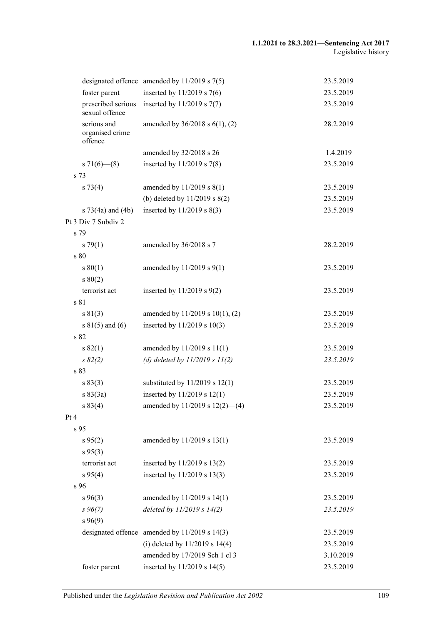|                                           | designated offence amended by $11/2019$ s $7(5)$  | 23.5.2019 |
|-------------------------------------------|---------------------------------------------------|-----------|
| foster parent                             | inserted by $11/2019$ s 7(6)                      | 23.5.2019 |
| prescribed serious<br>sexual offence      | inserted by $11/2019$ s $7(7)$                    | 23.5.2019 |
| serious and<br>organised crime<br>offence | amended by $36/2018$ s $6(1)$ , (2)               | 28.2.2019 |
|                                           | amended by 32/2018 s 26                           | 1.4.2019  |
| s 71(6)–(8)                               | inserted by $11/2019$ s 7(8)                      | 23.5.2019 |
| s 73                                      |                                                   |           |
| $s \, 73(4)$                              | amended by $11/2019$ s $8(1)$                     | 23.5.2019 |
|                                           | (b) deleted by 11/2019 s 8(2)                     | 23.5.2019 |
| s $73(4a)$ and $(4b)$                     | inserted by 11/2019 s 8(3)                        | 23.5.2019 |
| Pt 3 Div 7 Subdiv 2                       |                                                   |           |
| s 79                                      |                                                   |           |
| $s \, 79(1)$                              | amended by 36/2018 s 7                            | 28.2.2019 |
| s 80                                      |                                                   |           |
| s 80(1)                                   | amended by $11/2019$ s $9(1)$                     | 23.5.2019 |
| s 80(2)                                   |                                                   |           |
| terrorist act                             | inserted by $11/2019$ s $9(2)$                    | 23.5.2019 |
| s 81                                      |                                                   |           |
| s 81(3)                                   | amended by 11/2019 s 10(1), (2)                   | 23.5.2019 |
| s $81(5)$ and (6)                         | inserted by 11/2019 s 10(3)                       | 23.5.2019 |
| s 82                                      |                                                   |           |
| s 82(1)                                   | amended by 11/2019 s 11(1)                        | 23.5.2019 |
| $s \, 82(2)$                              | (d) deleted by $11/2019 s 11(2)$                  | 23.5.2019 |
| s 83                                      |                                                   |           |
| s 83(3)                                   | substituted by $11/2019$ s $12(1)$                | 23.5.2019 |
| s 83(3a)                                  | inserted by 11/2019 s 12(1)                       | 23.5.2019 |
| s 83(4)                                   | amended by 11/2019 s 12(2)-(4)                    | 23.5.2019 |
| Pt 4                                      |                                                   |           |
| s 95                                      |                                                   |           |
| $s\,95(2)$                                | amended by 11/2019 s 13(1)                        | 23.5.2019 |
| $s\,95(3)$                                |                                                   |           |
| terrorist act                             | inserted by 11/2019 s 13(2)                       | 23.5.2019 |
| s 95(4)                                   | inserted by 11/2019 s 13(3)                       | 23.5.2019 |
| s 96                                      |                                                   |           |
| $s\,96(3)$                                | amended by 11/2019 s 14(1)                        | 23.5.2019 |
| $s\,96(7)$                                | deleted by 11/2019 s 14(2)                        | 23.5.2019 |
| $s\,96(9)$                                |                                                   |           |
|                                           | designated offence amended by $11/2019$ s $14(3)$ | 23.5.2019 |
|                                           | (i) deleted by $11/2019$ s $14(4)$                | 23.5.2019 |
|                                           | amended by 17/2019 Sch 1 cl 3                     | 3.10.2019 |
| foster parent                             | inserted by 11/2019 s 14(5)                       | 23.5.2019 |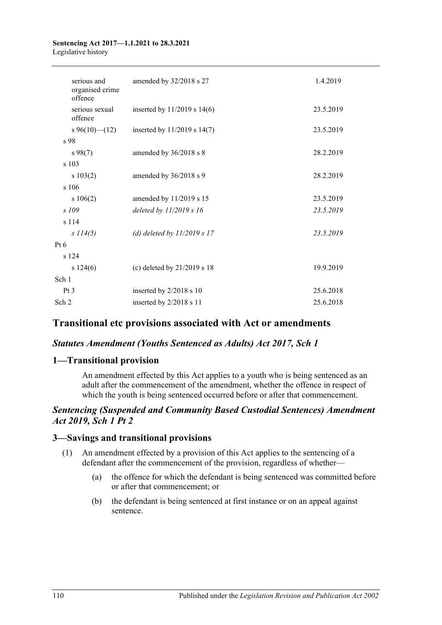#### **Sentencing Act 2017—1.1.2021 to 28.3.2021** Legislative history

| serious and<br>organised crime<br>offence | amended by 32/2018 s 27         | 1.4.2019  |
|-------------------------------------------|---------------------------------|-----------|
| serious sexual<br>offence                 | inserted by $11/2019$ s $14(6)$ | 23.5.2019 |
| $s\,96(10)$ (12)                          | inserted by 11/2019 s 14(7)     | 23.5.2019 |
| s 98                                      |                                 |           |
| $s\,98(7)$                                | amended by 36/2018 s 8          | 28.2.2019 |
| s 103                                     |                                 |           |
| s 103(2)                                  | amended by 36/2018 s 9          | 28.2.2019 |
| s 106                                     |                                 |           |
| s 106(2)                                  | amended by 11/2019 s 15         | 23.5.2019 |
| $s$ 109                                   | deleted by $11/2019 s 16$       | 23.5.2019 |
| s 114                                     |                                 |           |
| s 114(5)                                  | (d) deleted by $11/2019 s 17$   | 23.5.2019 |
| Pt 6                                      |                                 |           |
| s 124                                     |                                 |           |
| s 124(6)                                  | (c) deleted by 21/2019 s 18     | 19.9.2019 |
| Sch 1                                     |                                 |           |
| Pt <sub>3</sub>                           | inserted by 2/2018 s 10         | 25.6.2018 |
| Sch <sub>2</sub>                          | inserted by 2/2018 s 11         | 25.6.2018 |

# **Transitional etc provisions associated with Act or amendments**

## *Statutes Amendment (Youths Sentenced as Adults) Act 2017, Sch 1*

## **1—Transitional provision**

An amendment effected by this Act applies to a youth who is being sentenced as an adult after the commencement of the amendment, whether the offence in respect of which the youth is being sentenced occurred before or after that commencement.

## *Sentencing (Suspended and Community Based Custodial Sentences) Amendment Act 2019, Sch 1 Pt 2*

#### **3—Savings and transitional provisions**

- (1) An amendment effected by a provision of this Act applies to the sentencing of a defendant after the commencement of the provision, regardless of whether—
	- (a) the offence for which the defendant is being sentenced was committed before or after that commencement; or
	- (b) the defendant is being sentenced at first instance or on an appeal against sentence.